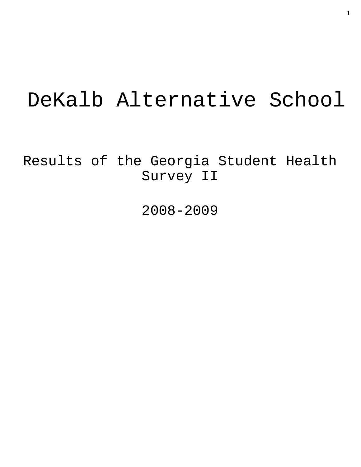# DeKalb Alternative School

Results of the Georgia Student Health Survey II

2008-2009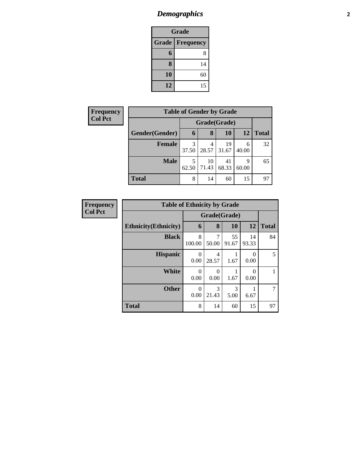### *Demographics* **2**

| <b>Grade</b>              |    |  |  |  |  |
|---------------------------|----|--|--|--|--|
| Grade<br><b>Frequency</b> |    |  |  |  |  |
| 6                         | 8  |  |  |  |  |
| 8                         | 14 |  |  |  |  |
| 10                        | 60 |  |  |  |  |
| 12                        | 15 |  |  |  |  |

| <b>Frequency</b> | <b>Table of Gender by Grade</b> |              |             |             |            |              |  |
|------------------|---------------------------------|--------------|-------------|-------------|------------|--------------|--|
| <b>Col Pct</b>   |                                 | Grade(Grade) |             |             |            |              |  |
|                  | Gender(Gender)                  | 6            | 8           | 10          | 12         | <b>Total</b> |  |
|                  | <b>Female</b>                   | 3<br>37.50   | 4<br>28.57  | 19<br>31.67 | 6<br>40.00 | 32           |  |
|                  | <b>Male</b>                     | 62.50        | 10<br>71.43 | 41<br>68.33 | 9<br>60.00 | 65           |  |
|                  | <b>Total</b>                    | 8            | 14          | 60          | 15         | 97           |  |

| <b>Frequency</b> | <b>Table of Ethnicity by Grade</b> |                  |            |             |                  |                |
|------------------|------------------------------------|------------------|------------|-------------|------------------|----------------|
| <b>Col Pct</b>   |                                    | Grade(Grade)     |            |             |                  |                |
|                  | <b>Ethnicity</b> (Ethnicity)       | 6                | 8          | 10          | 12               | <b>Total</b>   |
|                  | <b>Black</b>                       | 8<br>100.00      | 7<br>50.00 | 55<br>91.67 | 14<br>93.33      | 84             |
|                  | <b>Hispanic</b>                    | $\Omega$<br>0.00 | 4<br>28.57 | 1.67        | 0<br>0.00        | $\mathfrak{H}$ |
|                  | <b>White</b>                       | $\theta$<br>0.00 | 0<br>0.00  | 1.67        | $\Omega$<br>0.00 | 1              |
|                  | <b>Other</b>                       | $\theta$<br>0.00 | 3<br>21.43 | 3<br>5.00   | 6.67             | $\tau$         |
|                  | <b>Total</b>                       | 8                | 14         | 60          | 15               | 97             |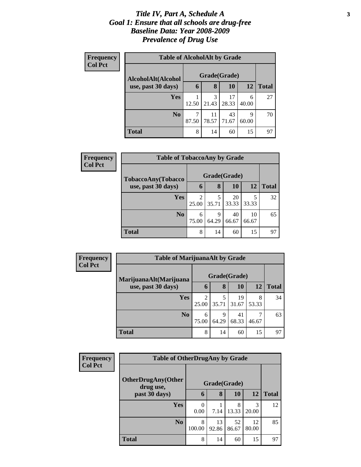#### *Title IV, Part A, Schedule A* **3** *Goal 1: Ensure that all schools are drug-free Baseline Data: Year 2008-2009 Prevalence of Drug Use*

| Frequency<br><b>Col Pct</b> | <b>Table of AlcoholAlt by Grade</b> |              |             |             |            |              |  |  |  |
|-----------------------------|-------------------------------------|--------------|-------------|-------------|------------|--------------|--|--|--|
|                             | AlcoholAlt(Alcohol                  | Grade(Grade) |             |             |            |              |  |  |  |
|                             | use, past 30 days)                  | 6            | 8           | 10          | 12         | <b>Total</b> |  |  |  |
|                             | <b>Yes</b>                          | 12.50        | 3<br>21.43  | 17<br>28.33 | 6<br>40.00 | 27           |  |  |  |
|                             | N <sub>0</sub>                      | 7<br>87.50   | 11<br>78.57 | 43<br>71.67 | 9<br>60.00 | 70           |  |  |  |
|                             | <b>Total</b>                        | 8            | 14          | 60          | 15         | 97           |  |  |  |

| Frequency      | <b>Table of TobaccoAny by Grade</b> |                         |              |             |             |              |  |
|----------------|-------------------------------------|-------------------------|--------------|-------------|-------------|--------------|--|
| <b>Col Pct</b> | TobaccoAny(Tobacco                  |                         | Grade(Grade) |             |             |              |  |
|                | use, past 30 days)                  | 6                       | 8            | 10          | 12          | <b>Total</b> |  |
|                | <b>Yes</b>                          | $\overline{2}$<br>25.00 | 5<br>35.71   | 20<br>33.33 | 5<br>33.33  | 32           |  |
|                | N <sub>0</sub>                      | 6<br>75.00              | 9<br>64.29   | 40<br>66.67 | 10<br>66.67 | 65           |  |
|                | <b>Total</b>                        | 8                       | 14           | 60          | 15          | 97           |  |

| Frequency      | <b>Table of MarijuanaAlt by Grade</b> |                         |            |             |            |              |
|----------------|---------------------------------------|-------------------------|------------|-------------|------------|--------------|
| <b>Col Pct</b> | MarijuanaAlt(Marijuana                | Grade(Grade)            |            |             |            |              |
|                | use, past 30 days)                    | 6                       | 8          | 10          | 12         | <b>Total</b> |
|                | <b>Yes</b>                            | $\overline{2}$<br>25.00 | 5<br>35.71 | 19<br>31.67 | 8<br>53.33 | 34           |
|                | N <sub>0</sub>                        | 6<br>75.00              | 9<br>64.29 | 41<br>68.33 | ℸ<br>46.67 | 63           |
|                | <b>Total</b>                          | 8                       | 14         | 60          | 15         | 97           |

| Frequency      | <b>Table of OtherDrugAny by Grade</b>  |             |              |             |             |              |
|----------------|----------------------------------------|-------------|--------------|-------------|-------------|--------------|
| <b>Col Pct</b> | <b>OtherDrugAny(Other</b><br>drug use, |             | Grade(Grade) |             |             |              |
|                | past 30 days)                          | 6           | 8            | 10          | 12          | <b>Total</b> |
|                | <b>Yes</b>                             | 0.00        | 7.14         | 8<br>13.33  | 3<br>20.00  | 12           |
|                | N <sub>o</sub>                         | 8<br>100.00 | 13<br>92.86  | 52<br>86.67 | 12<br>80.00 | 85           |
|                | <b>Total</b>                           | 8           | 14           | 60          | 15          | 97           |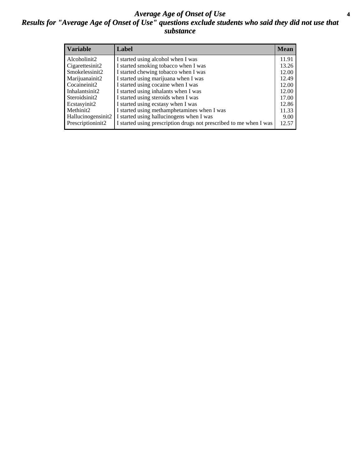#### *Average Age of Onset of Use* **4** *Results for "Average Age of Onset of Use" questions exclude students who said they did not use that substance*

| <b>Variable</b>       | Label                                                              | <b>Mean</b> |
|-----------------------|--------------------------------------------------------------------|-------------|
| Alcoholinit2          | I started using alcohol when I was                                 | 11.91       |
| Cigarettesinit2       | I started smoking tobacco when I was                               | 13.26       |
| Smokelessinit2        | I started chewing tobacco when I was                               | 12.00       |
| Marijuanainit2        | I started using marijuana when I was                               | 12.49       |
| Cocaineinit2          | I started using cocaine when I was                                 | 12.00       |
| Inhalantsinit2        | I started using inhalants when I was                               | 12.00       |
| Steroidsinit2         | I started using steroids when I was                                | 17.00       |
| Ecstasyinit2          | I started using ecstasy when I was                                 | 12.86       |
| Methinit <sub>2</sub> | I started using methamphetamines when I was                        | 11.33       |
| Hallucinogensinit2    | I started using hallucinogens when I was                           | 9.00        |
| Prescriptioninit2     | I started using prescription drugs not prescribed to me when I was | 12.57       |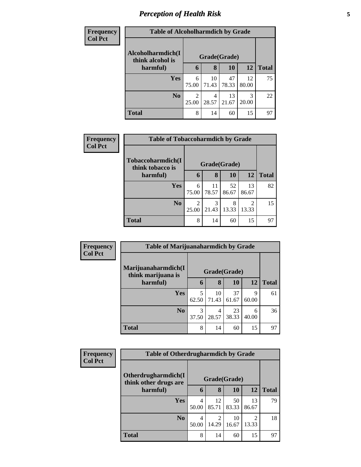# *Perception of Health Risk* **5**

| <b>Frequency</b> | <b>Table of Alcoholharmdich by Grade</b> |            |              |             |             |              |  |
|------------------|------------------------------------------|------------|--------------|-------------|-------------|--------------|--|
| <b>Col Pct</b>   | Alcoholharmdich(I<br>think alcohol is    |            | Grade(Grade) |             |             |              |  |
|                  | harmful)                                 | 6          | 8            | 10          | 12          | <b>Total</b> |  |
|                  | <b>Yes</b>                               | 6<br>75.00 | 10<br>71.43  | 47<br>78.33 | 12<br>80.00 | 75           |  |
|                  | N <sub>0</sub>                           | 2<br>25.00 | 4<br>28.57   | 13<br>21.67 | 3<br>20.00  | 22           |  |
|                  | <b>Total</b>                             | 8          | 14           | 60          | 15          | 97           |  |

| Frequency      | <b>Table of Tobaccoharmdich by Grade</b> |            |              |             |             |              |  |  |
|----------------|------------------------------------------|------------|--------------|-------------|-------------|--------------|--|--|
| <b>Col Pct</b> | Tobaccoharmdich(I                        |            | Grade(Grade) |             |             |              |  |  |
|                | think tobacco is<br>harmful)             | 6          | 8            | <b>10</b>   | 12          | <b>Total</b> |  |  |
|                | Yes                                      | 6<br>75.00 | 11<br>78.57  | 52<br>86.67 | 13<br>86.67 | 82           |  |  |
|                | N <sub>0</sub>                           | 25.00      | 3<br>21.43   | 8<br>13.33  | っ<br>13.33  | 15           |  |  |
|                | <b>Total</b>                             | 8          | 14           | 60          | 15          | 97           |  |  |

| Frequency      | <b>Table of Marijuanaharmdich by Grade</b> |            |              |             |            |              |
|----------------|--------------------------------------------|------------|--------------|-------------|------------|--------------|
| <b>Col Pct</b> | Marijuanaharmdich(I<br>think marijuana is  |            | Grade(Grade) |             |            |              |
|                | harmful)                                   | 6          | 8            | 10          | <b>12</b>  | <b>Total</b> |
|                | <b>Yes</b>                                 | 5<br>62.50 | 10<br>71.43  | 37<br>61.67 | 9<br>60.00 | 61           |
|                | N <sub>0</sub>                             | 3<br>37.50 | 4<br>28.57   | 23<br>38.33 | 6<br>40.00 | 36           |
|                | <b>Total</b>                               | 8          | 14           | 60          | 15         | 97           |

| Frequency      | <b>Table of Otherdrugharmdich by Grade</b>   |            |             |              |             |              |
|----------------|----------------------------------------------|------------|-------------|--------------|-------------|--------------|
| <b>Col Pct</b> | Otherdrugharmdich(I<br>think other drugs are |            |             | Grade(Grade) |             |              |
|                | harmful)                                     | 6          | 8           | 10           | 12          | <b>Total</b> |
|                | <b>Yes</b>                                   | 4<br>50.00 | 12<br>85.71 | 50<br>83.33  | 13<br>86.67 | 79           |
|                | N <sub>o</sub>                               | 4<br>50.00 | 14.29       | 10<br>16.67  | 13.33       | 18           |
|                | <b>Total</b>                                 | 8          | 14          | 60           | 15          | 97           |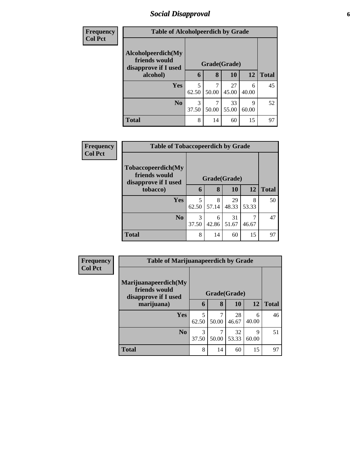### *Social Disapproval* **6**

| <b>Frequency</b> | <b>Table of Alcoholpeerdich by Grade</b> |              |       |       |       |              |  |
|------------------|------------------------------------------|--------------|-------|-------|-------|--------------|--|
| <b>Col Pct</b>   |                                          |              |       |       |       |              |  |
|                  | Alcoholpeerdich(My<br>friends would      |              |       |       |       |              |  |
|                  | disapprove if I used                     | Grade(Grade) |       |       |       |              |  |
|                  | alcohol)                                 | 6            | 8     | 10    | 12    | <b>Total</b> |  |
|                  | Yes                                      | 5            |       | 27    | 6     | 45           |  |
|                  |                                          | 62.50        | 50.00 | 45.00 | 40.00 |              |  |
|                  | N <sub>0</sub>                           | 3            |       | 33    | Q     | 52           |  |
|                  |                                          | 37.50        | 50.00 | 55.00 | 60.00 |              |  |
|                  | <b>Total</b>                             | 8            | 14    | 60    | 15    | 97           |  |

| <b>Frequency</b> | <b>Table of Tobaccopeerdich by Grade</b>                    |            |              |             |            |              |
|------------------|-------------------------------------------------------------|------------|--------------|-------------|------------|--------------|
| <b>Col Pct</b>   | Tobaccopeerdich(My<br>friends would<br>disapprove if I used |            | Grade(Grade) |             |            |              |
|                  | tobacco)                                                    | 6          | 8            | 10          | 12         | <b>Total</b> |
|                  | <b>Yes</b>                                                  | 5<br>62.50 | 8<br>57.14   | 29<br>48.33 | 8<br>53.33 | 50           |
|                  | N <sub>o</sub>                                              | 3<br>37.50 | 6<br>42.86   | 31<br>51.67 | 46.67      | 47           |
|                  | Total                                                       | 8          | 14           | 60          | 15         | 97           |

| Frequency      | <b>Table of Marijuanapeerdich by Grade</b>                    |            |              |             |                      |              |
|----------------|---------------------------------------------------------------|------------|--------------|-------------|----------------------|--------------|
| <b>Col Pct</b> | Marijuanapeerdich(My<br>friends would<br>disapprove if I used |            | Grade(Grade) |             |                      |              |
|                | marijuana)                                                    | 6          | 8            | 10          | 12                   | <b>Total</b> |
|                | <b>Yes</b>                                                    | 5<br>62.50 | 7<br>50.00   | 28<br>46.67 | 6<br>40.00           | 46           |
|                | N <sub>0</sub>                                                | 3<br>37.50 | 7<br>50.00   | 32<br>53.33 | $\mathbf Q$<br>60.00 | 51           |
|                | <b>Total</b>                                                  | 8          | 14           | 60          | 15                   | 97           |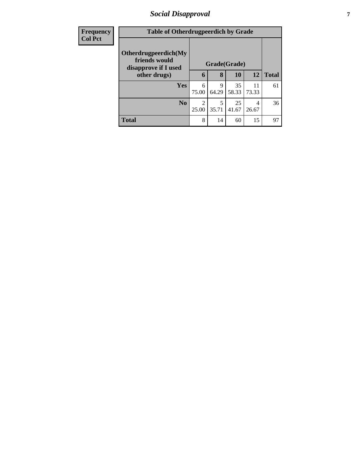### *Social Disapproval* **7**

| <b>Frequency</b> | <b>Table of Otherdrugpeerdich by Grade</b>                    |                         |              |             |             |              |
|------------------|---------------------------------------------------------------|-------------------------|--------------|-------------|-------------|--------------|
| <b>Col Pct</b>   | Otherdrugpeerdich(My<br>friends would<br>disapprove if I used |                         | Grade(Grade) |             |             |              |
|                  | other drugs)                                                  | 6                       | 8            | <b>10</b>   | <b>12</b>   | <b>Total</b> |
|                  | Yes                                                           | 6<br>75.00              | 9<br>64.29   | 35<br>58.33 | 11<br>73.33 | 61           |
|                  | N <sub>0</sub>                                                | $\mathfrak{D}$<br>25.00 | 5<br>35.71   | 25<br>41.67 | 4<br>26.67  | 36           |
|                  | <b>Total</b>                                                  | 8                       | 14           | 60          | 15          | 97           |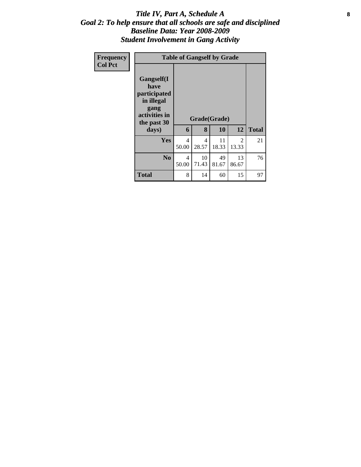#### Title IV, Part A, Schedule A **8** *Goal 2: To help ensure that all schools are safe and disciplined Baseline Data: Year 2008-2009 Student Involvement in Gang Activity*

| Frequency      |                                                                                          | <b>Table of Gangself by Grade</b> |                         |                    |                         |              |
|----------------|------------------------------------------------------------------------------------------|-----------------------------------|-------------------------|--------------------|-------------------------|--------------|
| <b>Col Pct</b> | Gangself(I<br>have<br>participated<br>in illegal<br>gang<br>activities in<br>the past 30 | 6                                 | 8                       | Grade(Grade)<br>10 | 12                      | <b>Total</b> |
|                | days)                                                                                    |                                   |                         |                    |                         |              |
|                | Yes                                                                                      | $\overline{4}$<br>50.00           | $\overline{4}$<br>28.57 | 11<br>18.33        | $\mathfrak{D}$<br>13.33 | 21           |
|                | N <sub>0</sub>                                                                           | 4<br>50.00                        | 10<br>71.43             | 49<br>81.67        | 13<br>86.67             | 76           |
|                | <b>Total</b>                                                                             | 8                                 | 14                      | 60                 | 15                      | 97           |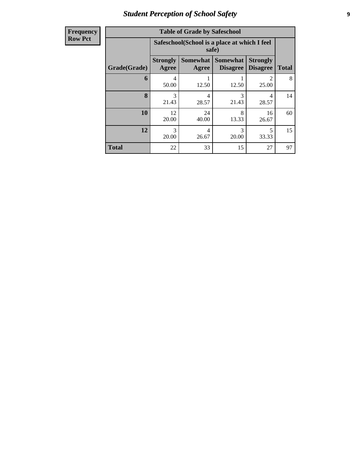# *Student Perception of School Safety* **9**

| <b>Frequency</b> |
|------------------|
| <b>Row Pct</b>   |

| <b>Table of Grade by Safeschool</b> |                          |                                                        |                                    |                                    |              |  |  |  |  |
|-------------------------------------|--------------------------|--------------------------------------------------------|------------------------------------|------------------------------------|--------------|--|--|--|--|
|                                     |                          | Safeschool (School is a place at which I feel<br>safe) |                                    |                                    |              |  |  |  |  |
| Grade(Grade)                        | <b>Strongly</b><br>Agree | <b>Somewhat</b><br>Agree                               | <b>Somewhat</b><br><b>Disagree</b> | <b>Strongly</b><br><b>Disagree</b> | <b>Total</b> |  |  |  |  |
| 6                                   | 4<br>50.00               | 12.50                                                  | 12.50                              | 25.00                              | 8            |  |  |  |  |
| 8                                   | 3<br>21.43               | 4<br>28.57                                             | $\mathcal{R}$<br>21.43             | 4<br>28.57                         | 14           |  |  |  |  |
| 10                                  | 12<br>20.00              | 24<br>40.00                                            | 8<br>13.33                         | 16<br>26.67                        | 60           |  |  |  |  |
| 12                                  | 3<br>20.00               | 5<br>3<br>4<br>20.00<br>33.33<br>26.67                 |                                    |                                    |              |  |  |  |  |
| <b>Total</b>                        | 22                       | 33                                                     | 15                                 | 27                                 | 97           |  |  |  |  |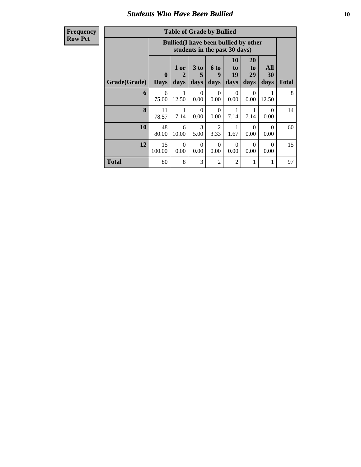#### *Students Who Have Been Bullied* **10**

**Frequency Row Pct**

| <b>Table of Grade by Bullied</b> |                             |                                                                               |                   |                        |                               |                        |                   |              |
|----------------------------------|-----------------------------|-------------------------------------------------------------------------------|-------------------|------------------------|-------------------------------|------------------------|-------------------|--------------|
|                                  |                             | <b>Bullied</b> (I have been bullied by other<br>students in the past 30 days) |                   |                        |                               |                        |                   |              |
| Grade(Grade)                     | $\mathbf{0}$<br><b>Days</b> | 1 or<br>2<br>days                                                             | 3 to<br>5<br>days | 6 to<br>9<br>days      | <b>10</b><br>to<br>19<br>days | 20<br>to<br>29<br>days | All<br>30<br>days | <b>Total</b> |
| 6                                | 6<br>75.00                  | 12.50                                                                         | $\Omega$<br>0.00  | $\Omega$<br>0.00       | $\Omega$<br>0.00              | $\Omega$<br>0.00       | 12.50             | 8            |
| 8                                | 11<br>78.57                 | 7.14                                                                          | $\Omega$<br>0.00  | $\Omega$<br>0.00       | 7.14                          | 1<br>7.14              | $\Omega$<br>0.00  | 14           |
| 10                               | 48<br>80.00                 | 6<br>10.00                                                                    | 3<br>5.00         | $\overline{2}$<br>3.33 | 1.67                          | $\Omega$<br>0.00       | $\Omega$<br>0.00  | 60           |
| 12                               | 15<br>100.00                | $\Omega$<br>0.00                                                              | $\Omega$<br>0.00  | $\Omega$<br>0.00       | $\Omega$<br>0.00              | $\Omega$<br>0.00       | $\Omega$<br>0.00  | 15           |
| Total                            | 80                          | 8                                                                             | 3                 | $\overline{2}$         | $\overline{2}$                | 1                      | 1                 | 97           |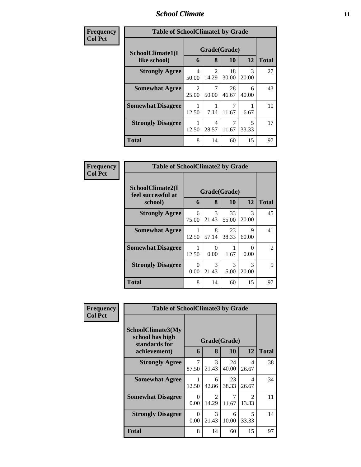#### *School Climate* **11**

| Frequency      | <b>Table of SchoolClimate1 by Grade</b> |                                      |                         |             |            |              |  |
|----------------|-----------------------------------------|--------------------------------------|-------------------------|-------------|------------|--------------|--|
| <b>Col Pct</b> | SchoolClimate1(I                        | Grade(Grade)                         |                         |             |            |              |  |
|                | like school)                            | 6                                    | 8                       | 10          | 12         | <b>Total</b> |  |
|                | <b>Strongly Agree</b>                   | $\overline{\mathcal{A}}$<br>50.00    | $\overline{2}$<br>14.29 | 18<br>30.00 | 3<br>20.00 | 27           |  |
|                | <b>Somewhat Agree</b>                   | $\mathcal{D}_{\mathcal{L}}$<br>25.00 | 7<br>50.00              | 28<br>46.67 | 6<br>40.00 | 43           |  |
|                | <b>Somewhat Disagree</b>                | 12.50                                | 7.14                    | 11.67       | 6.67       | 10           |  |
|                | <b>Strongly Disagree</b>                | 12.50                                | 4<br>28.57              | 11.67       | 5<br>33.33 | 17           |  |
|                | <b>Total</b>                            | 8                                    | 14                      | 60          | 15         | 97           |  |

| Frequency      | <b>Table of SchoolClimate2 by Grade</b>           |                  |                        |             |                           |                |
|----------------|---------------------------------------------------|------------------|------------------------|-------------|---------------------------|----------------|
| <b>Col Pct</b> | SchoolClimate2(I<br>feel successful at<br>school) | 6                | Grade(Grade)<br>8      | 10          | 12                        | <b>Total</b>   |
|                | <b>Strongly Agree</b>                             | 6<br>75.00       | $\mathcal{F}$<br>21.43 | 33<br>55.00 | $\mathcal{R}$<br>20.00    | 45             |
|                | <b>Somewhat Agree</b>                             | 12.50            | 8<br>57.14             | 23<br>38.33 | 9<br>60.00                | 41             |
|                | <b>Somewhat Disagree</b>                          | 12.50            | $\mathbf{0}$<br>0.00   | 1.67        | $\mathbf{\Omega}$<br>0.00 | $\mathfrak{D}$ |
|                | <b>Strongly Disagree</b>                          | $\Omega$<br>0.00 | $\mathcal{R}$<br>21.43 | 3<br>5.00   | $\mathcal{R}$<br>20.00    | 9              |
|                | Total                                             | 8                | 14                     | 60          | 15                        | 97             |

| Frequency      | <b>Table of SchoolClimate3 by Grade</b>                               |                  |                         |             |                        |              |
|----------------|-----------------------------------------------------------------------|------------------|-------------------------|-------------|------------------------|--------------|
| <b>Col Pct</b> | SchoolClimate3(My<br>school has high<br>standards for<br>achievement) | 6                | Grade(Grade)<br>8       | 10          | 12                     | <b>Total</b> |
|                | <b>Strongly Agree</b>                                                 | $\tau$<br>87.50  | $\mathcal{F}$<br>21.43  | 24<br>40.00 | 4<br>26.67             | 38           |
|                | <b>Somewhat Agree</b>                                                 | 12.50            | 6<br>42.86              | 23<br>38.33 | 4<br>26.67             | 34           |
|                | <b>Somewhat Disagree</b>                                              | $\Omega$<br>0.00 | $\mathfrak{D}$<br>14.29 | 7<br>11.67  | $\mathcal{D}$<br>13.33 | 11           |
|                | <b>Strongly Disagree</b>                                              | $\Omega$<br>0.00 | 3<br>21.43              | 6<br>10.00  | 5<br>33.33             | 14           |
|                | <b>Total</b>                                                          | 8                | 14                      | 60          | 15                     | 97           |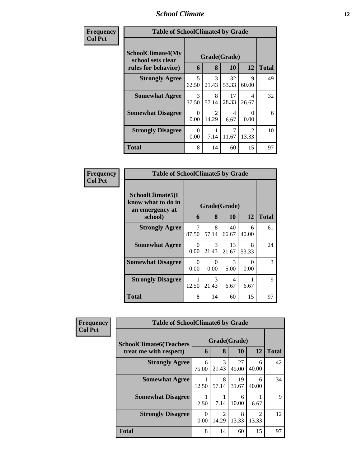#### *School Climate* **12**

 $\overline{\phantom{a}}$ 

| Frequency      | <b>Table of SchoolClimate4 by Grade</b>                              |                        |                        |             |                         |              |
|----------------|----------------------------------------------------------------------|------------------------|------------------------|-------------|-------------------------|--------------|
| <b>Col Pct</b> | <b>SchoolClimate4(My</b><br>school sets clear<br>rules for behavior) | 6                      | Grade(Grade)<br>8      | <b>10</b>   | 12                      | <b>Total</b> |
|                | <b>Strongly Agree</b>                                                | 5<br>62.50             | 3<br>21.43             | 32<br>53.33 | $\mathbf Q$<br>60.00    | 49           |
|                | <b>Somewhat Agree</b>                                                | $\mathcal{R}$<br>37.50 | 8<br>57.14             | 17<br>28.33 | $\overline{4}$<br>26.67 | 32           |
|                | <b>Somewhat Disagree</b>                                             | 0<br>0.00              | $\mathcal{D}$<br>14.29 | 4<br>6.67   | $\Omega$<br>0.00        | 6            |
|                | <b>Strongly Disagree</b>                                             | 0<br>0.00              | 7.14                   | 7<br>11.67  | $\mathfrak{D}$<br>13.33 | 10           |
|                | <b>Total</b>                                                         | 8                      | 14                     | 60          | 15                      | 97           |

| Frequency      | <b>Table of SchoolClimate5 by Grade</b>                   |                  |                        |             |                  |              |  |  |
|----------------|-----------------------------------------------------------|------------------|------------------------|-------------|------------------|--------------|--|--|
| <b>Col Pct</b> | SchoolClimate5(I<br>know what to do in<br>an emergency at |                  | Grade(Grade)           |             |                  |              |  |  |
|                | school)                                                   | 6                | 8                      | 10          | 12               | <b>Total</b> |  |  |
|                | <b>Strongly Agree</b>                                     | 7<br>87.50       | 8<br>57.14             | 40<br>66.67 | 6<br>40.00       | 61           |  |  |
|                | <b>Somewhat Agree</b>                                     | $\Omega$<br>0.00 | 3<br>21.43             | 13<br>21.67 | 8<br>53.33       | 24           |  |  |
|                | <b>Somewhat Disagree</b>                                  | $\theta$<br>0.00 | $\Omega$<br>0.00       | 3<br>5.00   | $\Omega$<br>0.00 | 3            |  |  |
|                | <b>Strongly Disagree</b>                                  | 12.50            | $\mathcal{F}$<br>21.43 | 4<br>6.67   | 6.67             | 9            |  |  |
|                | Total                                                     | 8                | 14                     | 60          | 15               | 97           |  |  |

| <b>Frequency</b> | <b>Table of SchoolClimate6 by Grade</b> |                  |                        |             |                                      |              |  |  |  |
|------------------|-----------------------------------------|------------------|------------------------|-------------|--------------------------------------|--------------|--|--|--|
| <b>Col Pct</b>   | <b>SchoolClimate6(Teachers</b>          | Grade(Grade)     |                        |             |                                      |              |  |  |  |
|                  | treat me with respect)                  | 6                | 8                      | 10          | 12                                   | <b>Total</b> |  |  |  |
|                  | <b>Strongly Agree</b>                   | 6<br>75.00       | 3<br>21.43             | 27<br>45.00 | 6<br>40.00                           | 42           |  |  |  |
|                  | <b>Somewhat Agree</b>                   | 12.50            | 8<br>57.14             | 19<br>31.67 | 6<br>40.00                           | 34           |  |  |  |
|                  | <b>Somewhat Disagree</b>                | 12.50            | 7.14                   | 6<br>10.00  | 6.67                                 | 9            |  |  |  |
|                  | <b>Strongly Disagree</b>                | $\Omega$<br>0.00 | $\mathcal{D}$<br>14.29 | 8<br>13.33  | $\mathcal{D}_{\mathcal{L}}$<br>13.33 | 12           |  |  |  |
|                  | <b>Total</b>                            | 8                | 14                     | 60          | 15                                   | 97           |  |  |  |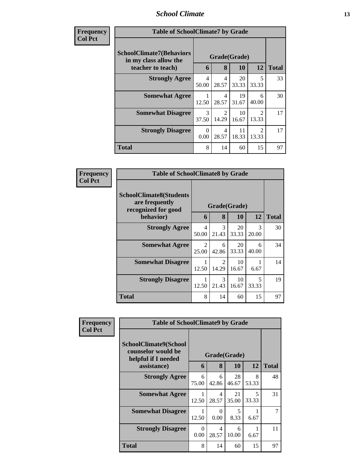#### *School Climate* **13**

| Frequency<br><b>Col Pet</b> |
|-----------------------------|
|-----------------------------|

| ncy | <b>Table of SchoolClimate7 by Grade</b>                                       |                   |                         |             |                                      |    |  |  |  |  |
|-----|-------------------------------------------------------------------------------|-------------------|-------------------------|-------------|--------------------------------------|----|--|--|--|--|
|     | <b>SchoolClimate7(Behaviors</b><br>in my class allow the<br>teacher to teach) | Grade(Grade)<br>6 | <b>Total</b>            |             |                                      |    |  |  |  |  |
|     | <b>Strongly Agree</b>                                                         | 4<br>50.00        | 4<br>28.57              | 20<br>33.33 | 5<br>33.33                           | 33 |  |  |  |  |
|     | <b>Somewhat Agree</b>                                                         | 12.50             | 4<br>28.57              | 19<br>31.67 | 6<br>40.00                           | 30 |  |  |  |  |
|     | <b>Somewhat Disagree</b>                                                      | 3<br>37.50        | $\mathfrak{D}$<br>14.29 | 10<br>16.67 | $\mathcal{D}_{\mathcal{L}}$<br>13.33 | 17 |  |  |  |  |
|     | <b>Strongly Disagree</b>                                                      | 0<br>0.00         | 4<br>28.57              | 11<br>18.33 | $\mathcal{D}_{\mathcal{A}}$<br>13.33 | 17 |  |  |  |  |
|     | <b>Total</b>                                                                  | 8                 | 14                      | 60          | 15                                   | 97 |  |  |  |  |

| Frequency      | <b>Table of SchoolClimate8 by Grade</b>                                 |                         |                        |             |                        |              |
|----------------|-------------------------------------------------------------------------|-------------------------|------------------------|-------------|------------------------|--------------|
| <b>Col Pct</b> | <b>SchoolClimate8(Students</b><br>are frequently<br>recognized for good |                         | Grade(Grade)           |             |                        |              |
|                | behavior)                                                               | 6                       | 8                      | 10          | 12                     | <b>Total</b> |
|                | <b>Strongly Agree</b>                                                   | $\overline{4}$<br>50.00 | 3<br>21.43             | 20<br>33.33 | $\mathcal{R}$<br>20.00 | 30           |
|                | <b>Somewhat Agree</b>                                                   | $\mathfrak{D}$<br>25.00 | 6<br>42.86             | 20<br>33.33 | 6<br>40.00             | 34           |
|                | <b>Somewhat Disagree</b>                                                | 1<br>12.50              | 2<br>14.29             | 10<br>16.67 | 6.67                   | 14           |
|                | <b>Strongly Disagree</b>                                                | 1<br>12.50              | $\mathcal{F}$<br>21.43 | 10<br>16.67 | 5<br>33.33             | 19           |
|                | <b>Total</b>                                                            | 8                       | 14                     | 60          | 15                     | 97           |

| Frequency<br><b>Col Pct</b> | <b>Table of SchoolClimate9 by Grade</b>                            |                  |            |             |            |              |  |  |
|-----------------------------|--------------------------------------------------------------------|------------------|------------|-------------|------------|--------------|--|--|
|                             | SchoolClimate9(School<br>counselor would be<br>helpful if I needed | Grade(Grade)     |            |             |            |              |  |  |
|                             | assistance)                                                        | 6                | 8          | 10          | <b>12</b>  | <b>Total</b> |  |  |
|                             | <b>Strongly Agree</b>                                              | 6<br>75.00       | 6<br>42.86 | 28<br>46.67 | 8<br>53.33 | 48           |  |  |
|                             | <b>Somewhat Agree</b>                                              | 12.50            | 4<br>28.57 | 21<br>35.00 | 5<br>33.33 | 31           |  |  |
|                             | <b>Somewhat Disagree</b>                                           | 12.50            | 0<br>0.00  | 5<br>8.33   | 6.67       | 7            |  |  |
|                             | <b>Strongly Disagree</b>                                           | $\Omega$<br>0.00 | 4<br>28.57 | 6<br>10.00  | 6.67       | 11           |  |  |
|                             | <b>Total</b>                                                       | 8                | 14         | 60          | 15         | 97           |  |  |

Ŧ.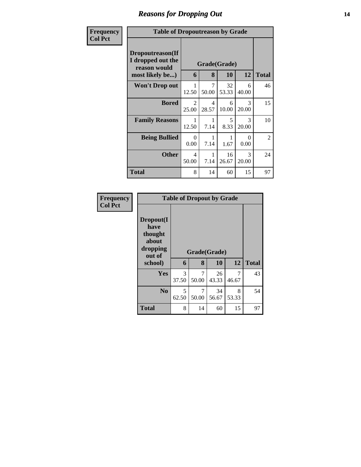# *Reasons for Dropping Out* **14**

| <b>Frequency</b> |                                                                          |            |                         |             | <b>Table of Dropoutreason by Grade</b> |                |  |  |  |  |  |  |  |
|------------------|--------------------------------------------------------------------------|------------|-------------------------|-------------|----------------------------------------|----------------|--|--|--|--|--|--|--|
| <b>Col Pct</b>   | Dropoutreason(If<br>I dropped out the<br>reason would<br>most likely be) | 6          | Grade(Grade)<br>8       | 10          | 12                                     | <b>Total</b>   |  |  |  |  |  |  |  |
|                  | <b>Won't Drop out</b>                                                    | 1<br>12.50 | 7<br>50.00              | 32<br>53.33 | 6<br>40.00                             | 46             |  |  |  |  |  |  |  |
|                  | <b>Bored</b>                                                             | 2<br>25.00 | $\overline{4}$<br>28.57 | 6<br>10.00  | 3<br>20.00                             | 15             |  |  |  |  |  |  |  |
|                  | <b>Family Reasons</b>                                                    | 1<br>12.50 | 1<br>7.14               | 5<br>8.33   | $\mathcal{F}$<br>20.00                 | 10             |  |  |  |  |  |  |  |
|                  | <b>Being Bullied</b>                                                     | 0<br>0.00  | 7.14                    | 1.67        | ∩<br>0.00                              | $\overline{2}$ |  |  |  |  |  |  |  |
|                  | <b>Other</b>                                                             | 4<br>50.00 | 1<br>7.14               | 16<br>26.67 | 3<br>20.00                             | 24             |  |  |  |  |  |  |  |
|                  | Total                                                                    | 8          | 14                      | 60          | 15                                     | 97             |  |  |  |  |  |  |  |

| Frequency      | <b>Table of Dropout by Grade</b>                            |            |              |             |            |              |
|----------------|-------------------------------------------------------------|------------|--------------|-------------|------------|--------------|
| <b>Col Pct</b> | Dropout(I<br>have<br>thought<br>about<br>dropping<br>out of |            | Grade(Grade) |             |            |              |
|                | school)                                                     | 6          | 8            | 10          | 12         | <b>Total</b> |
|                | Yes                                                         | 3<br>37.50 | 7<br>50.00   | 26<br>43.33 | 46.67      | 43           |
|                | N <sub>0</sub>                                              | 5<br>62.50 | 7<br>50.00   | 34<br>56.67 | 8<br>53.33 | 54           |
|                | <b>Total</b>                                                | 8          | 14           | 60          | 15         | 97           |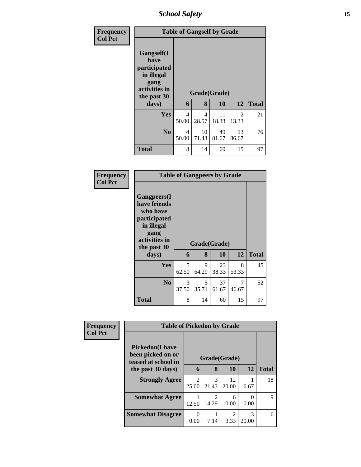*School Safety* **15**

| Frequency      | <b>Table of Gangself by Grade</b>                                                        |            |             |              |                        |              |  |
|----------------|------------------------------------------------------------------------------------------|------------|-------------|--------------|------------------------|--------------|--|
| <b>Col Pct</b> | Gangself(I<br>have<br>participated<br>in illegal<br>gang<br>activities in<br>the past 30 |            |             | Grade(Grade) |                        |              |  |
|                | days)                                                                                    | 6          | 8           | 10           | 12                     | <b>Total</b> |  |
|                | Yes                                                                                      | 4<br>50.00 | 4<br>28.57  | 11<br>18.33  | $\mathcal{L}$<br>13.33 | 21           |  |
|                | N <sub>0</sub>                                                                           | 4<br>50.00 | 10<br>71.43 | 49<br>81.67  | 13<br>86.67            | 76           |  |
|                | <b>Total</b>                                                                             | 8          | 14          | 60           | 15                     | 97           |  |

| <b>Frequency</b> |
|------------------|
| <b>Col Pct</b>   |

| <b>Table of Gangpeers by Grade</b>                                                                                    |            |              |             |            |              |  |  |  |  |
|-----------------------------------------------------------------------------------------------------------------------|------------|--------------|-------------|------------|--------------|--|--|--|--|
| <b>Gangpeers</b> (I<br>have friends<br>who have<br>participated<br>in illegal<br>gang<br>activities in<br>the past 30 |            | Grade(Grade) |             |            |              |  |  |  |  |
| days)                                                                                                                 | 6          | 8            | 10          | 12         | <b>Total</b> |  |  |  |  |
| Yes                                                                                                                   | 5<br>62.50 | 9<br>64.29   | 23<br>38.33 | 8<br>53.33 | 45           |  |  |  |  |
| N <sub>0</sub>                                                                                                        | 3<br>37.50 | 5<br>35.71   | 37<br>61.67 | 46.67      | 52           |  |  |  |  |
| Total                                                                                                                 | 8          | 14           | 60          | 15         | 97           |  |  |  |  |

| Frequency<br><b>Col Pct</b> | <b>Table of Pickedon by Grade</b>                                   |                         |                         |             |                        |              |  |
|-----------------------------|---------------------------------------------------------------------|-------------------------|-------------------------|-------------|------------------------|--------------|--|
|                             | <b>Pickedon</b> (I have<br>been picked on or<br>teased at school in | Grade(Grade)            |                         |             |                        |              |  |
|                             | the past 30 days)                                                   | 6                       | 8                       | 10          | 12                     | <b>Total</b> |  |
|                             | <b>Strongly Agree</b>                                               | $\mathfrak{D}$<br>25.00 | 3<br>21.43              | 12<br>20.00 | 6.67                   | 18           |  |
|                             | <b>Somewhat Agree</b>                                               | 12.50                   | $\mathfrak{D}$<br>14.29 | 6<br>10.00  | 0.00                   | $\mathbf Q$  |  |
|                             | <b>Somewhat Disagree</b>                                            | $\mathbf{0}$<br>0.00    | 7.14                    | 3.33        | $\mathcal{R}$<br>20.00 | 6            |  |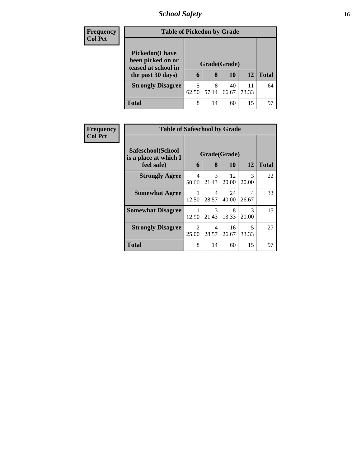# *School Safety* **16**

| <b>Frequency</b> |                                                                     | <b>Table of Pickedon by Grade</b> |            |             |             |              |  |  |  |  |
|------------------|---------------------------------------------------------------------|-----------------------------------|------------|-------------|-------------|--------------|--|--|--|--|
| <b>Col Pct</b>   | <b>Pickedon</b> (I have<br>been picked on or<br>teased at school in | Grade(Grade)                      |            |             |             |              |  |  |  |  |
|                  | the past 30 days)                                                   | 6                                 | 8          | 10          | 12          | <b>Total</b> |  |  |  |  |
|                  | <b>Strongly Disagree</b>                                            | 62.50                             | 8<br>57.14 | 40<br>66.67 | 11<br>73.33 | 64           |  |  |  |  |
|                  | <b>Total</b>                                                        | 8                                 | 14         | 60          | 15          | 97           |  |  |  |  |

| <b>Frequency</b> | <b>Table of Safeschool by Grade</b>        |                         |                                   |             |                         |              |
|------------------|--------------------------------------------|-------------------------|-----------------------------------|-------------|-------------------------|--------------|
| <b>Col Pct</b>   | Safeschool(School<br>is a place at which I | Grade(Grade)            |                                   |             |                         |              |
|                  | feel safe)                                 | 6                       | 8                                 | <b>10</b>   | 12                      | <b>Total</b> |
|                  | <b>Strongly Agree</b>                      | $\overline{4}$<br>50.00 | 3<br>21.43                        | 12<br>20.00 | 3<br>20.00              | 22           |
|                  | <b>Somewhat Agree</b>                      | 12.50                   | 4<br>28.57                        | 24<br>40.00 | $\overline{4}$<br>26.67 | 33           |
|                  | <b>Somewhat Disagree</b>                   | 1<br>12.50              | $\mathcal{R}$<br>21.43            | 8<br>13.33  | $\mathcal{R}$<br>20.00  | 15           |
|                  | <b>Strongly Disagree</b>                   | 2<br>25.00              | $\overline{\mathcal{A}}$<br>28.57 | 16<br>26.67 | 5<br>33.33              | 27           |
|                  | <b>Total</b>                               | 8                       | 14                                | 60          | 15                      | 97           |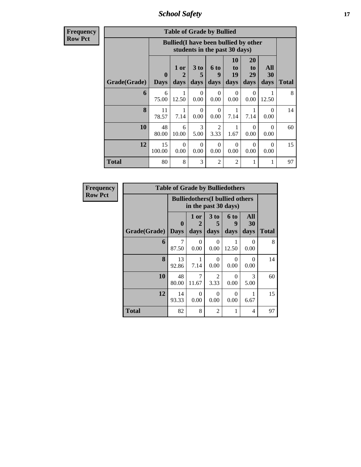*School Safety* **17**

**Frequency Row Pct**

| <b>Table of Grade by Bullied</b> |                             |                                              |                   |                               |                               |                        |                   |       |  |  |  |
|----------------------------------|-----------------------------|----------------------------------------------|-------------------|-------------------------------|-------------------------------|------------------------|-------------------|-------|--|--|--|
|                                  |                             | <b>Bullied</b> (I have been bullied by other |                   | students in the past 30 days) |                               |                        |                   |       |  |  |  |
| Grade(Grade)                     | $\mathbf{0}$<br><b>Days</b> | 1 or<br>$\overline{2}$<br>days               | 3 to<br>5<br>days | 6 to<br>9<br>days             | <b>10</b><br>to<br>19<br>days | 20<br>to<br>29<br>days | All<br>30<br>days | Total |  |  |  |
| 6                                | 6<br>75.00                  | 1<br>12.50                                   | $\Omega$<br>0.00  | $\Omega$<br>0.00              | $\Omega$<br>0.00              | $\Omega$<br>0.00       | 12.50             | 8     |  |  |  |
| 8                                | 11<br>78.57                 | 1<br>7.14                                    | $\Omega$<br>0.00  | $\Omega$<br>0.00              | 1<br>7.14                     | 7.14                   | $\Omega$<br>0.00  | 14    |  |  |  |
| 10                               | 48<br>80.00                 | 6<br>10.00                                   | 3<br>5.00         | $\overline{2}$<br>3.33        | 1.67                          | $\Omega$<br>0.00       | $\Omega$<br>0.00  | 60    |  |  |  |
| 12                               | 15<br>100.00                | $\Omega$<br>0.00                             | $\Omega$<br>0.00  | $\Omega$<br>0.00              | $\Omega$<br>0.00              | $\Omega$<br>0.00       | $\Omega$<br>0.00  | 15    |  |  |  |
| Total                            | 80                          | 8                                            | 3                 | $\overline{2}$                | 2                             | 1                      | 1                 | 97    |  |  |  |

| <b>Frequency</b> | <b>Table of Grade by Bulliedothers</b> |                             |                                                                |                              |                              |                   |              |  |  |  |  |
|------------------|----------------------------------------|-----------------------------|----------------------------------------------------------------|------------------------------|------------------------------|-------------------|--------------|--|--|--|--|
| <b>Row Pct</b>   |                                        |                             | <b>Bulliedothers</b> (I bullied others<br>in the past 30 days) |                              |                              |                   |              |  |  |  |  |
|                  | Grade(Grade)                           | $\mathbf{0}$<br><b>Days</b> | 1 or<br>2<br>days                                              | 3 <sub>to</sub><br>5<br>days | 6 <sub>to</sub><br>9<br>days | All<br>30<br>days | <b>Total</b> |  |  |  |  |
|                  | 6                                      | 7<br>87.50                  | $\Omega$<br>0.00                                               | $\Omega$<br>0.00             | 1<br>12.50                   | 0<br>0.00         | 8            |  |  |  |  |
|                  | 8                                      | 13<br>92.86                 | 7.14                                                           | $\Omega$<br>0.00             | $\Omega$<br>0.00             | 0<br>0.00         | 14           |  |  |  |  |
|                  | 10                                     | 48<br>80.00                 | 7<br>11.67                                                     | 2<br>3.33                    | 0<br>0.00                    | 3<br>5.00         | 60           |  |  |  |  |
|                  | 12                                     | 14<br>93.33                 | $\Omega$<br>0.00                                               | 0<br>0.00                    | $\Omega$<br>0.00             | 6.67              | 15           |  |  |  |  |
|                  | Total                                  | 82                          | 8                                                              | $\overline{2}$               | 1                            | 4                 | 97           |  |  |  |  |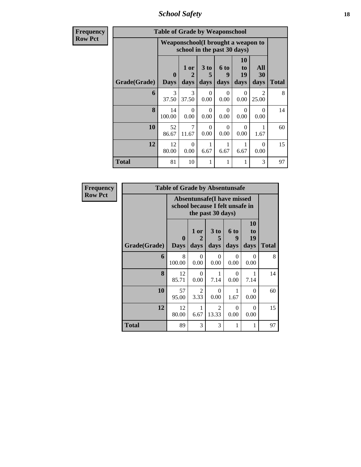*School Safety* **18**

| F reque |
|---------|
| Kow-    |

| uency |              | <b>Table of Grade by Weaponschool</b> |                              |                   |                          |                        |                         |              |  |  |  |  |  |
|-------|--------------|---------------------------------------|------------------------------|-------------------|--------------------------|------------------------|-------------------------|--------------|--|--|--|--|--|
| Pct   |              | Weaponschool(I brought a weapon to    | school in the past 30 days)  |                   |                          |                        |                         |              |  |  |  |  |  |
|       | Grade(Grade) | $\mathbf{0}$<br><b>Days</b>           | 1 or<br>$\mathbf{2}$<br>days | 3 to<br>5<br>days | <b>6 to</b><br>9<br>days | 10<br>to<br>19<br>days | All<br>30<br>days       | <b>Total</b> |  |  |  |  |  |
|       | 6            | 3<br>37.50                            | 3<br>37.50                   | $\Omega$<br>0.00  | $\Omega$<br>0.00         | $\Omega$<br>0.00       | $\mathfrak{D}$<br>25.00 | 8            |  |  |  |  |  |
|       | 8            | 14<br>100.00                          | $\Omega$<br>0.00             | $\Omega$<br>0.00  | $\Omega$<br>0.00         | $\Omega$<br>0.00       | 0<br>0.00               | 14           |  |  |  |  |  |
|       | 10           | 52<br>86.67                           | $\overline{7}$<br>11.67      | $\Omega$<br>0.00  | $\Omega$<br>0.00         | $\Omega$<br>0.00       | 1.67                    | 60           |  |  |  |  |  |
|       | 12           | 12<br>80.00                           | $\Omega$<br>0.00             | 6.67              | 6.67                     | 6.67                   | $\Omega$<br>0.00        | 15           |  |  |  |  |  |
|       | <b>Total</b> | 81                                    | 10                           | 1                 | 1                        | 1                      | 3                       | 97           |  |  |  |  |  |

| Frequency      |              | <b>Table of Grade by Absentunsafe</b> |                   |                                                                                           |                              |                               |              |
|----------------|--------------|---------------------------------------|-------------------|-------------------------------------------------------------------------------------------|------------------------------|-------------------------------|--------------|
| <b>Row Pct</b> |              |                                       |                   | <b>Absentunsafe(I have missed</b><br>school because I felt unsafe in<br>the past 30 days) |                              |                               |              |
|                | Grade(Grade) | 0<br><b>Days</b>                      | 1 or<br>2<br>days | 3 to<br>5<br>days                                                                         | 6 <sub>to</sub><br>9<br>days | <b>10</b><br>to<br>19<br>days | <b>Total</b> |
|                | 6            | 8<br>100.00                           | $\Omega$<br>0.00  | $\Omega$<br>0.00                                                                          | $\Omega$<br>0.00             | $\Omega$<br>0.00              | 8            |
|                | 8            | 12<br>85.71                           | $\Omega$<br>0.00  | 7.14                                                                                      | $\Omega$<br>0.00             | 7.14                          | 14           |
|                | 10           | 57<br>95.00                           | 2<br>3.33         | $\Omega$<br>0.00                                                                          | 1<br>1.67                    | $\Omega$<br>0.00              | 60           |
|                | 12           | 12<br>80.00                           | 1<br>6.67         | $\overline{2}$<br>13.33                                                                   | $\Omega$<br>0.00             | $\Omega$<br>0.00              | 15           |
|                | <b>Total</b> | 89                                    | 3                 | 3                                                                                         | 1                            | 1                             | 97           |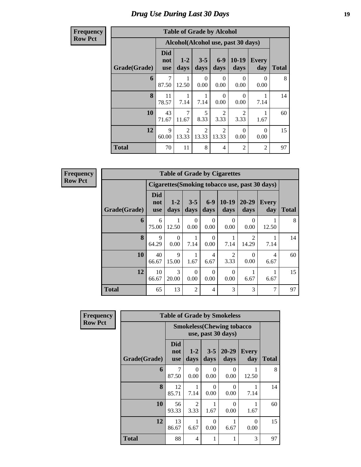#### **Frequency Row Pct**

| <b>Table of Grade by Alcohol</b> |                                 |                                                                                                               |                         |                         |                        |                  |    |  |  |  |  |
|----------------------------------|---------------------------------|---------------------------------------------------------------------------------------------------------------|-------------------------|-------------------------|------------------------|------------------|----|--|--|--|--|
|                                  |                                 | Alcohol(Alcohol use, past 30 days)                                                                            |                         |                         |                        |                  |    |  |  |  |  |
| Grade(Grade)                     | <b>Did</b><br>not<br><b>use</b> | $3 - 5$<br>$6 - 9$<br>10-19<br>$1 - 2$<br><b>Every</b><br><b>Total</b><br>days<br>day<br>days<br>days<br>days |                         |                         |                        |                  |    |  |  |  |  |
| 6                                | 7<br>87.50                      | 1<br>12.50                                                                                                    | 0<br>0.00               | 0<br>0.00               | 0<br>0.00              | 0<br>0.00        | 8  |  |  |  |  |
| 8                                | 11<br>78.57                     | 7.14                                                                                                          | 7.14                    | 0<br>0.00               | 0<br>0.00              | 1<br>7.14        | 14 |  |  |  |  |
| 10                               | 43<br>71.67                     | 7<br>11.67                                                                                                    | 5<br>8.33               | $\mathfrak{D}$<br>3.33  | $\mathfrak{D}$<br>3.33 | 1<br>1.67        | 60 |  |  |  |  |
| 12                               | 9<br>60.00                      | $\overline{2}$<br>13.33                                                                                       | $\mathfrak{D}$<br>13.33 | $\mathfrak{D}$<br>13.33 | 0<br>0.00              | $\Omega$<br>0.00 | 15 |  |  |  |  |
| <b>Total</b>                     | 70                              | 11                                                                                                            | 8                       | 4                       | $\overline{2}$         | $\overline{2}$   | 97 |  |  |  |  |

**Frequency Row Pct**

| <b>Table of Grade by Cigarettes</b> |                                 |                                                |                  |                  |                        |                         |              |              |  |  |  |
|-------------------------------------|---------------------------------|------------------------------------------------|------------------|------------------|------------------------|-------------------------|--------------|--------------|--|--|--|
|                                     |                                 | Cigarettes (Smoking tobacco use, past 30 days) |                  |                  |                        |                         |              |              |  |  |  |
| Grade(Grade)                        | <b>Did</b><br>not<br><b>use</b> | $1-2$<br>days                                  | $3 - 5$<br>days  | $6 - 9$<br>days  | $10-19$<br>days        | $20 - 29$<br>days       | Every<br>day | <b>Total</b> |  |  |  |
| 6                                   | 6<br>75.00                      | 12.50                                          | $\Omega$<br>0.00 | $\theta$<br>0.00 | 0<br>0.00              | 0<br>0.00               | 12.50        | 8            |  |  |  |
| 8                                   | 9<br>64.29                      | 0<br>0.00                                      | 7.14             | 0<br>0.00        | 7.14                   | $\mathfrak{D}$<br>14.29 | 7.14         | 14           |  |  |  |
| 10                                  | 40<br>66.67                     | 9<br>15.00                                     | 1.67             | 4<br>6.67        | $\mathfrak{D}$<br>3.33 | 0<br>0.00               | 4<br>6.67    | 60           |  |  |  |
| 12                                  | 10<br>66.67                     | 3<br>20.00                                     | $\Omega$<br>0.00 | 0.00             | 0<br>0.00              | 6.67                    | 6.67         | 15           |  |  |  |
| <b>Total</b>                        | 65                              | 13                                             | $\overline{2}$   | 4                | 3                      | 3                       | 7            | 97           |  |  |  |

| <b>Frequency</b> | <b>Table of Grade by Smokeless</b> |                                 |                                   |                  |                   |                     |              |  |  |  |
|------------------|------------------------------------|---------------------------------|-----------------------------------|------------------|-------------------|---------------------|--------------|--|--|--|
| <b>Row Pct</b>   |                                    |                                 | <b>Smokeless</b> (Chewing tobacco |                  |                   |                     |              |  |  |  |
|                  | Grade(Grade)                       | <b>Did</b><br>not<br><b>use</b> | $1-2$<br>days                     | $3 - 5$<br>days  | $20 - 29$<br>days | <b>Every</b><br>day | <b>Total</b> |  |  |  |
|                  | 6                                  | 7<br>87.50                      | $\Omega$<br>0.00                  | 0<br>0.00        | $\Omega$<br>0.00  | 12.50               | 8            |  |  |  |
|                  | 8                                  | 12<br>85.71                     | 7.14                              | 0<br>0.00        | $\Omega$<br>0.00  | 7.14                | 14           |  |  |  |
|                  | 10                                 | 56<br>93.33                     | $\mathfrak{D}$<br>3.33            | 1.67             | $\Omega$<br>0.00  | 1.67                | 60           |  |  |  |
|                  | 12                                 | 13<br>86.67                     | 1<br>6.67                         | $\Omega$<br>0.00 | 1<br>6.67         | $\Omega$<br>0.00    | 15           |  |  |  |
|                  | <b>Total</b>                       | 88                              | 4                                 | 1                | 1                 | 3                   | 97           |  |  |  |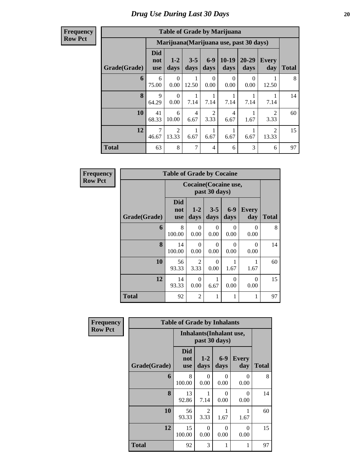| <b>Frequency</b> |
|------------------|
| <b>Row Pct</b>   |

| <b>Table of Grade by Marijuana</b> |                                 |                                         |                        |               |                        |                  |                         |              |  |  |  |
|------------------------------------|---------------------------------|-----------------------------------------|------------------------|---------------|------------------------|------------------|-------------------------|--------------|--|--|--|
|                                    |                                 | Marijuana (Marijuana use, past 30 days) |                        |               |                        |                  |                         |              |  |  |  |
| Grade(Grade)                       | <b>Did</b><br>not<br><b>use</b> | $1-2$<br>days                           | $3 - 5$<br>days        | $6-9$<br>days | $10-19$<br>days        | 20-29<br>days    | Every<br>day            | <b>Total</b> |  |  |  |
| 6                                  | 6<br>75.00                      | 0<br>0.00                               | 1<br>12.50             | 0<br>0.00     | 0<br>0.00              | $\Omega$<br>0.00 | 12.50                   | 8            |  |  |  |
| 8                                  | 9<br>64.29                      | $\Omega$<br>0.00                        | 1<br>7.14              | 7.14          | 1<br>7.14              | 7.14             | 7.14                    | 14           |  |  |  |
| 10                                 | 41<br>68.33                     | 6<br>10.00                              | $\overline{4}$<br>6.67 | 2<br>3.33     | $\overline{4}$<br>6.67 | 1.67             | $\mathfrak{D}$<br>3.33  | 60           |  |  |  |
| 12                                 | 7<br>46.67                      | $\mathfrak{D}$<br>13.33                 | 6.67                   | 6.67          | 6.67                   | 6.67             | $\mathfrak{D}$<br>13.33 | 15           |  |  |  |
| <b>Total</b>                       | 63                              | 8                                       | 7                      | 4             | 6                      | 3                | 6                       | 97           |  |  |  |

| <b>Frequency</b> | <b>Table of Grade by Cocaine</b> |                                 |                              |                  |                  |                     |              |
|------------------|----------------------------------|---------------------------------|------------------------------|------------------|------------------|---------------------|--------------|
| <b>Row Pct</b>   |                                  |                                 | <b>Cocaine</b> (Cocaine use, | past 30 days)    |                  |                     |              |
|                  | Grade(Grade)                     | <b>Did</b><br>not<br><b>use</b> | $1 - 2$<br>days              | $3 - 5$<br>days  | $6-9$<br>days    | <b>Every</b><br>day | <b>Total</b> |
|                  | 6                                | 8<br>100.00                     | $\Omega$<br>0.00             | $\Omega$<br>0.00 | $\Omega$<br>0.00 | 0<br>0.00           | 8            |
|                  | 8                                | 14<br>100.00                    | $\Omega$<br>0.00             | $\Omega$<br>0.00 | $\Omega$<br>0.00 | $\Omega$<br>0.00    | 14           |
|                  | 10                               | 56<br>93.33                     | 2<br>3.33                    | $\Omega$<br>0.00 | 1<br>1.67        | 1.67                | 60           |
|                  | 12                               | 14<br>93.33                     | $\Omega$<br>0.00             | 6.67             | $\Omega$<br>0.00 | $\Omega$<br>0.00    | 15           |
|                  | <b>Total</b>                     | 92                              | $\overline{2}$               | 1                | 1                | 1                   | 97           |

| Frequency      |              | <b>Table of Grade by Inhalants</b> |                                                  |                  |                     |              |
|----------------|--------------|------------------------------------|--------------------------------------------------|------------------|---------------------|--------------|
| <b>Row Pct</b> |              |                                    | <b>Inhalants</b> (Inhalant use,<br>past 30 days) |                  |                     |              |
|                | Grade(Grade) | <b>Did</b><br>not<br><b>use</b>    | $1-2$<br>days                                    | $6-9$<br>days    | <b>Every</b><br>day | <b>Total</b> |
|                | 6            | 8<br>100.00                        | $\Omega$<br>0.00                                 | 0<br>0.00        | 0<br>0.00           | 8            |
|                | 8            | 13<br>92.86                        | 1<br>7.14                                        | 0<br>0.00        | $\Omega$<br>0.00    | 14           |
|                | 10           | 56<br>93.33                        | 2<br>3.33                                        | 1.67             | 1.67                | 60           |
|                | 12           | 15<br>100.00                       | $\Omega$<br>0.00                                 | $\Omega$<br>0.00 | $\Omega$<br>0.00    | 15           |
|                | <b>Total</b> | 92                                 | 3                                                | 1                | 1                   | 97           |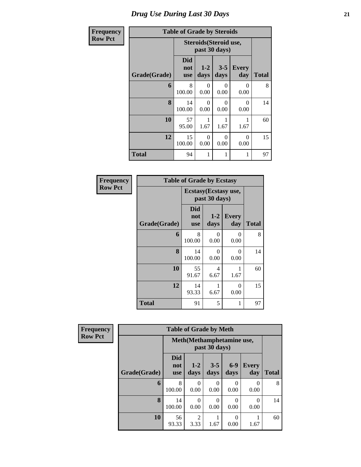# *Drug Use During Last 30 Days* **21**

| Frequency      |              | <b>Table of Grade by Steroids</b> |                                        |                  |                     |              |
|----------------|--------------|-----------------------------------|----------------------------------------|------------------|---------------------|--------------|
| <b>Row Pct</b> |              |                                   | Steroids(Steroid use,<br>past 30 days) |                  |                     |              |
|                | Grade(Grade) | <b>Did</b><br>not<br><b>use</b>   | $1-2$<br>days                          | $3 - 5$<br>days  | <b>Every</b><br>day | <b>Total</b> |
|                | 6            | 8<br>100.00                       | 0<br>0.00                              | 0<br>0.00        | 0<br>0.00           | 8            |
|                | 8            | 14<br>100.00                      | $\Omega$<br>0.00                       | 0<br>0.00        | $\Omega$<br>0.00    | 14           |
|                | 10           | 57<br>95.00                       | 1.67                                   | 1.67             | 1.67                | 60           |
|                | 12           | 15<br>100.00                      | $\Omega$<br>0.00                       | $\Omega$<br>0.00 | $\Omega$<br>0.00    | 15           |
|                | <b>Total</b> | 94                                | 1                                      |                  | 1                   | 97           |

| Frequency<br><b>Row Pct</b> |              | <b>Table of Grade by Ecstasy</b> |                 |                           |              |
|-----------------------------|--------------|----------------------------------|-----------------|---------------------------|--------------|
|                             |              |                                  | past 30 days)   | Ecstasy(Ecstasy use,      |              |
|                             | Grade(Grade) | Did<br>not<br><b>use</b>         | $1 - 2$<br>days | <b>Every</b><br>day       | <b>Total</b> |
|                             | 6            | 8<br>100.00                      | ∩<br>0.00       | $\mathbf{\Omega}$<br>0.00 | 8            |
|                             | 8            | 14<br>100.00                     | 0<br>0.00       | 0<br>0.00                 | 14           |
|                             | 10           | 55<br>91.67                      | 4<br>6.67       | 1<br>1.67                 | 60           |
|                             | 12           | 14<br>93.33                      | 1<br>6.67       | 0<br>0.00                 | 15           |
|                             | <b>Total</b> | 91                               | 5               | 1                         | 97           |

| Frequency      | <b>Table of Grade by Meth</b> |                                 |                                            |                 |               |                     |              |  |
|----------------|-------------------------------|---------------------------------|--------------------------------------------|-----------------|---------------|---------------------|--------------|--|
| <b>Row Pct</b> |                               |                                 | Meth(Methamphetamine use,<br>past 30 days) |                 |               |                     |              |  |
|                | Grade(Grade)                  | <b>Did</b><br>not<br><b>use</b> | $1-2$<br>days                              | $3 - 5$<br>days | $6-9$<br>days | <b>Every</b><br>day | <b>Total</b> |  |
|                | 6                             | 8<br>100.00                     | $\theta$<br>0.00                           | 0<br>0.00       | 0<br>0.00     | 0<br>0.00           | 8            |  |
|                | 8                             | 14<br>100.00                    | 0<br>0.00                                  | 0<br>0.00       | 0<br>0.00     | 0<br>0.00           | 14           |  |
|                | 10                            | 56<br>93.33                     | $\mathfrak{D}$<br>3.33                     | 1.67            | 0<br>0.00     | 1.67                | 60           |  |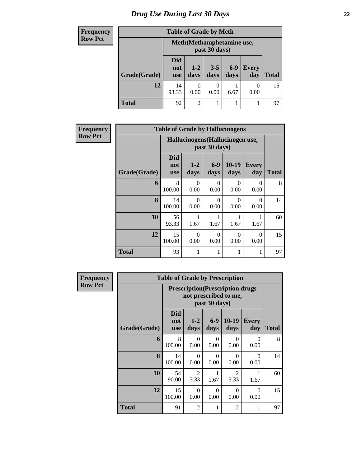# *Drug Use During Last 30 Days* **22**

| <b>Frequency</b> |              | <b>Table of Grade by Meth</b>   |                                             |                  |               |                     |              |
|------------------|--------------|---------------------------------|---------------------------------------------|------------------|---------------|---------------------|--------------|
| <b>Row Pct</b>   |              |                                 | Meth (Methamphetamine use,<br>past 30 days) |                  |               |                     |              |
|                  | Grade(Grade) | <b>Did</b><br>not<br><b>use</b> | $1-2$<br>days                               | $3 - 5$<br>days  | $6-9$<br>days | <b>Every</b><br>day | <b>Total</b> |
|                  | 12           | 14<br>93.33                     | 0.00                                        | $\theta$<br>0.00 | 6.67          | $\Omega$<br>0.00    | 15           |
|                  | Total        | 92                              | 2                                           |                  |               |                     | 97           |

| Frequency      |              | <b>Table of Grade by Hallucinogens</b> |                                  |                  |                  |                     |              |
|----------------|--------------|----------------------------------------|----------------------------------|------------------|------------------|---------------------|--------------|
| <b>Row Pct</b> |              |                                        | Hallucinogens (Hallucinogen use, |                  |                  |                     |              |
|                | Grade(Grade) | <b>Did</b><br>not<br><b>use</b>        | $1-2$<br>days                    | $6-9$<br>days    | $10-19$<br>days  | <b>Every</b><br>day | <b>Total</b> |
|                | 6            | 8<br>100.00                            | 0<br>0.00                        | $\Omega$<br>0.00 | $\Omega$<br>0.00 | $\Omega$<br>0.00    | 8            |
|                | 8            | 14<br>100.00                           | 0<br>0.00                        | $\Omega$<br>0.00 | $\Omega$<br>0.00 | 0<br>0.00           | 14           |
|                | 10           | 56<br>93.33                            | 1.67                             | 1.67             | 1<br>1.67        | 1<br>1.67           | 60           |
|                | 12           | 15<br>100.00                           | $\Omega$<br>0.00                 | $\Omega$<br>0.00 | $\Omega$<br>0.00 | $\Omega$<br>0.00    | 15           |
|                | <b>Total</b> | 93                                     | 1                                | 1                | 1                | 1                   | 97           |

| <b>Frequency</b> |              | <b>Table of Grade by Prescription</b> |                        |                  |                                                                   |                     |              |
|------------------|--------------|---------------------------------------|------------------------|------------------|-------------------------------------------------------------------|---------------------|--------------|
| <b>Row Pct</b>   |              |                                       |                        | past 30 days)    | <b>Prescription</b> (Prescription drugs)<br>not prescribed to me, |                     |              |
|                  | Grade(Grade) | <b>Did</b><br>not<br><b>use</b>       | $1-2$<br>days          | $6-9$<br>days    | $10-19$<br>days                                                   | <b>Every</b><br>day | <b>Total</b> |
|                  | 6            | 8<br>100.00                           | 0<br>0.00              | $\Omega$<br>0.00 | $\Omega$<br>0.00                                                  | $\Omega$<br>0.00    | 8            |
|                  | 8            | 14<br>100.00                          | 0<br>0.00              | 0<br>0.00        | $\Omega$<br>0.00                                                  | $\Omega$<br>0.00    | 14           |
|                  | 10           | 54<br>90.00                           | $\mathfrak{D}$<br>3.33 | 1.67             | $\overline{2}$<br>3.33                                            | 1.67                | 60           |
|                  | 12           | 15<br>100.00                          | 0<br>0.00              | $\Omega$<br>0.00 | $\Omega$<br>0.00                                                  | $\Omega$<br>0.00    | 15           |
|                  | <b>Total</b> | 91                                    | $\overline{2}$         | 1                | $\overline{2}$                                                    | 1                   | 97           |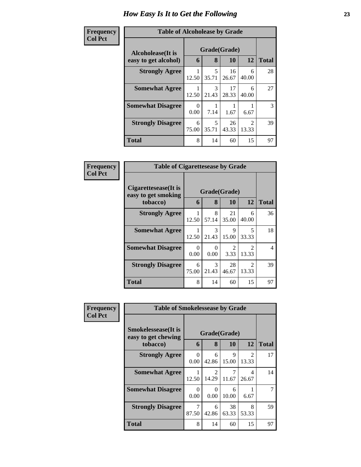#### **Frequency Col Pct**

| <b>ncy</b> | <b>Table of Alcoholease by Grade</b> |            |            |              |                         |              |  |  |  |
|------------|--------------------------------------|------------|------------|--------------|-------------------------|--------------|--|--|--|
|            | Alcoholease(It is                    |            |            | Grade(Grade) |                         |              |  |  |  |
|            | easy to get alcohol)                 | 6          | 8          | <b>10</b>    | 12                      | <b>Total</b> |  |  |  |
|            | <b>Strongly Agree</b>                | 12.50      | 5<br>35.71 | 16<br>26.67  | 6<br>40.00              | 28           |  |  |  |
|            | <b>Somewhat Agree</b>                | 12.50      | 3<br>21.43 | 17<br>28.33  | 6<br>40.00              | 27           |  |  |  |
|            | <b>Somewhat Disagree</b>             | 0<br>0.00  | 7.14       | 1.67         | 6.67                    | 3            |  |  |  |
|            | <b>Strongly Disagree</b>             | 6<br>75.00 | 5<br>35.71 | 26<br>43.33  | $\mathfrak{D}$<br>13.33 | 39           |  |  |  |
|            | <b>Total</b>                         | 8          | 14         | 60           | 15                      | 97           |  |  |  |

| Frequency      | <b>Table of Cigarettesease by Grade</b>                 |            |                        |                        |                                      |              |
|----------------|---------------------------------------------------------|------------|------------------------|------------------------|--------------------------------------|--------------|
| <b>Col Pct</b> | Cigarettesease(It is<br>easy to get smoking<br>tobacco) | 6          | Grade(Grade)<br>8      | 10                     | 12                                   | <b>Total</b> |
|                | <b>Strongly Agree</b>                                   | 12.50      | 8<br>57.14             | 21<br>35.00            | 6<br>40.00                           | 36           |
|                | <b>Somewhat Agree</b>                                   | 12.50      | $\mathcal{R}$<br>21.43 | 9<br>15.00             | 5<br>33.33                           | 18           |
|                | <b>Somewhat Disagree</b>                                | 0<br>0.00  | $\Omega$<br>0.00       | $\mathfrak{D}$<br>3.33 | $\mathcal{D}_{\mathcal{L}}$<br>13.33 | 4            |
|                | <b>Strongly Disagree</b>                                | 6<br>75.00 | $\mathcal{F}$<br>21.43 | 28<br>46.67            | $\mathcal{D}_{\mathcal{L}}$<br>13.33 | 39           |
|                | Total                                                   | 8          | 14                     | 60                     | 15                                   | 97           |

| <b>Frequency</b> |                                                                | <b>Table of Smokelessease by Grade</b> |                           |             |                                      |              |  |
|------------------|----------------------------------------------------------------|----------------------------------------|---------------------------|-------------|--------------------------------------|--------------|--|
| <b>Col Pct</b>   | <b>Smokelessease</b> (It is<br>easy to get chewing<br>tobacco) | 6                                      | Grade(Grade)<br>8         | 10          | 12                                   | <b>Total</b> |  |
|                  | <b>Strongly Agree</b>                                          | $\Omega$<br>0.00                       | 6<br>42.86                | 9<br>15.00  | $\mathcal{D}_{\mathcal{L}}$<br>13.33 | 17           |  |
|                  | <b>Somewhat Agree</b>                                          | 12.50                                  | $\mathfrak{D}$<br>14.29   | 7<br>11.67  | 4<br>26.67                           | 14           |  |
|                  | <b>Somewhat Disagree</b>                                       | 0<br>0.00                              | $\mathbf{\Omega}$<br>0.00 | 6<br>10.00  | 6.67                                 |              |  |
|                  | <b>Strongly Disagree</b>                                       | 7<br>87.50                             | 6<br>42.86                | 38<br>63.33 | 8<br>53.33                           | 59           |  |
|                  | <b>Total</b>                                                   | 8                                      | 14                        | 60          | 15                                   | 97           |  |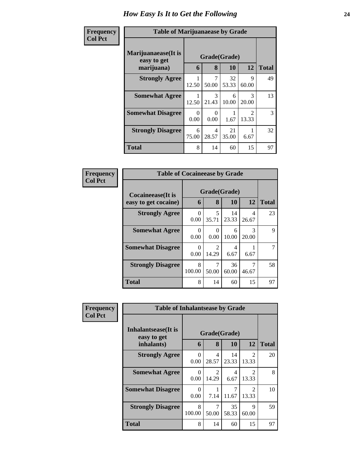| Frequency<br><b>Col Pct</b> | <b>Table of Marijuanaease by Grade</b>           |                  |                         |                           |                                      |              |  |  |
|-----------------------------|--------------------------------------------------|------------------|-------------------------|---------------------------|--------------------------------------|--------------|--|--|
|                             | Marijuanaease(It is<br>easy to get<br>marijuana) | 6                | 8                       | Grade(Grade)<br><b>10</b> | 12                                   | <b>Total</b> |  |  |
|                             | <b>Strongly Agree</b>                            | 12.50            | 7<br>50.00              | 32<br>53.33               | $\mathbf Q$<br>60.00                 | 49           |  |  |
|                             | <b>Somewhat Agree</b>                            | 12.50            | $\mathcal{R}$<br>21.43  | 6<br>10.00                | $\mathcal{R}$<br>20.00               | 13           |  |  |
|                             | <b>Somewhat Disagree</b>                         | $\Omega$<br>0.00 | 0<br>0.00               | 1.67                      | $\mathcal{D}_{\mathcal{A}}$<br>13.33 | 3            |  |  |
|                             | <b>Strongly Disagree</b>                         | 6<br>75.00       | $\overline{4}$<br>28.57 | 21<br>35.00               | 6.67                                 | 32           |  |  |
|                             | <b>Total</b>                                     | 8                | 14                      | 60                        | 15                                   | 97           |  |  |

| Frequency      | <b>Table of Cocaineease by Grade</b>              |                  |                                   |                           |                         |              |  |
|----------------|---------------------------------------------------|------------------|-----------------------------------|---------------------------|-------------------------|--------------|--|
| <b>Col Pct</b> | <b>Cocaineease</b> (It is<br>easy to get cocaine) | 6                | 8                                 | Grade(Grade)<br><b>10</b> | 12                      | <b>Total</b> |  |
|                | <b>Strongly Agree</b>                             | $\theta$<br>0.00 | 5<br>35.71                        | 14<br>23.33               | $\overline{4}$<br>26.67 | 23           |  |
|                | <b>Somewhat Agree</b>                             | 0<br>0.00        | ∩<br>0.00                         | 6<br>10.00                | 3<br>20.00              | 9            |  |
|                | <b>Somewhat Disagree</b>                          | 0<br>0.00        | $\overline{\mathcal{L}}$<br>14.29 | 4<br>6.67                 | 6.67                    |              |  |
|                | <b>Strongly Disagree</b>                          | 8<br>100.00      | 7<br>50.00                        | 36<br>60.00               | 46.67                   | 58           |  |
|                | <b>Total</b>                                      | 8                | 14                                | 60                        | 15                      | 97           |  |

| <b>Frequency</b> | <b>Table of Inhalantsease by Grade</b>                   |                  |                                      |                           |                                      |              |
|------------------|----------------------------------------------------------|------------------|--------------------------------------|---------------------------|--------------------------------------|--------------|
| <b>Col Pct</b>   | <b>Inhalantsease</b> (It is<br>easy to get<br>inhalants) | 6                | 8                                    | Grade(Grade)<br><b>10</b> | <b>12</b>                            | <b>Total</b> |
|                  | <b>Strongly Agree</b>                                    | 0<br>0.00        | 4<br>28.57                           | 14<br>23.33               | $\mathcal{D}_{\mathcal{L}}$<br>13.33 | 20           |
|                  | <b>Somewhat Agree</b>                                    | $\Omega$<br>0.00 | $\mathcal{D}_{\mathcal{L}}$<br>14.29 | 4<br>6.67                 | $\mathcal{D}_{\mathcal{L}}$<br>13.33 | 8            |
|                  | <b>Somewhat Disagree</b>                                 | 0<br>0.00        | 7.14                                 | 7<br>11.67                | $\mathcal{D}_{\mathcal{L}}$<br>13.33 | 10           |
|                  | <b>Strongly Disagree</b>                                 | 8<br>100.00      | 50.00                                | 35<br>58.33               | 9<br>60.00                           | 59           |
|                  | <b>Total</b>                                             | 8                | 14                                   | 60                        | 15                                   | 97           |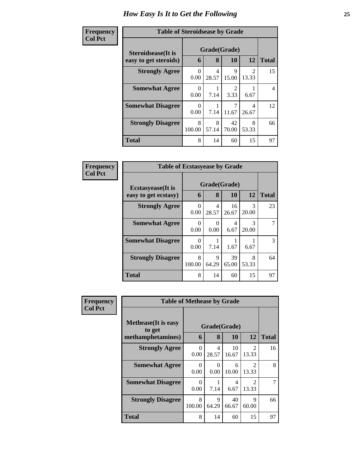| Frequency      | <b>Table of Steroidsease by Grade</b>               |                  |                   |                       |                         |                |  |
|----------------|-----------------------------------------------------|------------------|-------------------|-----------------------|-------------------------|----------------|--|
| <b>Col Pct</b> | <b>Steroidsease</b> (It is<br>easy to get steroids) | 6                | Grade(Grade)<br>8 | 10                    | 12                      | <b>Total</b>   |  |
|                | <b>Strongly Agree</b>                               | $\Omega$<br>0.00 | 4<br>28.57        | 9<br>15.00            | $\mathfrak{D}$<br>13.33 | 15             |  |
|                | <b>Somewhat Agree</b>                               | 0<br>0.00        | 7.14              | $\mathcal{D}$<br>3.33 | 6.67                    | $\overline{4}$ |  |
|                | <b>Somewhat Disagree</b>                            | 0<br>0.00        | 7.14              | 7<br>11.67            | 4<br>26.67              | 12             |  |
|                | <b>Strongly Disagree</b>                            | 8<br>100.00      | 8<br>57.14        | 42<br>70.00           | 8<br>53.33              | 66             |  |
|                | <b>Total</b>                                        | 8                | 14                | 60                    | 15                      | 97             |  |

| Frequency      | <b>Table of Ecstasyease by Grade</b>              |                  |                  |                    |                        |              |  |  |
|----------------|---------------------------------------------------|------------------|------------------|--------------------|------------------------|--------------|--|--|
| <b>Col Pct</b> | <b>Ecstasyease</b> (It is<br>easy to get ecstasy) | 6                | 8                | Grade(Grade)<br>10 | 12                     | <b>Total</b> |  |  |
|                | <b>Strongly Agree</b>                             | $\Omega$<br>0.00 | 4<br>28.57       | 16<br>26.67        | 3<br>20.00             | 23           |  |  |
|                | <b>Somewhat Agree</b>                             | 0<br>0.00        | $\theta$<br>0.00 | 4<br>6.67          | $\mathcal{R}$<br>20.00 | 7            |  |  |
|                | <b>Somewhat Disagree</b>                          | $\Omega$<br>0.00 | 7.14             | 1.67               | 6.67                   | 3            |  |  |
|                | <b>Strongly Disagree</b>                          | 8<br>100.00      | 9<br>64.29       | 39<br>65.00        | 8<br>53.33             | 64           |  |  |
|                | <b>Total</b>                                      | 8                | 14               | 60                 | 15                     | 97           |  |  |

| <b>Frequency</b> | <b>Table of Methease by Grade</b>     |                  |                  |             |                         |              |  |
|------------------|---------------------------------------|------------------|------------------|-------------|-------------------------|--------------|--|
| <b>Col Pct</b>   | <b>Methease</b> (It is easy<br>to get |                  | Grade(Grade)     |             |                         |              |  |
|                  | methamphetamines)                     | 6                | 8                | 10          | 12                      | <b>Total</b> |  |
|                  | <b>Strongly Agree</b>                 | $\Omega$<br>0.00 | 4<br>28.57       | 10<br>16.67 | $\mathfrak{D}$<br>13.33 | 16           |  |
|                  | <b>Somewhat Agree</b>                 | 0<br>0.00        | $\Omega$<br>0.00 | 6<br>10.00  | $\mathfrak{D}$<br>13.33 | 8            |  |
|                  | <b>Somewhat Disagree</b>              | 0<br>0.00        | 7.14             | 4<br>6.67   | $\mathfrak{D}$<br>13.33 | 7            |  |
|                  | <b>Strongly Disagree</b>              | 8<br>100.00      | 9<br>64.29       | 40<br>66.67 | 9<br>60.00              | 66           |  |
|                  | <b>Total</b>                          | 8                | 14               | 60          | 15                      | 97           |  |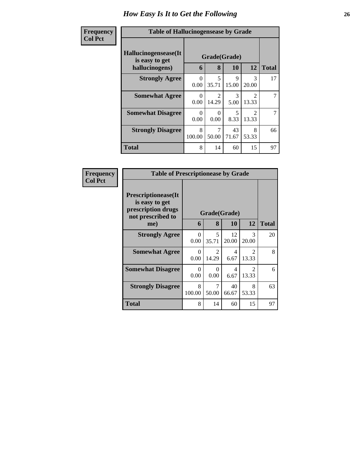| <b>Frequency</b> | <b>Table of Hallucinogensease by Grade</b>                |                  |                                   |                    |                                      |              |  |
|------------------|-----------------------------------------------------------|------------------|-----------------------------------|--------------------|--------------------------------------|--------------|--|
| <b>Col Pct</b>   | Hallucinogensease(It)<br>is easy to get<br>hallucinogens) | 6                | 8                                 | Grade(Grade)<br>10 | 12                                   | <b>Total</b> |  |
|                  | <b>Strongly Agree</b>                                     | $\Omega$<br>0.00 | $\overline{\phantom{0}}$<br>35.71 | 9<br>15.00         | 3<br>20.00                           | 17           |  |
|                  | <b>Somewhat Agree</b>                                     | $\Omega$<br>0.00 | $\mathcal{D}$<br>14.29            | 3<br>5.00          | $\mathcal{D}_{\mathcal{L}}$<br>13.33 | 7            |  |
|                  | <b>Somewhat Disagree</b>                                  | $\Omega$<br>0.00 | 0<br>0.00                         | 5<br>8.33          | $\mathcal{D}$<br>13.33               |              |  |
|                  | <b>Strongly Disagree</b>                                  | 8<br>100.00      | 50.00                             | 43<br>71.67        | 8<br>53.33                           | 66           |  |
|                  | Total                                                     | 8                | 14                                | 60                 | 15                                   | 97           |  |

| <b>Frequency</b> | <b>Table of Prescriptionease by Grade</b>                                                |                  |                                      |                        |                        |              |
|------------------|------------------------------------------------------------------------------------------|------------------|--------------------------------------|------------------------|------------------------|--------------|
| <b>Col Pct</b>   | <b>Prescriptionease</b> (It<br>is easy to get<br>prescription drugs<br>not prescribed to |                  | Grade(Grade)                         |                        |                        |              |
|                  | me)                                                                                      | 6                | 8                                    | <b>10</b>              | 12                     | <b>Total</b> |
|                  | <b>Strongly Agree</b>                                                                    | 0<br>0.00        | 5<br>35.71                           | 12<br>20.00            | 3<br>20.00             | 20           |
|                  | <b>Somewhat Agree</b>                                                                    | $\Omega$<br>0.00 | $\mathcal{D}_{\mathcal{L}}$<br>14.29 | $\overline{4}$<br>6.67 | $\mathcal{D}$<br>13.33 | 8            |
|                  | <b>Somewhat Disagree</b>                                                                 | $\Omega$<br>0.00 | $\mathbf{0}$<br>0.00                 | 4<br>6.67              | $\mathcal{D}$<br>13.33 | 6            |
|                  | <b>Strongly Disagree</b>                                                                 | 8<br>100.00      | 7<br>50.00                           | 40<br>66.67            | 8<br>53.33             | 63           |
|                  | <b>Total</b>                                                                             | 8                | 14                                   | 60                     | 15                     | 97           |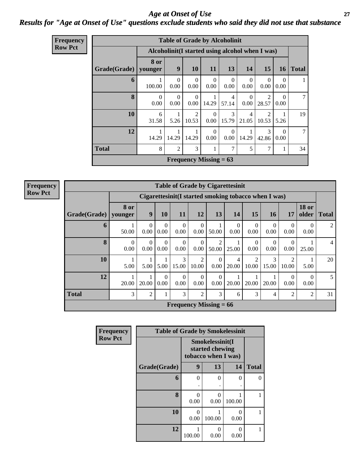#### *Age at Onset of Use* **27** *Results for "Age at Onset of Use" questions exclude students who said they did not use that substance*

| <b>Frequency</b> | <b>Table of Grade by Alcoholinit</b> |                  |                  |                          |                  |                         |                         |                                                  |                  |              |
|------------------|--------------------------------------|------------------|------------------|--------------------------|------------------|-------------------------|-------------------------|--------------------------------------------------|------------------|--------------|
| <b>Row Pct</b>   |                                      |                  |                  |                          |                  |                         |                         | Alcoholinit (I started using alcohol when I was) |                  |              |
|                  | Grade(Grade)                         | 8 or<br>younger  | 9                | <b>10</b>                | 11               | 13                      | 14                      | 15                                               | 16               | <b>Total</b> |
|                  |                                      |                  |                  |                          |                  |                         |                         |                                                  |                  |              |
|                  | 6                                    | 100.00           | $\Omega$<br>0.00 | $\theta$<br>0.00         | $\Omega$<br>0.00 | $\Omega$<br>0.00        | $\Omega$<br>0.00        | $\Omega$<br>0.00                                 | $\Omega$<br>0.00 |              |
|                  | $\mathbf{R}$                         | $\Omega$<br>0.00 | $\Omega$<br>0.00 | $\Omega$<br>0.00         | 14.29            | $\overline{4}$<br>57.14 | $\Omega$<br>0.00        | $\mathcal{D}_{\mathcal{L}}$<br>28.57             | $\Omega$<br>0.00 |              |
|                  | 10                                   | 6<br>31.58       | 5.26             | $\overline{2}$<br>10.53  | $\Omega$<br>0.00 | 3<br>15.79              | $\overline{4}$<br>21.05 | $\mathfrak{D}$<br>10.53                          | 5.26             | 19           |
|                  | 12                                   | 14.29            | 14.29            | 14.29                    | $\Omega$<br>0.00 | $\Omega$<br>0.00        | 14.29                   | 3<br>42.86                                       | $\Omega$<br>0.00 | 7            |
|                  | <b>Total</b>                         | 8                | $\overline{2}$   | 3                        | 1                | 7                       | 5                       | 7                                                | 1                | 34           |
|                  |                                      |                  |                  | Frequency Missing $= 63$ |                  |                         |                         |                                                  |                  |              |

**Frequency Row Pct**

> **Frequ**  $Row$

|              |                          |                                                      |                  | <b>Table of Grade by Cigarettesinit</b> |                  |                         |                  |                         |                  |                  |                       |              |
|--------------|--------------------------|------------------------------------------------------|------------------|-----------------------------------------|------------------|-------------------------|------------------|-------------------------|------------------|------------------|-----------------------|--------------|
|              |                          | Cigarettesinit(I started smoking tobacco when I was) |                  |                                         |                  |                         |                  |                         |                  |                  |                       |              |
| Grade(Grade) | <b>8 or</b><br>younger   | 9                                                    | 10               | 11                                      | 12               | 13                      | 14               | 15                      | 16 <sup>1</sup>  | 17               | <b>18 or</b><br>older | <b>Total</b> |
| 6            | 50.00                    | $\Omega$<br>0.00                                     | $\Omega$<br>0.00 | $\Omega$<br>0.00                        | $\Omega$<br>0.00 | 50.00                   | $\theta$<br>0.00 | $\Omega$<br>0.00        | $\Omega$<br>0.00 | $\Omega$<br>0.00 | $\theta$<br>0.00      | 2            |
| 8            | $\theta$<br>0.00         | $\Omega$<br>0.00                                     | $\theta$<br>0.00 | $\Omega$<br>0.00                        | $\theta$<br>0.00 | $\mathfrak{D}$<br>50.00 | 25.00            | $\Omega$<br>0.00        | $\theta$<br>0.00 | $\Omega$<br>0.00 | 25.00                 | 4            |
| <b>10</b>    | 5.00                     | 5.00                                                 | 5.00             | 3<br>15.00                              | 2<br>10.00       | $\Omega$<br>0.00        | 4<br>20.00       | $\mathfrak{D}$<br>10.00 | 3<br>15.00       | 2<br>10.00       | 5.00                  | 20           |
| 12           | 20.00                    | 20.00                                                | $\Omega$<br>0.00 | $\Omega$<br>0.00                        | $\Omega$<br>0.00 | $\Omega$<br>0.00        | 20.00            | 20.00                   | 20.00            | $\Omega$<br>0.00 | $\Omega$<br>0.00      | 5            |
| <b>Total</b> | 3                        | 2                                                    | 1                | 3                                       | 2                | 3                       | 6                | 3                       | 4                | $\overline{2}$   | 2                     | 31           |
|              | Frequency Missing $= 66$ |                                                      |                  |                                         |                  |                         |                  |                         |                  |                  |                       |              |

| rency |              | <b>Table of Grade by Smokelessinit</b> |                                                           |           |          |  |  |  |  |
|-------|--------------|----------------------------------------|-----------------------------------------------------------|-----------|----------|--|--|--|--|
| Pct   |              |                                        | Smokelessinit(I<br>started chewing<br>tobacco when I was) |           |          |  |  |  |  |
|       | Grade(Grade) | 9                                      | 13<br>14                                                  |           |          |  |  |  |  |
|       | 6            | 0                                      | $\theta$                                                  | 0         | $\Omega$ |  |  |  |  |
|       |              |                                        |                                                           |           |          |  |  |  |  |
|       | 8            | 0<br>0.00                              | 0<br>0.00                                                 | 100.00    | 1        |  |  |  |  |
|       | 10           | 0<br>0.00                              | 100.00                                                    | 0.00      | 1        |  |  |  |  |
|       | 12           | 100.00                                 | 0<br>0.00                                                 | ∩<br>0.00 | 1        |  |  |  |  |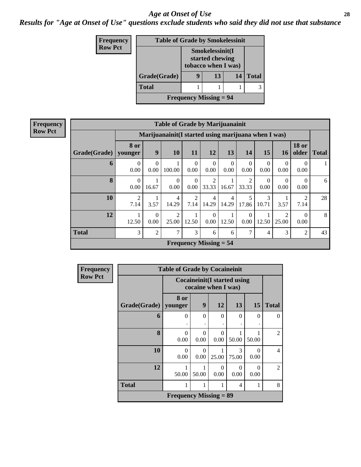*Results for "Age at Onset of Use" questions exclude students who said they did not use that substance*

| Frequency      | <b>Table of Grade by Smokelessinit</b> |   |                                                           |    |              |  |  |
|----------------|----------------------------------------|---|-----------------------------------------------------------|----|--------------|--|--|
| <b>Row Pct</b> |                                        |   | Smokelessinit(I<br>started chewing<br>tobacco when I was) |    |              |  |  |
|                | Grade(Grade)                           | g | 13                                                        | 14 | <b>Total</b> |  |  |
|                | <b>Total</b>                           |   |                                                           |    |              |  |  |
|                | <b>Frequency Missing = 94</b>          |   |                                                           |    |              |  |  |

| <b>Frequency</b><br>Row Pct |
|-----------------------------|
|                             |

|              | <b>Table of Grade by Marijuanainit</b>     |                                                      |                         |                        |                         |                        |                         |                  |                         |                       |              |
|--------------|--------------------------------------------|------------------------------------------------------|-------------------------|------------------------|-------------------------|------------------------|-------------------------|------------------|-------------------------|-----------------------|--------------|
|              |                                            | Marijuanainit (I started using marijuana when I was) |                         |                        |                         |                        |                         |                  |                         |                       |              |
| Grade(Grade) | 8 or<br>younger                            | 9                                                    | 10                      | 11                     | 12                      | 13                     | 14                      | 15               | 16                      | <b>18 or</b><br>older | <b>Total</b> |
| 6            | $\Omega$<br>0.00                           | $\Omega$<br>0.00                                     | 100.00                  | $\Omega$<br>0.00       | $\Omega$<br>0.00        | $\overline{0}$<br>0.00 | $\theta$<br>0.00        | $\Omega$<br>0.00 | $\left($<br>0.00        | $\Omega$<br>0.00      | 1            |
| 8            | $\Omega$<br>0.00                           | 16.67                                                | $\Omega$<br>0.00        | $\Omega$<br>0.00       | $\overline{2}$<br>33.33 | 16.67                  | $\overline{2}$<br>33.33 | 0<br>0.00        | $\Omega$<br>0.00        | $\Omega$<br>0.00      | 6            |
| 10           | 2<br>7.14                                  | 3.57                                                 | 4<br>14.29              | $\overline{2}$<br>7.14 | $\overline{4}$<br>14.29 | 4<br>14.29             | 5<br>17.86              | 3<br>10.71       | 3.57                    | 2<br>7.14             | 28           |
| 12           | 12.50                                      | $\Omega$<br>0.00                                     | $\mathfrak{D}$<br>25.00 | 1<br>12.50             | $\Omega$<br>0.00        | 12.50                  | $\Omega$<br>0.00        | 12.50            | $\overline{2}$<br>25.00 | $\Omega$<br>0.00      | 8            |
| <b>Total</b> | 3                                          | $\overline{2}$                                       | 7                       | 3                      | 6                       | 6                      | 7                       | $\overline{4}$   | 3                       | 2                     | 43           |
|              | <b>Frequency Missing <math>= 54</math></b> |                                                      |                         |                        |                         |                        |                         |                  |                         |                       |              |

| <b>Frequency</b> | <b>Table of Grade by Cocaineinit</b> |                               |                                                            |                  |            |                  |                             |  |  |
|------------------|--------------------------------------|-------------------------------|------------------------------------------------------------|------------------|------------|------------------|-----------------------------|--|--|
| <b>Row Pct</b>   |                                      |                               | <b>Cocaineinit</b> (I started using<br>cocaine when I was) |                  |            |                  |                             |  |  |
|                  | $Grade(Grade)$ younger               | 8 or                          | 9                                                          | 12               | 13         | 15               | <b>Total</b>                |  |  |
|                  | 6                                    | $\Omega$                      | $\Omega$<br>٠                                              | $\theta$         | $\Omega$   | $\Omega$<br>٠    | 0                           |  |  |
|                  | 8                                    | 0<br>0.00                     | $\Omega$<br>0.00                                           | 0<br>0.00        | 50.00      | 50.00            | 2                           |  |  |
|                  | 10                                   | 0<br>0.00                     | $\Omega$<br>0.00                                           | 25.00            | 3<br>75.00 | $\Omega$<br>0.00 | $\overline{4}$              |  |  |
|                  | 12                                   | 50.00                         | 50.00                                                      | $\Omega$<br>0.00 | 0<br>0.00  | $\Omega$<br>0.00 | $\mathcal{D}_{\mathcal{A}}$ |  |  |
|                  | <b>Total</b>                         | 1                             |                                                            | 1                | 4          | 1                | 8                           |  |  |
|                  |                                      | <b>Frequency Missing = 89</b> |                                                            |                  |            |                  |                             |  |  |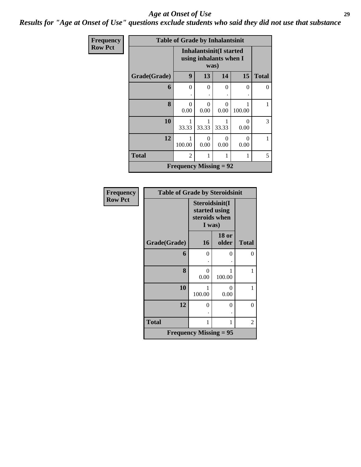*Results for "Age at Onset of Use" questions exclude students who said they did not use that substance*

| Frequency      |              | <b>Table of Grade by Inhalantsinit</b> |                  |                                                          |                  |              |
|----------------|--------------|----------------------------------------|------------------|----------------------------------------------------------|------------------|--------------|
| <b>Row Pct</b> |              |                                        | was)             | <b>Inhalantsinit(I started</b><br>using inhalants when I |                  |              |
|                | Grade(Grade) | 9                                      | 13               | 14                                                       | 15               | <b>Total</b> |
|                | 6            | $\Omega$                               | $\theta$         | $\theta$                                                 | $\theta$         | $\Omega$     |
|                | 8            | $\Omega$<br>0.00                       | $\Omega$<br>0.00 | $\Omega$<br>0.00                                         | 100.00           |              |
|                | 10           | 33.33                                  | 1<br>33.33       | 33.33                                                    | $\theta$<br>0.00 | 3            |
|                | 12           | 100.00                                 | $\Omega$<br>0.00 | $\Omega$<br>0.00                                         | $\Omega$<br>0.00 | 1            |
|                | <b>Total</b> | $\overline{2}$                         |                  |                                                          | 1                | 5            |
|                |              | <b>Frequency Missing = 92</b>          |                  |                                                          |                  |              |

| Frequency      | <b>Table of Grade by Steroidsinit</b> |                                                            |                       |              |  |  |  |  |
|----------------|---------------------------------------|------------------------------------------------------------|-----------------------|--------------|--|--|--|--|
| <b>Row Pct</b> |                                       | Steroidsinit(I<br>started using<br>steroids when<br>I was) |                       |              |  |  |  |  |
|                | Grade(Grade)                          | 16                                                         | <b>18 or</b><br>older | <b>Total</b> |  |  |  |  |
|                | 6                                     | 0                                                          | 0                     | $\theta$     |  |  |  |  |
|                | 8                                     | 0<br>0.00                                                  | 1<br>100.00           | 1            |  |  |  |  |
|                | 10                                    | 100.00                                                     | 0<br>0.00             | 1            |  |  |  |  |
|                | 12                                    | 0                                                          | 0                     | 0            |  |  |  |  |
|                | <b>Total</b>                          | 1                                                          | 1                     | 2            |  |  |  |  |
|                |                                       | Frequency Missing $= 95$                                   |                       |              |  |  |  |  |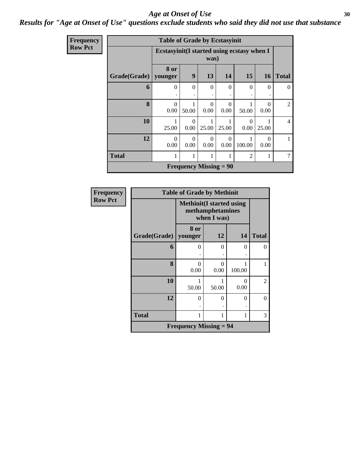#### *Results for "Age at Onset of Use" questions exclude students who said they did not use that substance*

| Frequency      |                        | <b>Table of Grade by Ecstasyinit</b>        |                               |                  |           |                  |                  |                |
|----------------|------------------------|---------------------------------------------|-------------------------------|------------------|-----------|------------------|------------------|----------------|
| <b>Row Pct</b> |                        | Ecstasyinit (I started using ecstasy when I |                               | was)             |           |                  |                  |                |
|                | Grade(Grade)   younger | 8 or                                        | 9                             | 13               | 14        | 15               | <b>16</b>        | <b>Total</b>   |
|                | 6                      | $\Omega$                                    | $\Omega$                      | $\Omega$         | $\Omega$  | $\Omega$         | $\Omega$         | $\Omega$       |
|                | 8                      | $\Omega$<br>0.00                            | 50.00                         | $\Omega$<br>0.00 | 0<br>0.00 | 50.00            | 0<br>0.00        | 2              |
|                | 10                     | 25.00                                       | $\Omega$<br>0.00              | 25.00            | 25.00     | $\Omega$<br>0.00 | 25.00            | $\overline{4}$ |
|                | 12                     | $\Omega$<br>0.00                            | $\Omega$<br>0.00              | $\Omega$<br>0.00 | 0<br>0.00 | 100.00           | $\Omega$<br>0.00 | 1              |
|                | <b>Total</b>           |                                             |                               |                  |           | $\mathfrak{D}$   |                  | 7              |
|                |                        |                                             | <b>Frequency Missing = 90</b> |                  |           |                  |                  |                |

| <b>Row Pct</b><br><b>Methinit(I started using</b><br>methamphetamines<br>when I was) |              |
|--------------------------------------------------------------------------------------|--------------|
|                                                                                      |              |
| 8 or<br>Grade(Grade)<br>12<br>14<br>younger                                          | <b>Total</b> |
| 6<br>0<br>0<br>0                                                                     | $\theta$     |
| 8<br>0<br>0<br>100.00<br>0.00<br>0.00                                                |              |
| 10<br>0<br>50.00<br>50.00<br>0.00                                                    | 2            |
| 12<br>$\Omega$<br>0<br>$\Omega$                                                      | 0            |
| <b>Total</b><br>1<br>1<br>1                                                          | 3            |
| <b>Frequency Missing = 94</b>                                                        |              |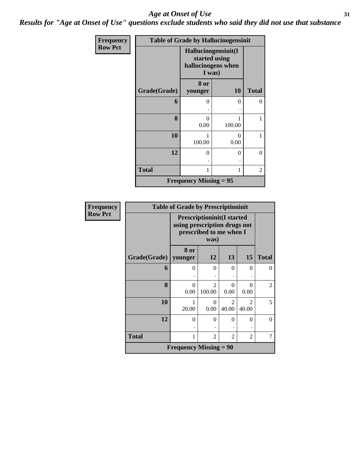*Results for "Age at Onset of Use" questions exclude students who said they did not use that substance*

| Frequency      |                               | <b>Table of Grade by Hallucinogensinit</b>                           |           |              |  |  |  |
|----------------|-------------------------------|----------------------------------------------------------------------|-----------|--------------|--|--|--|
| <b>Row Pct</b> |                               | Hallucinogensinit(I<br>started using<br>hallucinogens when<br>I was) |           |              |  |  |  |
|                | Grade(Grade)                  | 8 or<br>younger                                                      | <b>10</b> | <b>Total</b> |  |  |  |
|                | 6                             | 0                                                                    | $\theta$  | $\theta$     |  |  |  |
|                | 8                             | 0<br>0.00                                                            | 100.00    | 1            |  |  |  |
|                | 10                            | 100.00                                                               | 0<br>0.00 | 1            |  |  |  |
|                | 12                            | 0                                                                    | 0         | 0            |  |  |  |
|                | <b>Total</b>                  |                                                                      |           | 2            |  |  |  |
|                | <b>Frequency Missing = 95</b> |                                                                      |           |              |  |  |  |

| Frequency      |                        | <b>Table of Grade by Prescriptioninit</b>                         |                                 |                         |                         |                |
|----------------|------------------------|-------------------------------------------------------------------|---------------------------------|-------------------------|-------------------------|----------------|
| <b>Row Pct</b> |                        | <b>Prescriptioninit(I started</b><br>using prescription drugs not | prescribed to me when I<br>was) |                         |                         |                |
|                | Grade(Grade)   younger | 8 or                                                              | 12                              | 13                      | 15                      | <b>Total</b>   |
|                | 6                      | $\theta$                                                          | $\theta$                        | $\theta$                | 0                       | $\Omega$       |
|                | 8                      | 0<br>0.00                                                         | $\mathfrak{D}$<br>100.00        | $\Omega$<br>0.00        | $\mathbf{0}$<br>0.00    | $\overline{2}$ |
|                | 10                     | 1<br>20.00                                                        | $\Omega$<br>0.00                | $\mathfrak{D}$<br>40.00 | $\mathfrak{D}$<br>40.00 | 5              |
|                | 12                     | $\theta$<br>٠                                                     | $\Omega$                        | $\theta$                | 0                       | $\Omega$       |
|                | <b>Total</b>           | 1                                                                 | 2                               | 2                       | 2                       | 7              |
|                |                        | <b>Frequency Missing = 90</b>                                     |                                 |                         |                         |                |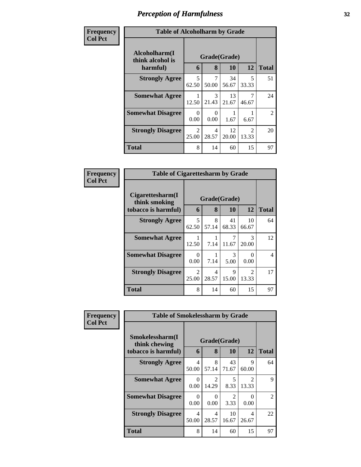| Frequency<br><b>Col Pct</b> | <b>Table of Alcoholharm by Grade</b>          |                         |                   |             |                                      |                |  |
|-----------------------------|-----------------------------------------------|-------------------------|-------------------|-------------|--------------------------------------|----------------|--|
|                             | Alcoholharm(I<br>think alcohol is<br>harmful) | 6                       | Grade(Grade)<br>8 | 10          | 12                                   | <b>Total</b>   |  |
|                             | <b>Strongly Agree</b>                         | 5<br>62.50              | 7<br>50.00        | 34<br>56.67 | 5<br>33.33                           | 51             |  |
|                             | <b>Somewhat Agree</b>                         | 12.50                   | 3<br>21.43        | 13<br>21.67 | 7<br>46.67                           | 24             |  |
|                             | <b>Somewhat Disagree</b>                      | 0<br>0.00               | 0<br>0.00         | 1.67        | 6.67                                 | $\overline{2}$ |  |
|                             | <b>Strongly Disagree</b>                      | $\mathfrak{D}$<br>25.00 | 4<br>28.57        | 12<br>20.00 | $\mathcal{D}_{\mathcal{L}}$<br>13.33 | 20             |  |
|                             | Total                                         | 8                       | 14                | 60          | 15                                   | 97             |  |

| Frequency      | <b>Table of Cigarettesharm by Grade</b>                  |                         |                   |             |                                      |              |
|----------------|----------------------------------------------------------|-------------------------|-------------------|-------------|--------------------------------------|--------------|
| <b>Col Pct</b> | Cigarettesharm(I<br>think smoking<br>tobacco is harmful) | 6                       | Grade(Grade)<br>8 | 10          | 12                                   | <b>Total</b> |
|                | <b>Strongly Agree</b>                                    | 5<br>62.50              | 8<br>57.14        | 41<br>68.33 | 10<br>66.67                          | 64           |
|                | <b>Somewhat Agree</b>                                    | 12.50                   | 7.14              | 7<br>11.67  | $\mathcal{R}$<br>20.00               | 12           |
|                | <b>Somewhat Disagree</b>                                 | 0<br>0.00               | 7.14              | 3<br>5.00   | 0.00                                 | 4            |
|                | <b>Strongly Disagree</b>                                 | $\mathfrak{D}$<br>25.00 | 4<br>28.57        | 9<br>15.00  | $\mathcal{D}_{\mathcal{L}}$<br>13.33 | 17           |
|                | <b>Total</b>                                             | 8                       | 14                | 60          | 15                                   | 97           |

| Frequency      | <b>Table of Smokelessharm by Grade</b> |            |                         |                        |                                      |                |
|----------------|----------------------------------------|------------|-------------------------|------------------------|--------------------------------------|----------------|
| <b>Col Pct</b> | Smokelessharm(I<br>think chewing       |            | Grade(Grade)            |                        |                                      |                |
|                | tobacco is harmful)                    | 6          | 8                       | 10                     | 12                                   | <b>Total</b>   |
|                | <b>Strongly Agree</b>                  | 4<br>50.00 | 8<br>57.14              | 43<br>71.67            | 9<br>60.00                           | 64             |
|                | <b>Somewhat Agree</b>                  | 0<br>0.00  | $\mathfrak{D}$<br>14.29 | 5<br>8.33              | $\mathcal{D}_{\mathcal{L}}$<br>13.33 | 9              |
|                | <b>Somewhat Disagree</b>               | 0<br>0.00  | $\Omega$<br>0.00        | $\mathfrak{D}$<br>3.33 | 0.00                                 | $\overline{2}$ |
|                | <b>Strongly Disagree</b>               | 4<br>50.00 | 4<br>28.57              | 10<br>16.67            | 4<br>26.67                           | 22             |
|                | Total                                  | 8          | 14                      | 60                     | 15                                   | 97             |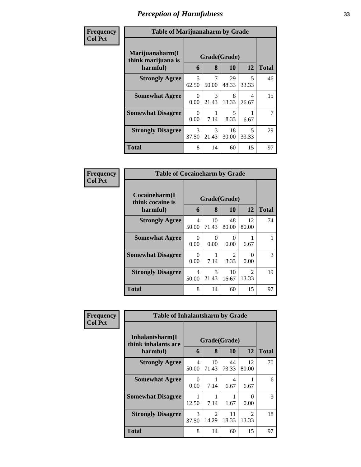| Frequency      | <b>Table of Marijuanaharm by Grade</b>            |                        |                         |             |                                   |              |  |
|----------------|---------------------------------------------------|------------------------|-------------------------|-------------|-----------------------------------|--------------|--|
| <b>Col Pct</b> | Marijuanaharm(I<br>think marijuana is<br>harmful) | 6                      | Grade(Grade)<br>8       | 10          | 12                                | <b>Total</b> |  |
|                | <b>Strongly Agree</b>                             | 5<br>62.50             | $\overline{7}$<br>50.00 | 29<br>48.33 | 5<br>33.33                        | 46           |  |
|                | <b>Somewhat Agree</b>                             | $\Omega$<br>0.00       | 3<br>21.43              | 8<br>13.33  | 4<br>26.67                        | 15           |  |
|                | <b>Somewhat Disagree</b>                          | 0<br>0.00              | 7.14                    | 5<br>8.33   | 6.67                              | 7            |  |
|                | <b>Strongly Disagree</b>                          | $\mathcal{F}$<br>37.50 | $\mathcal{R}$<br>21.43  | 18<br>30.00 | $\overline{\mathcal{L}}$<br>33.33 | 29           |  |
|                | <b>Total</b>                                      | 8                      | 14                      | 60          | 15                                | 97           |  |

| Frequency      | <b>Table of Cocaineharm by Grade</b>          |            |                        |                           |                                      |               |
|----------------|-----------------------------------------------|------------|------------------------|---------------------------|--------------------------------------|---------------|
| <b>Col Pct</b> | Cocaineharm(I<br>think cocaine is<br>harmful) | 6          | Grade(Grade)<br>8      | 10                        | 12                                   | <b>Total</b>  |
|                | <b>Strongly Agree</b>                         | 4<br>50.00 | 10<br>71.43            | 48<br>80.00               | 12<br>80.00                          | 74            |
|                | <b>Somewhat Agree</b>                         | 0<br>0.00  | 0<br>0.00              | $\mathbf{\Omega}$<br>0.00 | 6.67                                 |               |
|                | <b>Somewhat Disagree</b>                      | 0<br>0.00  | 7.14                   | $\mathfrak{D}$<br>3.33    | 0.00                                 | $\mathcal{R}$ |
|                | <b>Strongly Disagree</b>                      | 4<br>50.00 | $\mathcal{R}$<br>21.43 | 10<br>16.67               | $\mathcal{D}_{\mathcal{L}}$<br>13.33 | 19            |
|                | Total                                         | 8          | 14                     | 60                        | 15                                   | 97            |

| Frequency      | <b>Table of Inhalantsharm by Grade</b>  |                        |             |             |                                      |              |  |  |
|----------------|-----------------------------------------|------------------------|-------------|-------------|--------------------------------------|--------------|--|--|
| <b>Col Pct</b> | Inhalantsharm(I)<br>think inhalants are | Grade(Grade)           |             |             |                                      |              |  |  |
|                | harmful)                                | 6                      | 8           | 10          | 12                                   | <b>Total</b> |  |  |
|                | <b>Strongly Agree</b>                   | 4<br>50.00             | 10<br>71.43 | 44<br>73.33 | 12<br>80.00                          | 70           |  |  |
|                | <b>Somewhat Agree</b>                   | 0<br>0.00              | 7.14        | 4<br>6.67   | 6.67                                 | 6            |  |  |
|                | <b>Somewhat Disagree</b>                | 12.50                  | 7.14        | 1.67        | 0.00                                 | 3            |  |  |
|                | <b>Strongly Disagree</b>                | $\mathcal{E}$<br>37.50 | 2<br>14.29  | 11<br>18.33 | $\mathcal{D}_{\mathcal{L}}$<br>13.33 | 18           |  |  |
|                | <b>Total</b>                            | 8                      | 14          | 60          | 15                                   | 97           |  |  |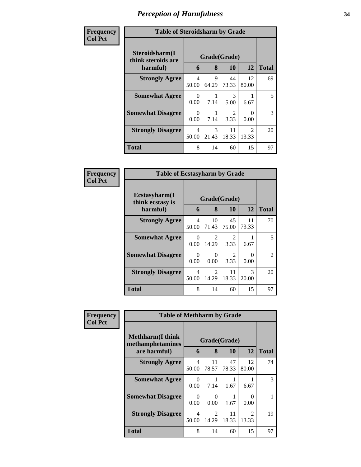| Frequency<br><b>Col Pct</b> | <b>Table of Steroidsharm by Grade</b>            |            |                   |                       |                         |              |  |
|-----------------------------|--------------------------------------------------|------------|-------------------|-----------------------|-------------------------|--------------|--|
|                             | Steroidsharm(I<br>think steroids are<br>harmful) | 6          | Grade(Grade)<br>8 | <b>10</b>             | 12                      | <b>Total</b> |  |
|                             | <b>Strongly Agree</b>                            | 4<br>50.00 | 9<br>64.29        | 44<br>73.33           | 12<br>80.00             | 69           |  |
|                             | <b>Somewhat Agree</b>                            | 0<br>0.00  | 7.14              | 3<br>5.00             | 6.67                    | 5            |  |
|                             | <b>Somewhat Disagree</b>                         | ∩<br>0.00  | 7.14              | $\mathcal{D}$<br>3.33 | $\theta$<br>0.00        | 3            |  |
|                             | <b>Strongly Disagree</b>                         | 4<br>50.00 | 3<br>21.43        | 11<br>18.33           | $\mathfrak{D}$<br>13.33 | 20           |  |
|                             | <b>Total</b>                                     | 8          | 14                | 60                    | 15                      | 97           |  |

| Frequency      | <b>Table of Ecstasyharm by Grade</b>                |            |                         |                                     |                        |              |
|----------------|-----------------------------------------------------|------------|-------------------------|-------------------------------------|------------------------|--------------|
| <b>Col Pct</b> | $E$ cstasyharm $(I$<br>think ecstasy is<br>harmful) | 6          | 8                       | Grade(Grade)<br>10                  | 12                     | <b>Total</b> |
|                | <b>Strongly Agree</b>                               | 4<br>50.00 | 10<br>71.43             | 45<br>75.00                         | 11<br>73.33            | 70           |
|                | <b>Somewhat Agree</b>                               | 0<br>0.00  | $\mathfrak{D}$<br>14.29 | $\mathcal{D}_{\mathcal{L}}$<br>3.33 | 6.67                   | 5            |
|                | <b>Somewhat Disagree</b>                            | 0<br>0.00  | 0<br>0.00               | $\mathcal{L}$<br>3.33               | 0.00                   | 2            |
|                | <b>Strongly Disagree</b>                            | 4<br>50.00 | $\mathfrak{D}$<br>14.29 | 11<br>18.33                         | $\mathcal{R}$<br>20.00 | 20           |
|                | <b>Total</b>                                        | 8          | 14                      | 60                                  | 15                     | 97           |

| Frequency      | <b>Table of Methharm by Grade</b>                            |                         |                        |             |                                      |              |  |  |
|----------------|--------------------------------------------------------------|-------------------------|------------------------|-------------|--------------------------------------|--------------|--|--|
| <b>Col Pct</b> | <b>Methharm</b> (I think<br>Grade(Grade)<br>methamphetamines |                         |                        |             |                                      |              |  |  |
|                | are harmful)                                                 | 6                       | 8                      | 10          | 12                                   | <b>Total</b> |  |  |
|                | <b>Strongly Agree</b>                                        | $\overline{4}$<br>50.00 | 11<br>78.57            | 47<br>78.33 | 12<br>80.00                          | 74           |  |  |
|                | <b>Somewhat Agree</b>                                        | 0<br>0.00               | 7.14                   | 1.67        | 6.67                                 | 3            |  |  |
|                | <b>Somewhat Disagree</b>                                     | 0<br>0.00               | 0<br>0.00              | 1.67        | $\Omega$<br>0.00                     |              |  |  |
|                | <b>Strongly Disagree</b>                                     | 4<br>50.00              | $\mathcal{L}$<br>14.29 | 11<br>18.33 | $\mathcal{D}_{\mathcal{L}}$<br>13.33 | 19           |  |  |
|                | <b>Total</b>                                                 | 8                       | 14                     | 60          | 15                                   | 97           |  |  |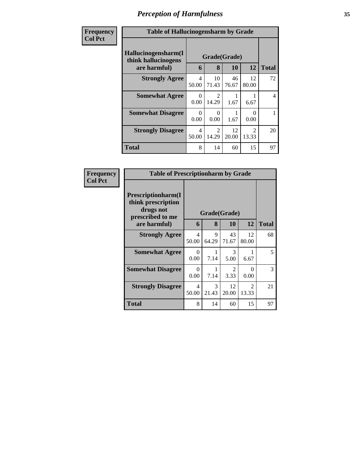| Frequency      | <b>Table of Hallucinogensharm by Grade</b>                 |            |                                      |             |                                      |              |  |
|----------------|------------------------------------------------------------|------------|--------------------------------------|-------------|--------------------------------------|--------------|--|
| <b>Col Pct</b> | Hallucinogensharm(I<br>think hallucinogens<br>are harmful) | 6          | Grade(Grade)<br>8                    | 10          | 12                                   | <b>Total</b> |  |
|                | <b>Strongly Agree</b>                                      | 4<br>50.00 | 10<br>71.43                          | 46<br>76.67 | 12<br>80.00                          | 72           |  |
|                | <b>Somewhat Agree</b>                                      | 0<br>0.00  | $\mathcal{D}_{\mathcal{L}}$<br>14.29 | 1.67        | 6.67                                 | 4            |  |
|                | <b>Somewhat Disagree</b>                                   | 0<br>0.00  | ∩<br>0.00                            | 1.67        | 0.00                                 |              |  |
|                | <b>Strongly Disagree</b>                                   | 4<br>50.00 | $\mathfrak{D}$<br>14.29              | 12<br>20.00 | $\mathcal{D}_{\mathcal{L}}$<br>13.33 | 20           |  |
|                | <b>Total</b>                                               | 8          | 14                                   | 60          | 15                                   | 97           |  |

| Frequency      | <b>Table of Prescriptionharm by Grade</b>                                 |                                   |              |                                     |                                      |              |  |  |
|----------------|---------------------------------------------------------------------------|-----------------------------------|--------------|-------------------------------------|--------------------------------------|--------------|--|--|
| <b>Col Pct</b> | Prescriptionharm(I<br>think prescription<br>drugs not<br>prescribed to me |                                   | Grade(Grade) |                                     |                                      |              |  |  |
|                | are harmful)                                                              | 6                                 | 8            | <b>10</b>                           | 12                                   | <b>Total</b> |  |  |
|                | <b>Strongly Agree</b>                                                     | $\overline{\mathcal{L}}$<br>50.00 | 9<br>64.29   | 43<br>71.67                         | 12<br>80.00                          | 68           |  |  |
|                | <b>Somewhat Agree</b>                                                     | $\Omega$<br>0.00                  | 1<br>7.14    | 3<br>5.00                           | 6.67                                 | 5            |  |  |
|                | <b>Somewhat Disagree</b>                                                  | 0<br>0.00                         | 7.14         | $\mathcal{D}_{\mathcal{L}}$<br>3.33 | $\mathbf{\Omega}$<br>0.00            | 3            |  |  |
|                | <b>Strongly Disagree</b>                                                  | 4<br>50.00                        | 3<br>21.43   | 12<br>20.00                         | $\mathcal{D}_{\mathcal{L}}$<br>13.33 | 21           |  |  |
|                | Total                                                                     | 8                                 | 14           | 60                                  | 15                                   | 97           |  |  |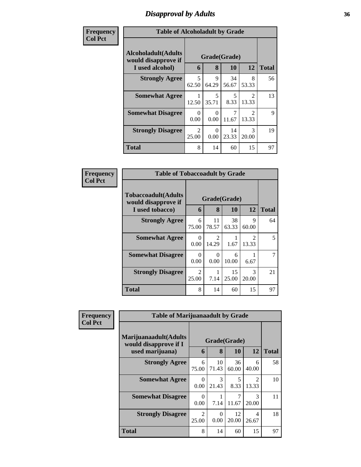# *Disapproval by Adults* **36**

| <b>Frequency</b> | <b>Table of Alcoholadult by Grade</b>                                 |                         |              |                   |                                      |    |
|------------------|-----------------------------------------------------------------------|-------------------------|--------------|-------------------|--------------------------------------|----|
| <b>Col Pct</b>   | <b>Alcoholadult</b> (Adults<br>would disapprove if<br>I used alcohol) | Grade(Grade)<br>6       | <b>Total</b> |                   |                                      |    |
|                  | <b>Strongly Agree</b>                                                 | 5<br>62.50              | 9<br>64.29   | 10<br>34<br>56.67 | 12<br>8<br>53.33                     | 56 |
|                  | <b>Somewhat Agree</b>                                                 | 1<br>12.50              | 5<br>35.71   | 5<br>8.33         | $\mathcal{D}_{\mathcal{A}}$<br>13.33 | 13 |
|                  | <b>Somewhat Disagree</b>                                              | 0<br>0.00               | 0<br>0.00    | 7<br>11.67        | $\mathcal{D}_{\mathcal{A}}$<br>13.33 | 9  |
|                  | <b>Strongly Disagree</b>                                              | $\mathfrak{D}$<br>25.00 | 0<br>0.00    | 14<br>23.33       | $\mathcal{R}$<br>20.00               | 19 |
|                  | <b>Total</b>                                                          | 8                       | 14           | 60                | 15                                   | 97 |

| Frequency      | <b>Table of Tobaccoadult by Grade</b>                                |                         |             |                           |                        |              |
|----------------|----------------------------------------------------------------------|-------------------------|-------------|---------------------------|------------------------|--------------|
| <b>Col Pct</b> | <b>Tobaccoadult(Adults</b><br>would disapprove if<br>I used tobacco) | 6                       | 8           | Grade(Grade)<br><b>10</b> | 12                     | <b>Total</b> |
|                | <b>Strongly Agree</b>                                                | 6<br>75.00              | 11<br>78.57 | 38<br>63.33               | 9<br>60.00             | 64           |
|                | <b>Somewhat Agree</b>                                                | $\Omega$<br>0.00        | 2<br>14.29  | 1.67                      | $\mathcal{D}$<br>13.33 | 5            |
|                | <b>Somewhat Disagree</b>                                             | 0<br>0.00               | 0<br>0.00   | 6<br>10.00                | 6.67                   |              |
|                | <b>Strongly Disagree</b>                                             | $\mathfrak{D}$<br>25.00 | 7.14        | 15<br>25.00               | 3<br>20.00             | 21           |
|                | <b>Total</b>                                                         | 8                       | 14          | 60                        | 15                     | 97           |

| Frequency      | <b>Table of Marijuanaadult by Grade</b>        |                         |                        |             |                                      |              |
|----------------|------------------------------------------------|-------------------------|------------------------|-------------|--------------------------------------|--------------|
| <b>Col Pct</b> | Marijuanaadult(Adults<br>would disapprove if I |                         | Grade(Grade)           |             |                                      |              |
|                | used marijuana)                                | 6                       | 8                      | <b>10</b>   | 12                                   | <b>Total</b> |
|                | <b>Strongly Agree</b>                          | 6<br>75.00              | 10<br>71.43            | 36<br>60.00 | 6<br>40.00                           | 58           |
|                | <b>Somewhat Agree</b>                          | 0<br>0.00               | $\mathcal{F}$<br>21.43 | 5<br>8.33   | $\mathcal{D}_{\mathcal{L}}$<br>13.33 | 10           |
|                | <b>Somewhat Disagree</b>                       | 0<br>0.00               | 7.14                   | 7<br>11.67  | 3<br>20.00                           | 11           |
|                | <b>Strongly Disagree</b>                       | $\mathfrak{D}$<br>25.00 | 0<br>0.00              | 12<br>20.00 | 4<br>26.67                           | 18           |
|                | <b>Total</b>                                   | 8                       | 14                     | 60          | 15                                   | 97           |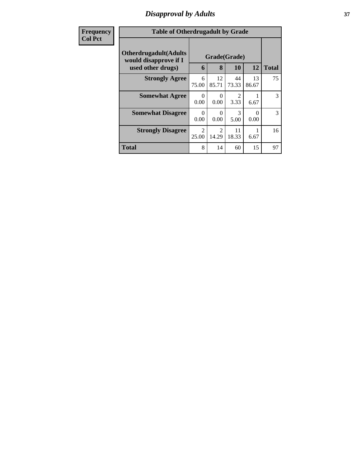## *Disapproval by Adults* **37**

| <b>Frequency</b> | <b>Table of Otherdrugadult by Grade</b>                                     |                         |                         |                       |             |              |
|------------------|-----------------------------------------------------------------------------|-------------------------|-------------------------|-----------------------|-------------|--------------|
| <b>Col Pct</b>   | <b>Otherdrugadult</b> (Adults<br>would disapprove if I<br>used other drugs) | 6                       | Grade(Grade)<br>8       | 10                    | 12          | <b>Total</b> |
|                  |                                                                             |                         |                         |                       |             |              |
|                  | <b>Strongly Agree</b>                                                       | 6<br>75.00              | 12<br>85.71             | 44<br>73.33           | 13<br>86.67 | 75           |
|                  | <b>Somewhat Agree</b>                                                       | $\Omega$<br>0.00        | $\Omega$<br>0.00        | 2<br>3.33             | 6.67        | 3            |
|                  | <b>Somewhat Disagree</b>                                                    | 0<br>0.00               | 0<br>0.00               | $\mathcal{R}$<br>5.00 | 0<br>0.00   | 3            |
|                  | <b>Strongly Disagree</b>                                                    | $\mathfrak{D}$<br>25.00 | $\mathfrak{D}$<br>14.29 | 11<br>18.33           | 6.67        | 16           |
|                  | <b>Total</b>                                                                | 8                       | 14                      | 60                    | 15          | 97           |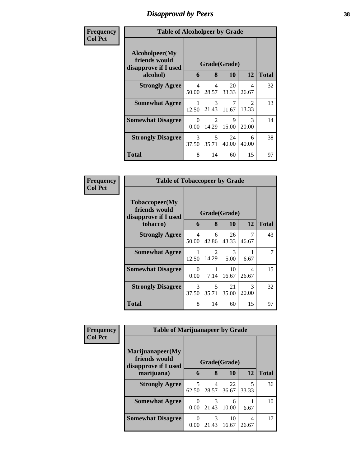## *Disapproval by Peers* **38**

| Frequency      | <b>Table of Alcoholpeer by Grade</b>                    |                        |                         |             |                        |              |
|----------------|---------------------------------------------------------|------------------------|-------------------------|-------------|------------------------|--------------|
| <b>Col Pct</b> | Alcoholpeer(My<br>friends would<br>disapprove if I used |                        | Grade(Grade)            |             |                        |              |
|                | alcohol)                                                | 6                      | 8                       | 10          | 12                     | <b>Total</b> |
|                | <b>Strongly Agree</b>                                   | 4<br>50.00             | 4<br>28.57              | 20<br>33.33 | 4<br>26.67             | 32           |
|                | <b>Somewhat Agree</b>                                   | 12.50                  | 3<br>21.43              | 7<br>11.67  | 2<br>13.33             | 13           |
|                | <b>Somewhat Disagree</b>                                | 0<br>0.00              | $\overline{2}$<br>14.29 | 9<br>15.00  | $\mathcal{R}$<br>20.00 | 14           |
|                | <b>Strongly Disagree</b>                                | $\mathcal{R}$<br>37.50 | 5<br>35.71              | 24<br>40.00 | 6<br>40.00             | 38           |
|                | Total                                                   | 8                      | 14                      | 60          | 15                     | 97           |

| Frequency      | <b>Table of Tobaccopeer by Grade</b>                    |                         |                         |             |                                   |              |
|----------------|---------------------------------------------------------|-------------------------|-------------------------|-------------|-----------------------------------|--------------|
| <b>Col Pct</b> | Tobaccopeer(My<br>friends would<br>disapprove if I used |                         | Grade(Grade)            |             |                                   |              |
|                | tobacco)                                                | 6                       | 8                       | 10          | 12                                | <b>Total</b> |
|                | <b>Strongly Agree</b>                                   | $\overline{4}$<br>50.00 | 6<br>42.86              | 26<br>43.33 | 7<br>46.67                        | 43           |
|                | <b>Somewhat Agree</b>                                   | 12.50                   | $\mathfrak{D}$<br>14.29 | 3<br>5.00   | 6.67                              | 7            |
|                | <b>Somewhat Disagree</b>                                | $\theta$<br>0.00        | 7.14                    | 10<br>16.67 | $\overline{\mathcal{A}}$<br>26.67 | 15           |
|                | <b>Strongly Disagree</b>                                | 3<br>37.50              | 5<br>35.71              | 21<br>35.00 | 3<br>20.00                        | 32           |
|                | Total                                                   | 8                       | 14                      | 60          | 15                                | 97           |

| Frequency      |                                                           | <b>Table of Marijuanapeer by Grade</b> |              |             |            |              |  |  |  |
|----------------|-----------------------------------------------------------|----------------------------------------|--------------|-------------|------------|--------------|--|--|--|
| <b>Col Pct</b> | Marijuanapeer(My<br>friends would<br>disapprove if I used |                                        | Grade(Grade) |             |            |              |  |  |  |
|                | marijuana)                                                | 6                                      | 8            | 10          | 12         | <b>Total</b> |  |  |  |
|                | <b>Strongly Agree</b>                                     | 5<br>62.50                             | 4<br>28.57   | 22<br>36.67 | 33.33      | 36           |  |  |  |
|                | <b>Somewhat Agree</b>                                     | $\Omega$<br>0.00                       | 3<br>21.43   | 6<br>10.00  | 6.67       | 10           |  |  |  |
|                | <b>Somewhat Disagree</b>                                  | $\Omega$<br>0.00                       | 3<br>21.43   | 10<br>16.67 | 4<br>26.67 | 17           |  |  |  |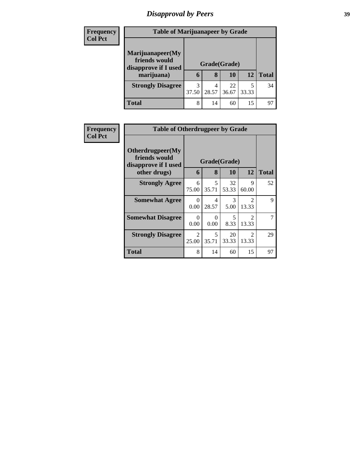# *Disapproval by Peers* **39**

| <b>Frequency</b><br><b>Col Pct</b> | <b>Table of Marijuanapeer by Grade</b> |              |       |             |       |              |
|------------------------------------|----------------------------------------|--------------|-------|-------------|-------|--------------|
|                                    | Marijuanapeer(My                       |              |       |             |       |              |
|                                    | friends would<br>disapprove if I used  | Grade(Grade) |       |             |       |              |
|                                    | marijuana)                             | 6            | 8     | 10          | 12    | <b>Total</b> |
|                                    | <b>Strongly Disagree</b>               | 3<br>37.50   | 28.57 | 22<br>36.67 | 33.33 | 34           |
|                                    |                                        |              |       |             |       |              |
|                                    | <b>Total</b>                           | 8            | 14    | 60          | 15    | 97           |

| Frequency      | <b>Table of Otherdrugpeer by Grade</b>                                    |                         |                                   |                       |                         |              |
|----------------|---------------------------------------------------------------------------|-------------------------|-----------------------------------|-----------------------|-------------------------|--------------|
| <b>Col Pct</b> | Otherdrugpeer(My<br>friends would<br>disapprove if I used<br>other drugs) | 6                       | Grade(Grade)<br>8                 | 10                    | 12                      | <b>Total</b> |
|                | <b>Strongly Agree</b>                                                     | 6<br>75.00              | $\overline{\mathcal{L}}$<br>35.71 | 32<br>53.33           | $\mathbf Q$<br>60.00    | 52           |
|                | <b>Somewhat Agree</b>                                                     | $\Omega$<br>0.00        | 4<br>28.57                        | $\mathcal{F}$<br>5.00 | $\mathcal{D}$<br>13.33  | 9            |
|                | <b>Somewhat Disagree</b>                                                  | 0<br>0.00               | 0<br>0.00                         | 5<br>8.33             | $\mathfrak{D}$<br>13.33 | 7            |
|                | <b>Strongly Disagree</b>                                                  | $\mathfrak{D}$<br>25.00 | 5<br>35.71                        | 20<br>33.33           | $\mathcal{D}$<br>13.33  | 29           |
|                | Total                                                                     | 8                       | 14                                | 60                    | 15                      | 97           |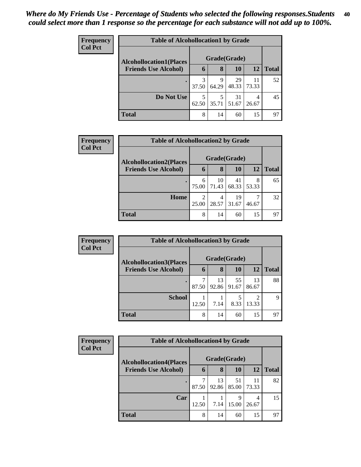| Frequency<br><b>Col Pct</b> | <b>Table of Alcohollocation1 by Grade</b> |              |            |             |             |              |  |  |
|-----------------------------|-------------------------------------------|--------------|------------|-------------|-------------|--------------|--|--|
|                             | <b>Alcohollocation1(Places</b>            | Grade(Grade) |            |             |             |              |  |  |
|                             | <b>Friends Use Alcohol)</b>               | 6            | 8          | <b>10</b>   | <b>12</b>   | <b>Total</b> |  |  |
|                             |                                           | 37.50        | 9<br>64.29 | 29<br>48.33 | 11<br>73.33 | 52           |  |  |
|                             | Do Not Use                                | 5<br>62.50   | 5<br>35.71 | 31<br>51.67 | 4<br>26.67  | 45           |  |  |
|                             | <b>Total</b>                              | 8            | 14         | 60          | 15          | 97           |  |  |

| Frequency      | <b>Table of Alcohollocation2 by Grade</b> |            |              |             |            |              |  |
|----------------|-------------------------------------------|------------|--------------|-------------|------------|--------------|--|
| <b>Col Pct</b> | <b>Alcohollocation2(Places</b>            |            | Grade(Grade) |             |            |              |  |
|                | <b>Friends Use Alcohol)</b>               | 6          | 8            | <b>10</b>   | <b>12</b>  | <b>Total</b> |  |
|                |                                           | 6<br>75.00 | 10<br>71.43  | 41<br>68.33 | 8<br>53.33 | 65           |  |
|                | Home                                      | 25.00      | 4<br>28.57   | 19<br>31.67 | 46.67      | 32           |  |
|                | <b>Total</b>                              | 8          | 14           | 60          | 15         | 97           |  |

| Frequency      | <b>Table of Alcohollocation 3 by Grade</b> |              |             |             |             |              |  |
|----------------|--------------------------------------------|--------------|-------------|-------------|-------------|--------------|--|
| <b>Col Pct</b> | <b>Alcohollocation3(Places</b>             | Grade(Grade) |             |             |             |              |  |
|                | <b>Friends Use Alcohol)</b>                | 6            | 8           | 10          | 12          | <b>Total</b> |  |
|                |                                            | 87.50        | 13<br>92.86 | 55<br>91.67 | 13<br>86.67 | 88           |  |
|                | <b>School</b>                              | 12.50        | 7.14        | 8.33        | 13.33       | 9            |  |
|                | <b>Total</b>                               | 8            | 14          | 60          | 15          | 97           |  |

| Frequency      | <b>Table of Alcohollocation4 by Grade</b> |              |             |             |             |              |  |
|----------------|-------------------------------------------|--------------|-------------|-------------|-------------|--------------|--|
| <b>Col Pct</b> | <b>Alcohollocation4(Places</b>            | Grade(Grade) |             |             |             |              |  |
|                | <b>Friends Use Alcohol)</b>               | 6            | 8           | 10          | 12          | <b>Total</b> |  |
|                | $\bullet$                                 | 87.50        | 13<br>92.86 | 51<br>85.00 | 11<br>73.33 | 82           |  |
|                | Car                                       | 12.50        | 7.14        | 9<br>15.00  | 4<br>26.67  | 15           |  |
|                | <b>Total</b>                              | 8            | 14          | 60          | 15          | 97           |  |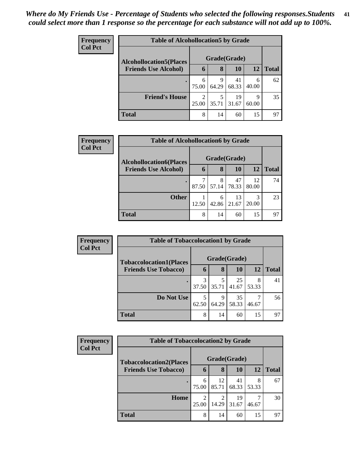| <b>Frequency</b> | <b>Table of Alcohollocation5 by Grade</b> |             |              |             |            |              |  |  |
|------------------|-------------------------------------------|-------------|--------------|-------------|------------|--------------|--|--|
| <b>Col Pct</b>   | <b>Alcohollocation5(Places</b>            |             | Grade(Grade) |             |            |              |  |  |
|                  | <b>Friends Use Alcohol)</b>               | $\mathbf b$ | 8            | 10          | 12         | <b>Total</b> |  |  |
|                  |                                           | 6<br>75.00  | 9<br>64.29   | 41<br>68.33 | 6<br>40.00 | 62           |  |  |
|                  | <b>Friend's House</b>                     | 2<br>25.00  | 5<br>35.71   | 19<br>31.67 | 9<br>60.00 | 35           |  |  |
|                  | <b>Total</b>                              | 8           | 14           | 60          | 15         | 97           |  |  |

| <b>Frequency</b> | <b>Table of Alcohollocation6 by Grade</b> |       |              |             |             |              |  |
|------------------|-------------------------------------------|-------|--------------|-------------|-------------|--------------|--|
| <b>Col Pct</b>   | <b>Alcohollocation6(Places</b>            |       | Grade(Grade) |             |             |              |  |
|                  | <b>Friends Use Alcohol)</b>               | 6     | 8            | <b>10</b>   | 12          | <b>Total</b> |  |
|                  |                                           | 87.50 | 8<br>57.14   | 47<br>78.33 | 12<br>80.00 | 74           |  |
|                  | <b>Other</b>                              | 12.50 | 6<br>42.86   | 13<br>21.67 | 3<br>20.00  | 23           |  |
|                  | <b>Total</b>                              | 8     | 14           | 60          | 15          | 97           |  |

| Frequency      | <b>Table of Tobaccolocation1 by Grade</b> |              |            |             |            |              |
|----------------|-------------------------------------------|--------------|------------|-------------|------------|--------------|
| <b>Col Pct</b> | <b>Tobaccolocation1(Places</b>            | Grade(Grade) |            |             |            |              |
|                | <b>Friends Use Tobacco)</b>               | 6            | 8          | 10          | 12         | <b>Total</b> |
|                |                                           | 37.50        | 5<br>35.71 | 25<br>41.67 | 8<br>53.33 | 41           |
|                | Do Not Use                                | 62.50        | 9<br>64.29 | 35<br>58.33 | 46.67      | 56           |
|                | <b>Total</b>                              | 8            | 14         | 60          | 15         | 97           |

| <b>Frequency</b> |                                | <b>Table of Tobaccolocation2 by Grade</b> |             |             |            |              |  |  |  |
|------------------|--------------------------------|-------------------------------------------|-------------|-------------|------------|--------------|--|--|--|
| <b>Col Pct</b>   | <b>Tobaccolocation2(Places</b> | Grade(Grade)                              |             |             |            |              |  |  |  |
|                  | <b>Friends Use Tobacco)</b>    | 6                                         | 8           | 10          | 12         | <b>Total</b> |  |  |  |
|                  |                                | 6<br>75.00                                | 12<br>85.71 | 41<br>68.33 | 8<br>53.33 | 67           |  |  |  |
|                  | Home                           | 2<br>25.00                                | 2<br>14.29  | 19<br>31.67 | 46.67      | 30           |  |  |  |
|                  | <b>Total</b>                   | 8                                         | 14          | 60          | 15         | 97           |  |  |  |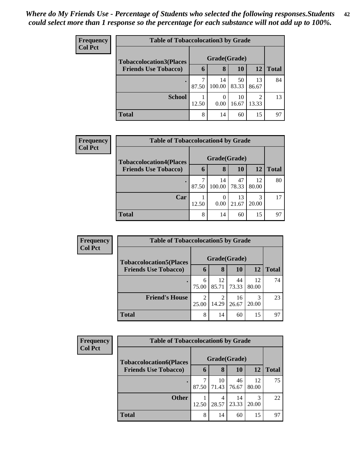| <b>Frequency</b> | <b>Table of Tobaccolocation3 by Grade</b> |       |              |             |                         |              |  |  |  |
|------------------|-------------------------------------------|-------|--------------|-------------|-------------------------|--------------|--|--|--|
| <b>Col Pct</b>   | <b>Tobaccolocation3(Places</b>            |       | Grade(Grade) |             |                         |              |  |  |  |
|                  | <b>Friends Use Tobacco)</b>               | 6     | 8            | 10          | 12                      | <b>Total</b> |  |  |  |
|                  |                                           | 87.50 | 14<br>100.00 | 50<br>83.33 | 13<br>86.67             | 84           |  |  |  |
|                  | <b>School</b>                             | 12.50 | 0.00         | 10<br>16.67 | $\overline{c}$<br>13.33 | 13           |  |  |  |
|                  | <b>Total</b>                              | 8     | 14           | 60          | 15                      | 97           |  |  |  |

| <b>Frequency</b> | <b>Table of Tobaccolocation4 by Grade</b> |       |              |           |       |              |  |  |
|------------------|-------------------------------------------|-------|--------------|-----------|-------|--------------|--|--|
| <b>Col Pct</b>   | <b>Tobaccolocation4(Places</b>            |       | Grade(Grade) |           |       |              |  |  |
|                  | <b>Friends Use Tobacco)</b>               | h     | 8            | <b>10</b> | 12    | <b>Total</b> |  |  |
|                  |                                           |       | 14           | 47        | 12    | 80           |  |  |
|                  |                                           | 87.50 | 100.00       | 78.33     | 80.00 |              |  |  |
|                  | Car                                       |       | $\theta$     | 13        | 3     | 17           |  |  |
|                  |                                           | 12.50 | 0.00         | 21.67     | 20.00 |              |  |  |
|                  | <b>Total</b>                              | 8     | 14           | 60        | 15    | 97           |  |  |

| <b>Frequency</b> | <b>Table of Tobaccolocation5 by Grade</b> |                         |              |             |             |              |  |  |  |
|------------------|-------------------------------------------|-------------------------|--------------|-------------|-------------|--------------|--|--|--|
| <b>Col Pct</b>   | <b>Tobaccolocation5(Places</b>            |                         | Grade(Grade) |             |             |              |  |  |  |
|                  | <b>Friends Use Tobacco)</b>               | 6                       | 8            | 10          | 12          | <b>Total</b> |  |  |  |
|                  | $\bullet$                                 | 6<br>75.00              | 12<br>85.71  | 44<br>73.33 | 12<br>80.00 | 74           |  |  |  |
|                  | <b>Friend's House</b>                     | $\overline{c}$<br>25.00 | 14.29        | 16<br>26.67 | 3<br>20.00  | 23           |  |  |  |
|                  | <b>Total</b>                              | 8                       | 14           | 60          | 15          | 97           |  |  |  |

| <b>Frequency</b> |                                | <b>Table of Tobaccolocation6 by Grade</b> |             |             |             |              |  |  |  |
|------------------|--------------------------------|-------------------------------------------|-------------|-------------|-------------|--------------|--|--|--|
| <b>Col Pct</b>   | <b>Tobaccolocation6(Places</b> | Grade(Grade)                              |             |             |             |              |  |  |  |
|                  | <b>Friends Use Tobacco)</b>    | 6                                         | 8           | 10          | 12          | <b>Total</b> |  |  |  |
|                  |                                | 87.50                                     | 10<br>71.43 | 46<br>76.67 | 12<br>80.00 | 75           |  |  |  |
|                  | <b>Other</b>                   | 12.50                                     | 4<br>28.57  | 14<br>23.33 | 3<br>20.00  | 22           |  |  |  |
|                  | <b>Total</b>                   | 8                                         | 14          | 60          | 15          | 97           |  |  |  |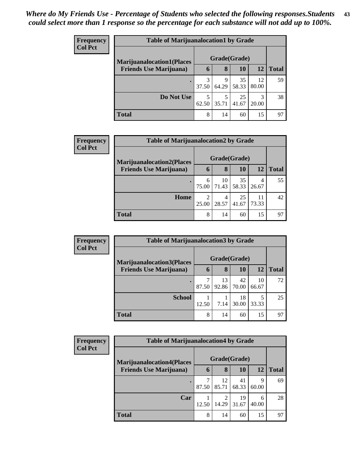| <b>Frequency</b> | <b>Table of Marijuanalocation1 by Grade</b> |              |            |             |             |              |  |  |  |
|------------------|---------------------------------------------|--------------|------------|-------------|-------------|--------------|--|--|--|
| <b>Col Pct</b>   | <b>Marijuanalocation1(Places</b>            | Grade(Grade) |            |             |             |              |  |  |  |
|                  | <b>Friends Use Marijuana</b> )              | 6            | 8          | 10          | 12          | <b>Total</b> |  |  |  |
|                  |                                             | 3<br>37.50   | 9<br>64.29 | 35<br>58.33 | 12<br>80.00 | 59           |  |  |  |
|                  | Do Not Use                                  | 5<br>62.50   | 5<br>35.71 | 25<br>41.67 | 3<br>20.00  | 38           |  |  |  |
|                  | <b>Total</b>                                | 8            | 14         | 60          | 15          | 97           |  |  |  |

| Frequency      | <b>Table of Marijuanalocation2 by Grade</b>                        |            |                   |             |             |              |
|----------------|--------------------------------------------------------------------|------------|-------------------|-------------|-------------|--------------|
| <b>Col Pct</b> | <b>Marijuanalocation2(Places</b><br><b>Friends Use Marijuana</b> ) | 6          | Grade(Grade)<br>8 | 10          | 12          | <b>Total</b> |
|                |                                                                    |            |                   |             |             |              |
|                | ٠                                                                  | 6<br>75.00 | 10<br>71.43       | 35<br>58.33 | 4<br>26.67  | 55           |
|                | Home                                                               | 2<br>25.00 | 4<br>28.57        | 25<br>41.67 | 11<br>73.33 | 42           |
|                | <b>Total</b>                                                       | 8          | 14                | 60          | 15          | 97           |

| <b>Frequency</b> | <b>Table of Marijuanalocation3 by Grade</b> |              |             |             |             |              |  |  |  |
|------------------|---------------------------------------------|--------------|-------------|-------------|-------------|--------------|--|--|--|
| <b>Col Pct</b>   | <b>Marijuanalocation3</b> (Places           | Grade(Grade) |             |             |             |              |  |  |  |
|                  | <b>Friends Use Marijuana</b> )              | h            | 8           | 10          | 12          | <b>Total</b> |  |  |  |
|                  | ٠                                           | 87.50        | 13<br>92.86 | 42<br>70.00 | 10<br>66.67 | 72           |  |  |  |
|                  | <b>School</b>                               | 12.50        | 7.14        | 18<br>30.00 | 5<br>33.33  | 25           |  |  |  |
|                  | <b>Total</b>                                | 8            | 14          | 60          | 15          | 97           |  |  |  |

| Frequency      | <b>Table of Marijuanalocation4 by Grade</b> |              |             |             |            |              |  |  |  |
|----------------|---------------------------------------------|--------------|-------------|-------------|------------|--------------|--|--|--|
| <b>Col Pct</b> | <b>Marijuanalocation4(Places)</b>           | Grade(Grade) |             |             |            |              |  |  |  |
|                | <b>Friends Use Marijuana</b> )              | 6            | 8           | <b>10</b>   | 12         | <b>Total</b> |  |  |  |
|                | $\bullet$                                   | 87.50        | 12<br>85.71 | 41<br>68.33 | 9<br>60.00 | 69           |  |  |  |
|                | Car                                         | 12.50        | 14.29       | 19<br>31.67 | 6<br>40.00 | 28           |  |  |  |
|                | <b>Total</b>                                | 8            | 14          | 60          | 15         | 97           |  |  |  |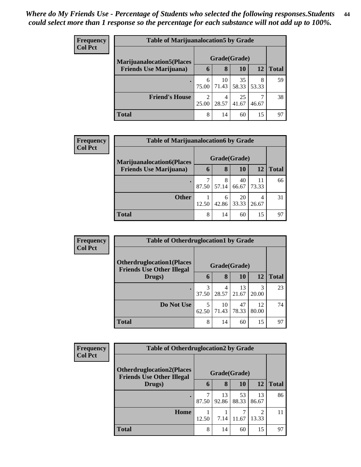| <b>Frequency</b> | <b>Table of Marijuanalocation5 by Grade</b> |                         |             |             |            |              |
|------------------|---------------------------------------------|-------------------------|-------------|-------------|------------|--------------|
| <b>Col Pct</b>   | <b>Marijuanalocation5</b> (Places           | Grade(Grade)            |             |             |            |              |
|                  | <b>Friends Use Marijuana</b> )              | 6                       | 8           | 10          | 12         | <b>Total</b> |
|                  |                                             | 6<br>75.00              | 10<br>71.43 | 35<br>58.33 | 8<br>53.33 | 59           |
|                  | <b>Friend's House</b>                       | $\mathfrak{D}$<br>25.00 | 4<br>28.57  | 25<br>41.67 | 7<br>46.67 | 38           |
|                  | <b>Total</b>                                | 8                       | 14          | 60          | 15         | 97           |

| Frequency      | <b>Table of Marijuanalocation6 by Grade</b> |       |              |             |             |              |
|----------------|---------------------------------------------|-------|--------------|-------------|-------------|--------------|
| <b>Col Pct</b> | <b>Marijuanalocation6(Places</b>            |       | Grade(Grade) |             |             |              |
|                | <b>Friends Use Marijuana</b> )              | 6     | 8            | <b>10</b>   | <b>12</b>   | <b>Total</b> |
|                |                                             | 87.50 | 8<br>57.14   | 40<br>66.67 | 11<br>73.33 | 66           |
|                | <b>Other</b>                                | 12.50 | 6<br>42.86   | 20<br>33.33 | 4<br>26.67  | 31           |
|                | <b>Total</b>                                | 8     | 14           | 60          | 15          | 97           |

| Frequency      |                                                                      | <b>Table of Otherdruglocation1 by Grade</b> |             |             |             |              |  |
|----------------|----------------------------------------------------------------------|---------------------------------------------|-------------|-------------|-------------|--------------|--|
| <b>Col Pct</b> | <b>Otherdruglocation1(Places</b><br><b>Friends Use Other Illegal</b> | Grade(Grade)                                |             |             |             |              |  |
|                | Drugs)                                                               | 6                                           | 8           | <b>10</b>   | 12          | <b>Total</b> |  |
|                |                                                                      | 3<br>37.50                                  | 4<br>28.57  | 13<br>21.67 | 3<br>20.00  | 23           |  |
|                | Do Not Use                                                           | 5<br>62.50                                  | 10<br>71.43 | 47<br>78.33 | 12<br>80.00 | 74           |  |
|                | <b>Total</b>                                                         | 8                                           | 14          | 60          | 15          | 97           |  |

| <b>Frequency</b> |                                                                       | <b>Table of Otherdruglocation2 by Grade</b> |              |             |                                                                                                                                                                          |              |  |
|------------------|-----------------------------------------------------------------------|---------------------------------------------|--------------|-------------|--------------------------------------------------------------------------------------------------------------------------------------------------------------------------|--------------|--|
| <b>Col Pct</b>   | <b>Otherdruglocation2(Places)</b><br><b>Friends Use Other Illegal</b> |                                             | Grade(Grade) |             |                                                                                                                                                                          |              |  |
|                  | Drugs)                                                                | 6                                           | 8            | <b>10</b>   | 12                                                                                                                                                                       | <b>Total</b> |  |
|                  | ٠                                                                     | ┑<br>87.50                                  | 13<br>92.86  | 53<br>88.33 | 13<br>86.67                                                                                                                                                              | 86           |  |
|                  | Home                                                                  | 12.50                                       | 7.14         | 11.67       | $\mathcal{D}_{\mathcal{A}}^{\mathcal{A}}(\mathcal{A})=\mathcal{D}_{\mathcal{A}}^{\mathcal{A}}(\mathcal{A})\mathcal{D}_{\mathcal{A}}^{\mathcal{A}}(\mathcal{A})$<br>13.33 | 11           |  |
|                  | <b>Total</b>                                                          | 8                                           | 14           | 60          | 15                                                                                                                                                                       | 97           |  |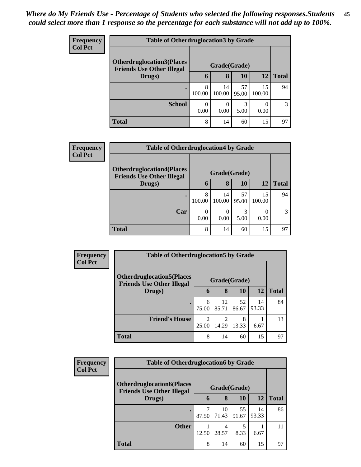| <b>Frequency</b> | <b>Table of Otherdruglocation 3 by Grade</b>                         |              |                  |             |              |              |  |  |  |
|------------------|----------------------------------------------------------------------|--------------|------------------|-------------|--------------|--------------|--|--|--|
| <b>Col Pct</b>   | <b>Otherdruglocation3(Places</b><br><b>Friends Use Other Illegal</b> | Grade(Grade) |                  |             |              |              |  |  |  |
|                  | Drugs)                                                               | 6            | 8                | 10          | <b>12</b>    | <b>Total</b> |  |  |  |
|                  |                                                                      | 8<br>100.00  | 14<br>100.00     | 57<br>95.00 | 15<br>100.00 | 94           |  |  |  |
|                  | <b>School</b>                                                        | 0.00         | $\Omega$<br>0.00 | 3<br>5.00   | 0.00         | 3            |  |  |  |
|                  | <b>Total</b>                                                         | 8            | 14               | 60          | 15           | 97           |  |  |  |

| Frequency      | <b>Table of Otherdruglocation4 by Grade</b>                          |              |              |             |              |              |
|----------------|----------------------------------------------------------------------|--------------|--------------|-------------|--------------|--------------|
| <b>Col Pct</b> | <b>Otherdruglocation4(Places</b><br><b>Friends Use Other Illegal</b> | Grade(Grade) |              |             |              |              |
|                | Drugs)                                                               | 0            | 8            | <b>10</b>   | 12           | <b>Total</b> |
|                |                                                                      | 8<br>100.00  | 14<br>100.00 | 57<br>95.00 | 15<br>100.00 | 94           |
|                | Car                                                                  | 0.00         | 0.00         | 3<br>5.00   | 0<br>0.00    | 3            |
|                | <b>Total</b>                                                         | 8            | 14           | 60          | 15           | 97           |

| Frequency<br><b>Col Pct</b> | <b>Table of Otherdruglocation5 by Grade</b>                           |                         |                         |             |             |              |  |
|-----------------------------|-----------------------------------------------------------------------|-------------------------|-------------------------|-------------|-------------|--------------|--|
|                             | <b>Otherdruglocation5(Places)</b><br><b>Friends Use Other Illegal</b> |                         | Grade(Grade)            |             |             |              |  |
|                             | Drugs)                                                                | 6                       | 8                       | <b>10</b>   | 12          | <b>Total</b> |  |
|                             |                                                                       | 6<br>75.00              | 12<br>85.71             | 52<br>86.67 | 14<br>93.33 | 84           |  |
|                             | <b>Friend's House</b>                                                 | $\mathfrak{D}$<br>25.00 | $\overline{c}$<br>14.29 | 8<br>13.33  | 6.67        | 13           |  |
|                             | <b>Total</b>                                                          | 8                       | 14                      | 60          | 15          | 97           |  |

| Frequency      | <b>Table of Otherdruglocation6 by Grade</b>                          |              |             |             |             |              |  |
|----------------|----------------------------------------------------------------------|--------------|-------------|-------------|-------------|--------------|--|
| <b>Col Pct</b> | <b>Otherdruglocation6(Places</b><br><b>Friends Use Other Illegal</b> | Grade(Grade) |             |             |             |              |  |
|                | Drugs)                                                               | 6            | 8           | 10          | 12          | <b>Total</b> |  |
|                |                                                                      | ℸ<br>87.50   | 10<br>71.43 | 55<br>91.67 | 14<br>93.33 | 86           |  |
|                | <b>Other</b>                                                         | 12.50        | 4<br>28.57  | 8.33        | 6.67        | 11           |  |
|                | <b>Total</b>                                                         | 8            | 14          | 60          | 15          | 97           |  |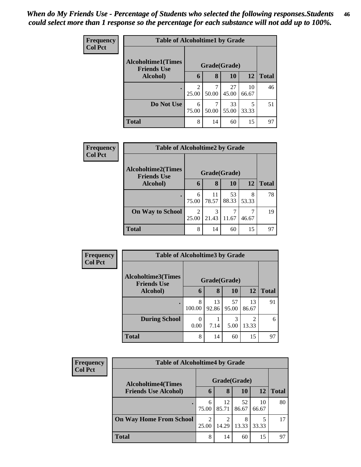| <b>Frequency</b> | <b>Table of Alcoholtime1 by Grade</b>           |                         |       |             |             |              |  |  |
|------------------|-------------------------------------------------|-------------------------|-------|-------------|-------------|--------------|--|--|
| <b>Col Pct</b>   | <b>Alcoholtime1(Times</b><br><b>Friends Use</b> | Grade(Grade)            |       |             |             |              |  |  |
|                  | Alcohol)                                        | 6                       | 8     | 10          | 12          | <b>Total</b> |  |  |
|                  |                                                 | $\mathfrak{D}$<br>25.00 | 50.00 | 27<br>45.00 | 10<br>66.67 | 46           |  |  |
|                  | Do Not Use                                      | 6<br>75.00              | 50.00 | 33<br>55.00 | 33.33       | 51           |  |  |
|                  | Total                                           | 8                       | 14    | 60          | 15          | 97           |  |  |

| Frequency      | <b>Table of Alcoholtime2 by Grade</b>           |              |             |             |            |              |  |  |
|----------------|-------------------------------------------------|--------------|-------------|-------------|------------|--------------|--|--|
| <b>Col Pct</b> | <b>Alcoholtime2(Times</b><br><b>Friends Use</b> | Grade(Grade) |             |             |            |              |  |  |
|                | Alcohol)                                        | 6            | 8           | <b>10</b>   | 12         | <b>Total</b> |  |  |
|                |                                                 | 6<br>75.00   | 11<br>78.57 | 53<br>88.33 | 8<br>53.33 | 78           |  |  |
|                | <b>On Way to School</b>                         | 2<br>25.00   | 3<br>21.43  | 11.67       | 46.67      | 19           |  |  |
|                | <b>Total</b>                                    | 8            | 14          | 60          | 15         | 97           |  |  |

| Frequency<br><b>Col Pct</b> | <b>Table of Alcoholtime3 by Grade</b>           |              |             |             |                         |              |  |  |
|-----------------------------|-------------------------------------------------|--------------|-------------|-------------|-------------------------|--------------|--|--|
|                             | <b>Alcoholtime3(Times</b><br><b>Friends Use</b> | Grade(Grade) |             |             |                         |              |  |  |
|                             | Alcohol)                                        | 6            | 8           | 10          | 12                      | <b>Total</b> |  |  |
|                             | $\bullet$                                       | 8<br>100.00  | 13<br>92.86 | 57<br>95.00 | 13<br>86.67             | 91           |  |  |
|                             | <b>During School</b>                            | 0.00         | 7.14        | 3<br>5.00   | $\mathfrak{D}$<br>13.33 | 6            |  |  |
|                             | <b>Total</b>                                    | 8            | 14          | 60          | 15                      | 97           |  |  |

| <b>Frequency</b><br><b>Col Pct</b> | <b>Table of Alcoholtime4 by Grade</b>                    |                         |             |             |             |              |  |
|------------------------------------|----------------------------------------------------------|-------------------------|-------------|-------------|-------------|--------------|--|
|                                    | <b>Alcoholtime4(Times</b><br><b>Friends Use Alcohol)</b> | Grade(Grade)            |             |             |             |              |  |
|                                    |                                                          | h                       | 8           | 10          | 12          | <b>Total</b> |  |
|                                    |                                                          | 6<br>75.00              | 12<br>85.71 | 52<br>86.67 | 10<br>66.67 | 80           |  |
|                                    | <b>On Way Home From School</b>                           | $\mathfrak{D}$<br>25.00 | ◠<br>14.29  | 8<br>13.33  | 33.33       | 17           |  |
|                                    | <b>Total</b>                                             | 8                       | 14          | 60          | 15          | 97           |  |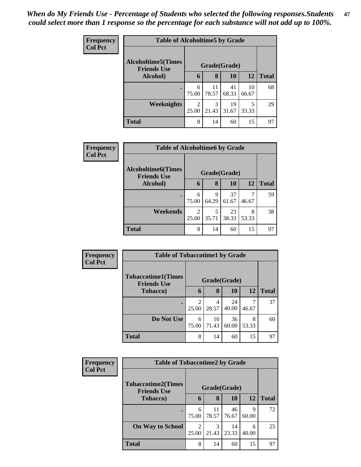| Frequency      | <b>Table of Alcoholtime5 by Grade</b>           |              |             |             |             |              |  |  |
|----------------|-------------------------------------------------|--------------|-------------|-------------|-------------|--------------|--|--|
| <b>Col Pct</b> | <b>Alcoholtime5(Times</b><br><b>Friends Use</b> | Grade(Grade) |             |             |             |              |  |  |
|                | Alcohol)                                        | 6            | 8           | <b>10</b>   | 12          | <b>Total</b> |  |  |
|                |                                                 | 6<br>75.00   | 11<br>78.57 | 41<br>68.33 | 10<br>66.67 | 68           |  |  |
|                | Weeknights                                      | 25.00        | 3<br>21.43  | 19<br>31.67 | 33.33       | 29           |  |  |
|                | <b>Total</b>                                    | 8            | 14          | 60          | 15          | 97           |  |  |

| <b>Frequency</b> | <b>Table of Alcoholtime6 by Grade</b>           |              |            |             |            |              |  |  |
|------------------|-------------------------------------------------|--------------|------------|-------------|------------|--------------|--|--|
| <b>Col Pct</b>   | <b>Alcoholtime6(Times</b><br><b>Friends Use</b> | Grade(Grade) |            |             |            |              |  |  |
|                  | Alcohol)                                        | 6            | 8          | 10          | 12         | <b>Total</b> |  |  |
|                  |                                                 | 6<br>75.00   | 9<br>64.29 | 37<br>61.67 | 46.67      | 59           |  |  |
|                  | Weekends                                        | 2<br>25.00   | 5<br>35.71 | 23<br>38.33 | 8<br>53.33 | 38           |  |  |
|                  | <b>Total</b>                                    | 8            | 14         | 60          | 15         | 97           |  |  |

| Frequency      | <b>Table of Tobaccotime1 by Grade</b>           |                         |             |             |            |              |  |  |
|----------------|-------------------------------------------------|-------------------------|-------------|-------------|------------|--------------|--|--|
| <b>Col Pct</b> | <b>Tobaccotime1(Times</b><br><b>Friends Use</b> | Grade(Grade)            |             |             |            |              |  |  |
|                | Tobacco)                                        | 6                       | 8           | <b>10</b>   | <b>12</b>  | <b>Total</b> |  |  |
|                |                                                 | $\mathfrak{D}$<br>25.00 | 28.57       | 24<br>40.00 | 46.67      | 37           |  |  |
|                | Do Not Use                                      | 6<br>75.00              | 10<br>71.43 | 36<br>60.00 | 8<br>53.33 | 60           |  |  |
|                | <b>Total</b>                                    | 8                       | 14          | 60          | 15         | 97           |  |  |

| Frequency      | <b>Table of Tobaccotime2 by Grade</b>  |              |             |             |            |              |  |  |
|----------------|----------------------------------------|--------------|-------------|-------------|------------|--------------|--|--|
| <b>Col Pct</b> | <b>Tobaccotime2(Times</b>              | Grade(Grade) |             |             |            |              |  |  |
|                | <b>Friends Use</b><br><b>Tobacco</b> ) | 6            | 8           | 10          | 12         | <b>Total</b> |  |  |
|                |                                        | 6<br>75.00   | 11<br>78.57 | 46<br>76.67 | q<br>60.00 | 72           |  |  |
|                | <b>On Way to School</b>                | 2<br>25.00   | 3<br>21.43  | 14<br>23.33 | 6<br>40.00 | 25           |  |  |
|                | <b>Total</b>                           | 8            | 14          | 60          | 15         | 97           |  |  |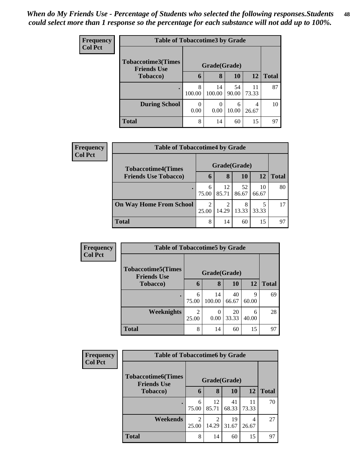| <b>Frequency</b> | <b>Table of Tobaccotime3 by Grade</b>           |              |                          |             |             |              |  |  |
|------------------|-------------------------------------------------|--------------|--------------------------|-------------|-------------|--------------|--|--|
| Col Pct          | <b>Tobaccotime3(Times</b><br><b>Friends Use</b> | Grade(Grade) |                          |             |             |              |  |  |
|                  | <b>Tobacco</b> )                                | 6            | 8                        | 10          | 12          | <b>Total</b> |  |  |
|                  |                                                 | 8<br>100.00  | 14<br>100.00             | 54<br>90.00 | 11<br>73.33 | 87           |  |  |
|                  | <b>During School</b>                            | 0.00         | $\left( \right)$<br>0.00 | 6<br>10.00  | 4<br>26.67  | 10           |  |  |
|                  | <b>Total</b>                                    | 8            | 14                       | 60          | 15          | 97           |  |  |

| Frequency<br><b>Col Pct</b> | <b>Table of Tobaccotime4 by Grade</b> |              |             |             |             |              |  |
|-----------------------------|---------------------------------------|--------------|-------------|-------------|-------------|--------------|--|
|                             | <b>Tobaccotime4(Times</b>             | Grade(Grade) |             |             |             |              |  |
|                             | <b>Friends Use Tobacco)</b>           | h            | 8           | 10          | <b>12</b>   | <b>Total</b> |  |
|                             |                                       | 6<br>75.00   | 12<br>85.71 | 52<br>86.67 | 10<br>66.67 | 80           |  |
|                             | <b>On Way Home From School</b>        | 2<br>25.00   | 14.29       | 8<br>13.33  | 33.33       | 17           |  |
|                             | <b>Total</b>                          | 8            | 14          | 60          | 15          | 97           |  |

| Frequency      |                                                  | <b>Table of Tobaccotime5 by Grade</b> |              |             |            |              |  |  |  |
|----------------|--------------------------------------------------|---------------------------------------|--------------|-------------|------------|--------------|--|--|--|
| <b>Col Pct</b> | <b>Tobaccotime5</b> (Times<br><b>Friends Use</b> | Grade(Grade)                          |              |             |            |              |  |  |  |
|                | <b>Tobacco</b> )                                 | 6                                     | 8            | <b>10</b>   | <b>12</b>  | <b>Total</b> |  |  |  |
|                |                                                  | 6<br>75.00                            | 14<br>100.00 | 40<br>66.67 | Q<br>60.00 | 69           |  |  |  |
|                | <b>Weeknights</b>                                | ↑<br>25.00                            | 0<br>0.00    | 20<br>33.33 | 6<br>40.00 | 28           |  |  |  |
|                | <b>Total</b>                                     | 8                                     | 14           | 60          | 15         | 97           |  |  |  |

| <b>Frequency</b> | <b>Table of Tobaccotime6 by Grade</b>           |              |                         |             |             |              |  |  |
|------------------|-------------------------------------------------|--------------|-------------------------|-------------|-------------|--------------|--|--|
| <b>Col Pct</b>   | <b>Tobaccotime6(Times</b><br><b>Friends Use</b> | Grade(Grade) |                         |             |             |              |  |  |
|                  | Tobacco)                                        | 6            | 8                       | 10          | 12          | <b>Total</b> |  |  |
|                  |                                                 | 6<br>75.00   | 12<br>85.71             | 41<br>68.33 | 11<br>73.33 | 70           |  |  |
|                  | Weekends                                        | 2<br>25.00   | $\mathfrak{D}$<br>14.29 | 19<br>31.67 | 4<br>26.67  | 27           |  |  |
|                  | <b>Total</b>                                    | 8            | 14                      | 60          | 15          | 97           |  |  |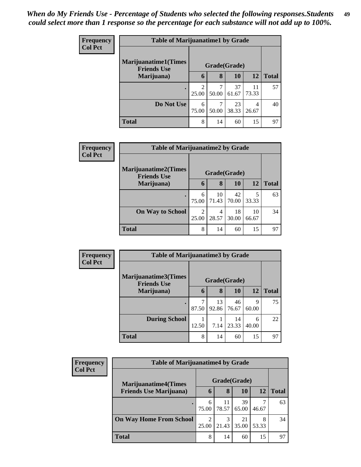| <b>Frequency</b> | <b>Table of Marijuanatime1 by Grade</b>            |              |            |             |             |              |  |
|------------------|----------------------------------------------------|--------------|------------|-------------|-------------|--------------|--|
| <b>Col Pct</b>   | <b>Marijuanatime1</b> (Times<br><b>Friends Use</b> | Grade(Grade) |            |             |             |              |  |
|                  | Marijuana)                                         | 6            | 8          | <b>10</b>   | <b>12</b>   | <b>Total</b> |  |
|                  |                                                    | 25.00        | 7<br>50.00 | 37<br>61.67 | 11<br>73.33 | 57           |  |
|                  | Do Not Use                                         | 6<br>75.00   | 7<br>50.00 | 23<br>38.33 | 4<br>26.67  | 40           |  |
|                  | <b>Total</b>                                       | 8            | 14         | 60          | 15          | 97           |  |

| Frequency | <b>Table of Marijuanatime2 by Grade</b>           |                         |             |             |             |              |  |
|-----------|---------------------------------------------------|-------------------------|-------------|-------------|-------------|--------------|--|
| Col Pct   | <b>Marijuanatime2(Times</b><br><b>Friends Use</b> | Grade(Grade)            |             |             |             |              |  |
|           | Marijuana)                                        | 6                       | 8           | 10          | 12          | <b>Total</b> |  |
|           |                                                   | 6<br>75.00              | 10<br>71.43 | 42<br>70.00 | 5<br>33.33  | 63           |  |
|           | <b>On Way to School</b>                           | $\mathfrak{D}$<br>25.00 | 4<br>28.57  | 18<br>30.00 | 10<br>66.67 | 34           |  |
|           | <b>Total</b>                                      | 8                       | 14          | 60          | 15          | 97           |  |

| <b>Frequency</b> | <b>Table of Marijuanatime3 by Grade</b>    |              |             |             |            |              |  |  |
|------------------|--------------------------------------------|--------------|-------------|-------------|------------|--------------|--|--|
| <b>Col Pct</b>   | Marijuanatime3(Times<br><b>Friends Use</b> | Grade(Grade) |             |             |            |              |  |  |
|                  | Marijuana)                                 | 6            | 8           | 10          | 12         | <b>Total</b> |  |  |
|                  | ٠                                          | 87.50        | 13<br>92.86 | 46<br>76.67 | 9<br>60.00 | 75           |  |  |
|                  | <b>During School</b>                       | 12.50        | 7.14        | 14<br>23.33 | 6<br>40.00 | 22           |  |  |
|                  | <b>Total</b>                               | 8            | 14          | 60          | 15         | 97           |  |  |

| <b>Frequency</b> | <b>Table of Marijuanatime4 by Grade</b>                       |              |             |             |            |              |  |
|------------------|---------------------------------------------------------------|--------------|-------------|-------------|------------|--------------|--|
| <b>Col Pct</b>   | <b>Marijuanatime4(Times</b><br><b>Friends Use Marijuana</b> ) | Grade(Grade) |             |             |            |              |  |
|                  |                                                               | 6            | 8           | 10          | 12         | <b>Total</b> |  |
|                  |                                                               | 6<br>75.00   | 11<br>78.57 | 39<br>65.00 | 7<br>46.67 | 63           |  |
|                  | <b>On Way Home From School</b>                                | ာ<br>25.00   | 3<br>21.43  | 21<br>35.00 | 8<br>53.33 | 34           |  |
|                  | <b>Total</b>                                                  | 8            | 14          | 60          | 15         | 97           |  |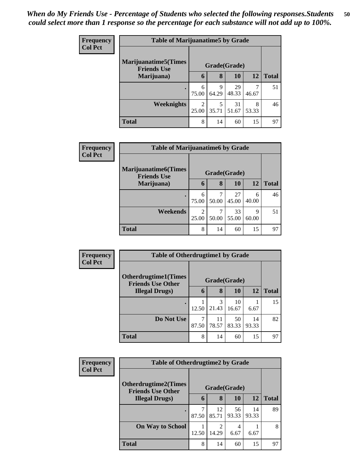| <b>Frequency</b> | <b>Table of Marijuanatime5 by Grade</b>            |              |            |             |            |              |  |
|------------------|----------------------------------------------------|--------------|------------|-------------|------------|--------------|--|
| <b>Col Pct</b>   | <b>Marijuanatime5</b> (Times<br><b>Friends Use</b> | Grade(Grade) |            |             |            |              |  |
|                  | Marijuana)                                         | 6            | 8          | 10          | 12         | <b>Total</b> |  |
|                  |                                                    | 6<br>75.00   | 9<br>64.29 | 29<br>48.33 | 46.67      | 51           |  |
|                  | <b>Weeknights</b>                                  | റ<br>25.00   | 5<br>35.71 | 31<br>51.67 | 8<br>53.33 | 46           |  |
|                  | <b>Total</b>                                       | 8            | 14         | 60          | 15         | 97           |  |

| Frequency      | <b>Table of Marijuanatime6 by Grade</b>           |              |            |             |            |              |  |
|----------------|---------------------------------------------------|--------------|------------|-------------|------------|--------------|--|
| <b>Col Pct</b> | <b>Marijuanatime6(Times</b><br><b>Friends Use</b> | Grade(Grade) |            |             |            |              |  |
|                | Marijuana)                                        | 6            | 8          | <b>10</b>   | 12         | <b>Total</b> |  |
|                |                                                   | 6<br>75.00   | 7<br>50.00 | 27<br>45.00 | 6<br>40.00 | 46           |  |
|                | Weekends                                          | ∍<br>25.00   | 7<br>50.00 | 33<br>55.00 | 9<br>60.00 | 51           |  |
|                | <b>Total</b>                                      | 8            | 14         | 60          | 15         | 97           |  |

| Frequency<br><b>Col Pct</b> | <b>Table of Otherdrugtime1 by Grade</b>                  |              |             |             |             |              |  |  |
|-----------------------------|----------------------------------------------------------|--------------|-------------|-------------|-------------|--------------|--|--|
|                             | <b>Otherdrugtime1</b> (Times<br><b>Friends Use Other</b> | Grade(Grade) |             |             |             |              |  |  |
|                             | <b>Illegal Drugs</b> )                                   | 6            | 8           | 10          | 12          | <b>Total</b> |  |  |
|                             | $\bullet$                                                | 12.50        | 3<br>21.43  | 10<br>16.67 | 6.67        | 15           |  |  |
|                             | Do Not Use                                               | 7<br>87.50   | 11<br>78.57 | 50<br>83.33 | 14<br>93.33 | 82           |  |  |
|                             | <b>Total</b>                                             | 8            | 14          | 60          | 15          | 97           |  |  |

| Frequency      | <b>Table of Otherdrugtime2 by Grade</b>                 |              |                         |             |             |              |  |
|----------------|---------------------------------------------------------|--------------|-------------------------|-------------|-------------|--------------|--|
| <b>Col Pct</b> | <b>Otherdrugtime2(Times</b><br><b>Friends Use Other</b> | Grade(Grade) |                         |             |             |              |  |
|                | <b>Illegal Drugs</b> )                                  | 6            | 8                       | 10          | 12          | <b>Total</b> |  |
|                | ٠                                                       | 87.50        | 12<br>85.71             | 56<br>93.33 | 14<br>93.33 | 89           |  |
|                | <b>On Way to School</b>                                 | 12.50        | $\mathfrak{D}$<br>14.29 | 4<br>6.67   | 6.67        | 8            |  |
|                | <b>Total</b>                                            | 8            | 14                      | 60          | 15          | 97           |  |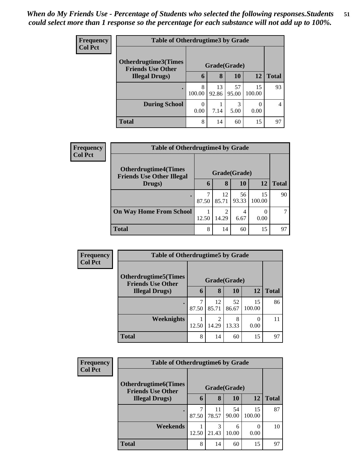*When do My Friends Use - Percentage of Students who selected the following responses.Students could select more than 1 response so the percentage for each substance will not add up to 100%.* **51**

| <b>Frequency</b> | <b>Table of Otherdrugtime3 by Grade</b>          |              |             |             |              |              |  |
|------------------|--------------------------------------------------|--------------|-------------|-------------|--------------|--------------|--|
| <b>Col Pct</b>   | Otherdrugtime3(Times<br><b>Friends Use Other</b> | Grade(Grade) |             |             |              |              |  |
|                  | <b>Illegal Drugs</b> )                           | 6            | 8           | <b>10</b>   | 12           | <b>Total</b> |  |
|                  |                                                  | 8<br>100.00  | 13<br>92.86 | 57<br>95.00 | 15<br>100.00 | 93           |  |
|                  | <b>During School</b>                             | 0<br>0.00    | 7.14        | 3<br>5.00   | 0<br>0.00    | 4            |  |
|                  | <b>Total</b>                                     | 8            | 14          | 60          | 15           | 97           |  |

| Frequency      | <b>Table of Otherdrugtime4 by Grade</b>                         |              |             |             |              |              |  |
|----------------|-----------------------------------------------------------------|--------------|-------------|-------------|--------------|--------------|--|
| <b>Col Pct</b> | <b>Otherdrugtime4(Times</b><br><b>Friends Use Other Illegal</b> | Grade(Grade) |             |             |              |              |  |
|                | Drugs)                                                          | 6            | 8           | <b>10</b>   | 12           | <b>Total</b> |  |
|                |                                                                 | 7<br>87.50   | 12<br>85.71 | 56<br>93.33 | 15<br>100.00 | 90           |  |
|                | <b>On Way Home From School</b>                                  | 12.50        | 2<br>14.29  | 4<br>6.67   | 0<br>0.00    |              |  |
|                | <b>Total</b>                                                    | 8            | 14          | 60          | 15           | 97           |  |

| <b>Frequency</b> | <b>Table of Otherdrugtime5 by Grade</b>                  |              |             |             |              |              |  |  |
|------------------|----------------------------------------------------------|--------------|-------------|-------------|--------------|--------------|--|--|
| <b>Col Pct</b>   | <b>Otherdrugtime5</b> (Times<br><b>Friends Use Other</b> | Grade(Grade) |             |             |              |              |  |  |
|                  | <b>Illegal Drugs</b> )                                   | 6            | 8           | 10          | 12           | <b>Total</b> |  |  |
|                  |                                                          | 87.50        | 12<br>85.71 | 52<br>86.67 | 15<br>100.00 | 86           |  |  |
|                  | Weeknights                                               | 12.50        | 2<br>14.29  | 8<br>13.33  | 0.00         | 11           |  |  |
|                  | <b>Total</b>                                             | 8            | 14          | 60          | 15           | 97           |  |  |

| <b>Frequency</b> | <b>Table of Otherdrugtime6 by Grade</b>                  |              |             |             |              |              |  |  |
|------------------|----------------------------------------------------------|--------------|-------------|-------------|--------------|--------------|--|--|
| <b>Col Pct</b>   | <b>Otherdrugtime6</b> (Times<br><b>Friends Use Other</b> | Grade(Grade) |             |             |              |              |  |  |
|                  | <b>Illegal Drugs</b> )                                   | 6            | 8           | 10          | 12           | <b>Total</b> |  |  |
|                  |                                                          | 7<br>87.50   | 11<br>78.57 | 54<br>90.00 | 15<br>100.00 | 87           |  |  |
|                  | Weekends                                                 | 12.50        | 3<br>21.43  | 6<br>10.00  | 0.00         | 10           |  |  |
|                  | <b>Total</b>                                             | 8            | 14          | 60          | 15           | 97           |  |  |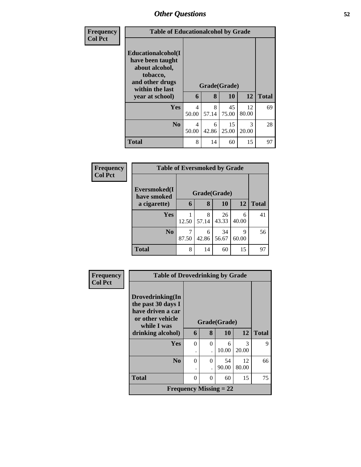| <b>Frequency</b> | <b>Table of Educationalcohol by Grade</b>                                                                                     |                         |                   |             |             |              |
|------------------|-------------------------------------------------------------------------------------------------------------------------------|-------------------------|-------------------|-------------|-------------|--------------|
| <b>Col Pct</b>   | Educationalcohol(I<br>have been taught<br>about alcohol,<br>tobacco,<br>and other drugs<br>within the last<br>year at school) | 6                       | Grade(Grade)<br>8 | 10          | 12          | <b>Total</b> |
|                  | <b>Yes</b>                                                                                                                    | $\overline{4}$<br>50.00 | 8<br>57.14        | 45<br>75.00 | 12<br>80.00 | 69           |
|                  | N <sub>0</sub>                                                                                                                | $\overline{4}$<br>50.00 | 6<br>42.86        | 15<br>25.00 | 3<br>20.00  | 28           |
|                  | <b>Total</b>                                                                                                                  | 8                       | 14                | 60          | 15          | 97           |

| Frequency      |                | <b>Table of Eversmoked by Grade</b> |            |             |            |              |  |  |  |
|----------------|----------------|-------------------------------------|------------|-------------|------------|--------------|--|--|--|
| <b>Col Pct</b> | Eversmoked(I   | Grade(Grade)<br>have smoked         |            |             |            |              |  |  |  |
|                | a cigarette)   | 6                                   | 8          | 10          | 12         | <b>Total</b> |  |  |  |
|                | Yes            | 12.50                               | 8<br>57.14 | 26<br>43.33 | 6<br>40.00 | 41           |  |  |  |
|                | N <sub>0</sub> | 87.50                               | 6<br>42.86 | 34<br>56.67 | 9<br>60.00 | 56           |  |  |  |
|                | <b>Total</b>   | 8                                   | 14         | 60          | 15         | 97           |  |  |  |

| Frequency      | <b>Table of Drovedrinking by Grade</b>                                                         |          |          |              |             |              |  |
|----------------|------------------------------------------------------------------------------------------------|----------|----------|--------------|-------------|--------------|--|
| <b>Col Pct</b> | Drovedrinking(In<br>the past 30 days I<br>have driven a car<br>or other vehicle<br>while I was |          |          | Grade(Grade) |             |              |  |
|                | drinking alcohol)                                                                              | 6        | 8        | 10           | 12          | <b>Total</b> |  |
|                | Yes                                                                                            | $\Omega$ | $\Omega$ | 6            | 3           | 9            |  |
|                |                                                                                                |          |          | 10.00        | 20.00       |              |  |
|                | N <sub>0</sub>                                                                                 | $\Omega$ | $\Omega$ | 54<br>90.00  | 12<br>80.00 | 66           |  |
|                |                                                                                                |          |          |              |             |              |  |
|                | <b>Total</b>                                                                                   | 0        | $\Omega$ | 60           | 15          | 75           |  |
|                | <b>Frequency Missing = 22</b>                                                                  |          |          |              |             |              |  |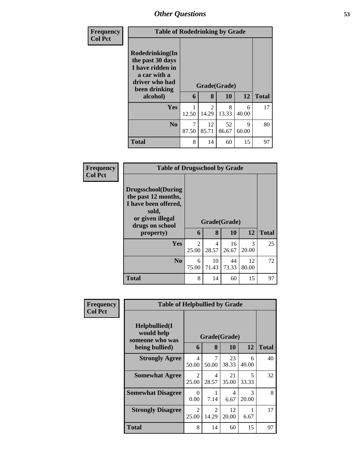| <b>Frequency</b> | <b>Table of Rodedrinking by Grade</b>                                                                                  |                         |             |                           |                      |              |
|------------------|------------------------------------------------------------------------------------------------------------------------|-------------------------|-------------|---------------------------|----------------------|--------------|
| <b>Col Pct</b>   | Rodedrinking(In<br>the past 30 days<br>I have ridden in<br>a car with a<br>driver who had<br>been drinking<br>alcohol) | 6                       | 8           | Grade(Grade)<br><b>10</b> | 12                   | <b>Total</b> |
|                  | <b>Yes</b>                                                                                                             | 1<br>12.50              | 2<br>14.29  | 8<br>13.33                | 6<br>40.00           | 17           |
|                  | N <sub>0</sub>                                                                                                         | $\overline{7}$<br>87.50 | 12<br>85.71 | 52<br>86.67               | $\mathbf Q$<br>60.00 | 80           |
|                  | <b>Total</b>                                                                                                           | 8                       | 14          | 60                        | 15                   | 97           |

| <b>Frequency</b> | <b>Table of Drugsschool by Grade</b>                                                                                                   |                         |             |                           |             |              |
|------------------|----------------------------------------------------------------------------------------------------------------------------------------|-------------------------|-------------|---------------------------|-------------|--------------|
| <b>Col Pct</b>   | <b>Drugsschool</b> (During<br>the past 12 months,<br>I have been offered,<br>sold,<br>or given illegal<br>drugs on school<br>property) | 6                       | 8           | Grade(Grade)<br><b>10</b> | 12          | <b>Total</b> |
|                  | Yes                                                                                                                                    | $\overline{2}$<br>25.00 | 4<br>28.57  | 16<br>26.67               | 3<br>20.00  | 25           |
|                  | N <sub>0</sub>                                                                                                                         | 6<br>75.00              | 10<br>71.43 | 44<br>73.33               | 12<br>80.00 | 72           |
|                  | <b>Total</b>                                                                                                                           | 8                       | 14          | 60                        | 15          | 97           |

| <b>Frequency</b> | <b>Table of Helpbullied by Grade</b>                             |                         |                         |             |                                   |              |
|------------------|------------------------------------------------------------------|-------------------------|-------------------------|-------------|-----------------------------------|--------------|
| <b>Col Pct</b>   | Helpbullied(I<br>would help<br>someone who was<br>being bullied) | 6                       | Grade(Grade)<br>8       | 10          | 12                                | <b>Total</b> |
|                  | <b>Strongly Agree</b>                                            | $\overline{4}$<br>50.00 | 7<br>50.00              | 23<br>38.33 | 6<br>40.00                        | 40           |
|                  | <b>Somewhat Agree</b>                                            | $\mathfrak{D}$<br>25.00 | 4<br>28.57              | 21<br>35.00 | $\overline{\phantom{0}}$<br>33.33 | 32           |
|                  | <b>Somewhat Disagree</b>                                         | $\Omega$<br>0.00        | 7.14                    | 4<br>6.67   | $\mathcal{R}$<br>20.00            | 8            |
|                  | <b>Strongly Disagree</b>                                         | $\mathfrak{D}$<br>25.00 | $\mathfrak{D}$<br>14.29 | 12<br>20.00 | 6.67                              | 17           |
|                  | <b>Total</b>                                                     | 8                       | 14                      | 60          | 15                                | 97           |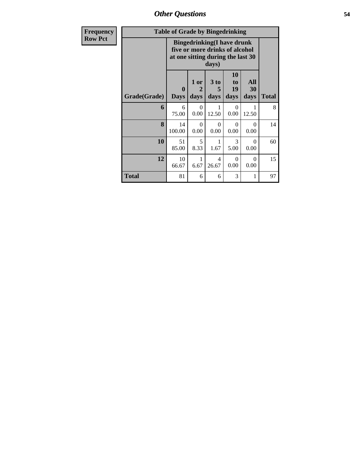*Other Questions* **54**

| Frequency      |                                                                                                                   | <b>Table of Grade by Bingedrinking</b> |                                |                                   |                        |                   |       |
|----------------|-------------------------------------------------------------------------------------------------------------------|----------------------------------------|--------------------------------|-----------------------------------|------------------------|-------------------|-------|
| <b>Row Pct</b> | <b>Bingedrinking(I have drunk</b><br>five or more drinks of alcohol<br>at one sitting during the last 30<br>days) |                                        |                                |                                   |                        |                   |       |
|                | Grade(Grade)                                                                                                      | $\bf{0}$<br><b>Days</b>                | 1 or<br>$\overline{2}$<br>days | 3 to<br>5<br>days                 | 10<br>to<br>19<br>days | All<br>30<br>days | Total |
|                | 6                                                                                                                 | 6<br>75.00                             | $\Omega$<br>0.00               | 1<br>12.50                        | $\Omega$<br>0.00       | 1<br>12.50        | 8     |
|                | 8                                                                                                                 | 14<br>100.00                           | $\Omega$<br>0.00               | $\Omega$<br>0.00                  | $\Omega$<br>0.00       | $\Omega$<br>0.00  | 14    |
|                | 10                                                                                                                | 51<br>85.00                            | 5<br>8.33                      | 1<br>1.67                         | 3<br>5.00              | $\Omega$<br>0.00  | 60    |
|                | 12                                                                                                                | 10<br>66.67                            | 1<br>6.67                      | $\overline{\mathcal{A}}$<br>26.67 | $\Omega$<br>0.00       | $\Omega$<br>0.00  | 15    |
|                | <b>Total</b>                                                                                                      | 81                                     | 6                              | 6                                 | 3                      | 1                 | 97    |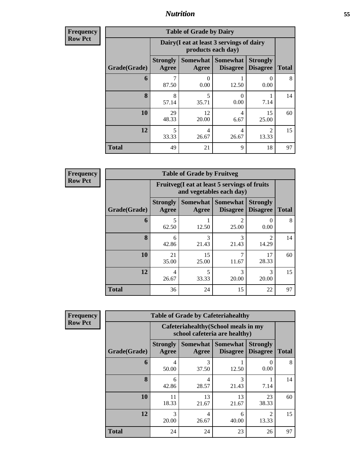**Frequency Row Pct**

| <b>Table of Grade by Dairy</b> |                          |                                                                 |                                    |                                      |              |  |  |
|--------------------------------|--------------------------|-----------------------------------------------------------------|------------------------------------|--------------------------------------|--------------|--|--|
|                                |                          | Dairy (I eat at least 3 servings of dairy<br>products each day) |                                    |                                      |              |  |  |
| Grade(Grade)                   | <b>Strongly</b><br>Agree | Somewhat  <br>Agree                                             | <b>Somewhat</b><br><b>Disagree</b> | <b>Strongly</b><br><b>Disagree</b>   | <b>Total</b> |  |  |
| 6                              | 87.50                    | $\mathbf{\Omega}$<br>0.00                                       | 12.50                              | $\theta$<br>0.00                     | 8            |  |  |
| 8                              | 8<br>57.14               | 5<br>35.71                                                      | 0<br>0.00                          | 7.14                                 | 14           |  |  |
| 10                             | 29<br>48.33              | 12<br>20.00                                                     | 4<br>6.67                          | 15<br>25.00                          | 60           |  |  |
| 12                             | 5<br>33.33               | $\overline{4}$<br>26.67                                         | 4<br>26.67                         | $\mathcal{D}_{\mathcal{L}}$<br>13.33 | 15           |  |  |
| <b>Total</b>                   | 49                       | 21                                                              | 9                                  | 18                                   | 97           |  |  |

**Frequency Row Pct**

г

| <b>Table of Grade by Fruitveg</b> |                          |                                                                          |                         |                                      |              |  |  |  |
|-----------------------------------|--------------------------|--------------------------------------------------------------------------|-------------------------|--------------------------------------|--------------|--|--|--|
|                                   |                          | Fruitveg(I eat at least 5 servings of fruits<br>and vegetables each day) |                         |                                      |              |  |  |  |
| Grade(Grade)                      | <b>Strongly</b><br>Agree | Somewhat  <br>Agree                                                      | Somewhat<br>Disagree    | <b>Strongly</b><br><b>Disagree</b>   | <b>Total</b> |  |  |  |
| 6                                 | 5<br>62.50               | 12.50                                                                    | $\mathfrak{D}$<br>25.00 | $\mathbf{0}$<br>0.00                 | 8            |  |  |  |
| 8                                 | 6<br>42.86               | 3<br>21.43                                                               | 3<br>21.43              | $\mathcal{D}_{\mathcal{A}}$<br>14.29 | 14           |  |  |  |
| 10                                | 21<br>35.00              | 15<br>25.00                                                              | 7<br>11.67              | 17<br>28.33                          | 60           |  |  |  |
| 12                                | 4<br>26.67               | 5<br>33.33                                                               | 3<br>20.00              | $\mathcal{R}$<br>20.00               | 15           |  |  |  |
| <b>Total</b>                      | 36                       | 24                                                                       | 15                      | 22                                   | 97           |  |  |  |

**Frequency Row Pct**

| <b>Table of Grade by Cafeteriahealthy</b> |                          |                                                                       |                                    |                                    |              |  |  |  |
|-------------------------------------------|--------------------------|-----------------------------------------------------------------------|------------------------------------|------------------------------------|--------------|--|--|--|
|                                           |                          | Cafeteriahealthy (School meals in my<br>school cafeteria are healthy) |                                    |                                    |              |  |  |  |
| Grade(Grade)                              | <b>Strongly</b><br>Agree | Somewhat  <br>Agree                                                   | <b>Somewhat</b><br><b>Disagree</b> | <b>Strongly</b><br><b>Disagree</b> | <b>Total</b> |  |  |  |
| 6                                         | 4<br>50.00               | 3<br>37.50                                                            | 12.50                              | 0<br>0.00                          | 8            |  |  |  |
| 8                                         | 6<br>42.86               | 4<br>28.57                                                            | 3<br>21.43                         | 7.14                               | 14           |  |  |  |
| 10                                        | 11<br>18.33              | 13<br>21.67                                                           | 13<br>21.67                        | 23<br>38.33                        | 60           |  |  |  |
| 12                                        | 3<br>20.00               | 4<br>26.67                                                            | 6<br>40.00                         | 2<br>13.33                         | 15           |  |  |  |
| <b>Total</b>                              | 24                       | 24                                                                    | 23                                 | 26                                 | 97           |  |  |  |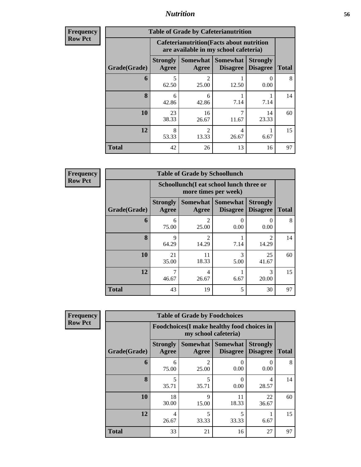| <b>Frequency</b> | <b>Table of Grade by Cafeterianutrition</b> |                          |                                                                                           |                                    |                                    |              |  |  |  |  |
|------------------|---------------------------------------------|--------------------------|-------------------------------------------------------------------------------------------|------------------------------------|------------------------------------|--------------|--|--|--|--|
| <b>Row Pct</b>   |                                             |                          | <b>Cafeterianutrition</b> (Facts about nutrition<br>are available in my school cafeteria) |                                    |                                    |              |  |  |  |  |
|                  | Grade(Grade)                                | <b>Strongly</b><br>Agree | Somewhat  <br>Agree                                                                       | <b>Somewhat</b><br><b>Disagree</b> | <b>Strongly</b><br><b>Disagree</b> | <b>Total</b> |  |  |  |  |
|                  | 6                                           | 5<br>62.50               | $\mathfrak{D}$<br>25.00                                                                   | 12.50                              | 0<br>0.00                          | 8            |  |  |  |  |
|                  | 8                                           | 6<br>42.86               | 6<br>42.86                                                                                | 7.14                               | 7.14                               | 14           |  |  |  |  |
|                  | 10                                          | 23<br>38.33              | 16<br>26.67                                                                               | 11.67                              | 14<br>23.33                        | 60           |  |  |  |  |
|                  | 12                                          | 8<br>53.33               | $\overline{c}$<br>13.33                                                                   | $\overline{4}$<br>26.67            | 6.67                               | 15           |  |  |  |  |
|                  | <b>Total</b>                                | 42                       | 26                                                                                        | 13                                 | 16                                 | 97           |  |  |  |  |

**Frequency Row Pct**

| <b>Table of Grade by Schoollunch</b> |                                 |                                                                 |                      |                                    |              |  |  |  |
|--------------------------------------|---------------------------------|-----------------------------------------------------------------|----------------------|------------------------------------|--------------|--|--|--|
|                                      |                                 | Schoollunch(I eat school lunch three or<br>more times per week) |                      |                                    |              |  |  |  |
| Grade(Grade)                         | <b>Strongly</b><br><b>Agree</b> | Somewhat  <br>Agree                                             | Somewhat<br>Disagree | <b>Strongly</b><br><b>Disagree</b> | <b>Total</b> |  |  |  |
| 6                                    | 6<br>75.00                      | 2<br>25.00                                                      | 0.00                 | $\Omega$<br>0.00                   | 8            |  |  |  |
| 8                                    | $\mathbf Q$<br>64.29            | 2<br>14.29                                                      | 7.14                 | っ<br>14.29                         | 14           |  |  |  |
| 10                                   | 21<br>35.00                     | 11<br>18.33                                                     | 3<br>5.00            | 25<br>41.67                        | 60           |  |  |  |
| 12                                   | 7<br>46.67                      | 4<br>26.67                                                      | 6.67                 | 3<br>20.00                         | 15           |  |  |  |
| <b>Total</b>                         | 43                              | 19                                                              | 5                    | 30                                 | 97           |  |  |  |

**Frequency Row Pct**

| <b>Table of Grade by Foodchoices</b> |                          |                                                                            |                                    |                                    |              |  |  |
|--------------------------------------|--------------------------|----------------------------------------------------------------------------|------------------------------------|------------------------------------|--------------|--|--|
|                                      |                          | <b>Foodchoices</b> (I make healthy food choices in<br>my school cafeteria) |                                    |                                    |              |  |  |
| Grade(Grade)                         | <b>Strongly</b><br>Agree | Somewhat<br>Agree                                                          | <b>Somewhat</b><br><b>Disagree</b> | <b>Strongly</b><br><b>Disagree</b> | <b>Total</b> |  |  |
| 6                                    | 6<br>75.00               | $\mathfrak{D}$<br>25.00                                                    | 0.00                               | 0.00                               | 8            |  |  |
| 8                                    | 5<br>35.71               | 5<br>35.71                                                                 | 0<br>0.00                          | 4<br>28.57                         | 14           |  |  |
| 10                                   | 18<br>30.00              | 9<br>15.00                                                                 | 11<br>18.33                        | 22<br>36.67                        | 60           |  |  |
| 12                                   | 4<br>26.67               | 5<br>33.33                                                                 | 5<br>33.33                         | 6.67                               | 15           |  |  |
| <b>Total</b>                         | 33                       | 21                                                                         | 16                                 | 27                                 | 97           |  |  |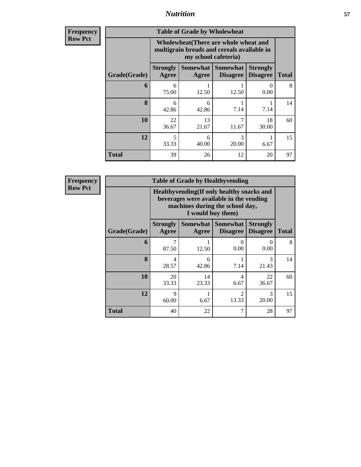| <b>Frequency</b><br>Row Pct |
|-----------------------------|
|                             |

| <b>Table of Grade by Wholewheat</b> |                                                                                                             |              |                                      |                                    |              |  |  |  |
|-------------------------------------|-------------------------------------------------------------------------------------------------------------|--------------|--------------------------------------|------------------------------------|--------------|--|--|--|
|                                     | Wholewheat (There are whole wheat and<br>multigrain breads and cereals available in<br>my school cafeteria) |              |                                      |                                    |              |  |  |  |
| Grade(Grade)                        | <b>Strongly</b><br>Agree                                                                                    | <b>Agree</b> | Somewhat Somewhat<br><b>Disagree</b> | <b>Strongly</b><br><b>Disagree</b> | <b>Total</b> |  |  |  |
| 6                                   | 6<br>75.00                                                                                                  | 12.50        | 12.50                                | 0<br>0.00                          | 8            |  |  |  |
| 8                                   | 6<br>42.86                                                                                                  | 6<br>42.86   | 7.14                                 | 7.14                               | 14           |  |  |  |
| 10                                  | 22<br>36.67                                                                                                 | 13<br>21.67  | 7<br>11.67                           | 18<br>30.00                        | 60           |  |  |  |
| 12                                  | 5<br>33.33                                                                                                  | 6<br>40.00   | 3<br>20.00                           | 6.67                               | 15           |  |  |  |
| <b>Total</b>                        | 39                                                                                                          | 26           | 12                                   | 20                                 | 97           |  |  |  |

**Frequency Row Pct**

| <b>Table of Grade by Healthyvending</b> |                                                                                                                                               |             |                                        |                                    |              |  |  |  |
|-----------------------------------------|-----------------------------------------------------------------------------------------------------------------------------------------------|-------------|----------------------------------------|------------------------------------|--------------|--|--|--|
|                                         | Healthyvending (If only healthy snacks and<br>beverages were available in the vending<br>machines during the school day,<br>I would buy them) |             |                                        |                                    |              |  |  |  |
| Grade(Grade)                            | <b>Strongly</b><br>Agree                                                                                                                      | Agree       | Somewhat   Somewhat<br><b>Disagree</b> | <b>Strongly</b><br><b>Disagree</b> | <b>Total</b> |  |  |  |
| 6                                       | 87.50                                                                                                                                         | 12.50       | $\Omega$<br>0.00                       | $\mathbf{\Omega}$<br>0.00          | 8            |  |  |  |
| 8                                       | 4<br>28.57                                                                                                                                    | 6<br>42.86  | 7.14                                   | 3<br>21.43                         | 14           |  |  |  |
| 10                                      | 20<br>33.33                                                                                                                                   | 14<br>23.33 | 4<br>6.67                              | 22<br>36.67                        | 60           |  |  |  |
| 12                                      | 9<br>60.00                                                                                                                                    | 6.67        | $\mathfrak{D}$<br>13.33                | 3<br>20.00                         | 15           |  |  |  |
| <b>Total</b>                            | 40                                                                                                                                            | 22          | 7                                      | 28                                 | 97           |  |  |  |

٦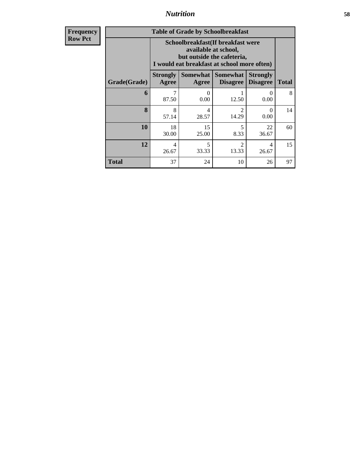**Frequency Row Pct**

| <b>Table of Grade by Schoolbreakfast</b> |                                                                                                                                         |             |                                        |                                    |              |  |  |
|------------------------------------------|-----------------------------------------------------------------------------------------------------------------------------------------|-------------|----------------------------------------|------------------------------------|--------------|--|--|
|                                          | Schoolbreakfast (If breakfast were<br>available at school,<br>but outside the cafeteria,<br>I would eat breakfast at school more often) |             |                                        |                                    |              |  |  |
| Grade(Grade)                             | <b>Strongly</b><br>Agree                                                                                                                | Agree       | Somewhat   Somewhat<br><b>Disagree</b> | <b>Strongly</b><br><b>Disagree</b> | <b>Total</b> |  |  |
| 6                                        | 87.50                                                                                                                                   | 0<br>0.00   | 12.50                                  | 0<br>0.00                          | 8            |  |  |
| 8                                        | 8<br>57.14                                                                                                                              | 4<br>28.57  | $\mathfrak{D}$<br>14.29                | 0<br>0.00                          | 14           |  |  |
| 10                                       | 18<br>30.00                                                                                                                             | 15<br>25.00 | 5<br>8.33                              | 22<br>36.67                        | 60           |  |  |
| 12                                       | 4<br>26.67                                                                                                                              | 5<br>33.33  | $\mathfrak{D}$<br>13.33                | 4<br>26.67                         | 15           |  |  |
| Total                                    | 37                                                                                                                                      | 24          | 10                                     | 26                                 | 97           |  |  |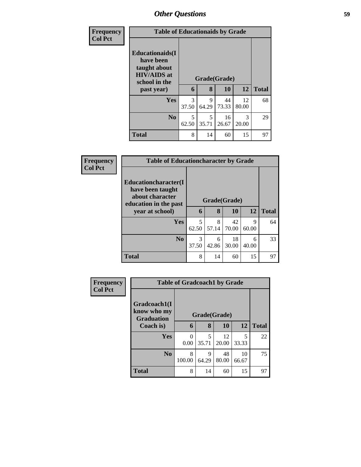| <b>Frequency</b> | <b>Table of Educationaids by Grade</b>                                                      |            |              |             |             |              |  |  |
|------------------|---------------------------------------------------------------------------------------------|------------|--------------|-------------|-------------|--------------|--|--|
| <b>Col Pct</b>   | <b>Educationaids</b> (I<br>have been<br>taught about<br><b>HIV/AIDS</b> at<br>school in the |            | Grade(Grade) |             |             |              |  |  |
|                  | past year)                                                                                  | 6          | 8            | 10          | 12          | <b>Total</b> |  |  |
|                  | Yes                                                                                         | 3<br>37.50 | 9<br>64.29   | 44<br>73.33 | 12<br>80.00 | 68           |  |  |
|                  | N <sub>0</sub>                                                                              | 5<br>62.50 | 5<br>35.71   | 16<br>26.67 | 3<br>20.00  | 29           |  |  |
|                  | <b>Total</b>                                                                                | 8          | 14           | 60          | 15          | 97           |  |  |

| Frequency      | <b>Table of Educationcharacter by Grade</b>                                          |              |            |             |            |              |
|----------------|--------------------------------------------------------------------------------------|--------------|------------|-------------|------------|--------------|
| <b>Col Pct</b> | Educationcharacter(I<br>have been taught<br>about character<br>education in the past | Grade(Grade) |            |             |            |              |
|                | year at school)                                                                      | 6            | 8          | 10          | <b>12</b>  | <b>Total</b> |
|                | <b>Yes</b>                                                                           | 5<br>62.50   | 8<br>57.14 | 42<br>70.00 | 9<br>60.00 | 64           |
|                | N <sub>o</sub>                                                                       | 3<br>37.50   | 6<br>42.86 | 18<br>30.00 | 6<br>40.00 | 33           |
|                | <b>Total</b>                                                                         | 8            | 14         | 60          | 15         | 97           |

| Frequency      |                                                  | <b>Table of Gradcoach1 by Grade</b> |            |             |             |              |  |  |
|----------------|--------------------------------------------------|-------------------------------------|------------|-------------|-------------|--------------|--|--|
| <b>Col Pct</b> | Gradcoach1(I<br>know who my<br><b>Graduation</b> | Grade(Grade)                        |            |             |             |              |  |  |
|                | Coach is)                                        | 6                                   | 8          | <b>10</b>   | 12          | <b>Total</b> |  |  |
|                | Yes                                              | 0.00                                | 5<br>35.71 | 12<br>20.00 | 5<br>33.33  | 22           |  |  |
|                | N <sub>0</sub>                                   | 8<br>100.00                         | 9<br>64.29 | 48<br>80.00 | 10<br>66.67 | 75           |  |  |
|                | <b>Total</b>                                     | 8                                   | 14         | 60          | 15          | 97           |  |  |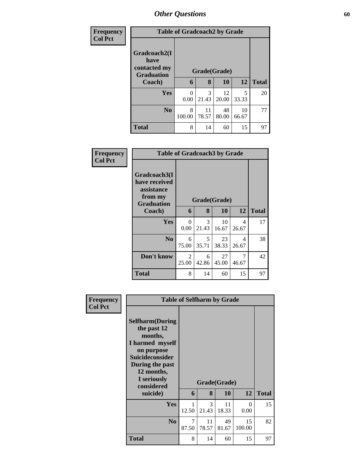| <b>Frequency</b> |                                                           | <b>Table of Gradcoach2 by Grade</b> |             |             |             |              |
|------------------|-----------------------------------------------------------|-------------------------------------|-------------|-------------|-------------|--------------|
| <b>Col Pct</b>   | Gradcoach2(I<br>have<br>contacted my<br><b>Graduation</b> | Grade(Grade)                        |             |             |             |              |
|                  | Coach)                                                    | 6                                   | 8           | <b>10</b>   | 12          | <b>Total</b> |
|                  | Yes                                                       | 0<br>0.00                           | 3<br>21.43  | 12<br>20.00 | 5<br>33.33  | 20           |
|                  | N <sub>0</sub>                                            | 8<br>100.00                         | 11<br>78.57 | 48<br>80.00 | 10<br>66.67 | 77           |
|                  | <b>Total</b>                                              | 8                                   | 14          | 60          | 15          | 97           |

| Frequency<br><b>Col Pct</b> |                                                                             | <b>Table of Gradcoach3 by Grade</b> |              |             |            |              |  |  |
|-----------------------------|-----------------------------------------------------------------------------|-------------------------------------|--------------|-------------|------------|--------------|--|--|
|                             | Gradcoach3(I<br>have received<br>assistance<br>from my<br><b>Graduation</b> |                                     | Grade(Grade) |             |            |              |  |  |
|                             | Coach)                                                                      | 6                                   | 8            | 10          | 12         | <b>Total</b> |  |  |
|                             | Yes                                                                         | $\Omega$<br>0.00                    | 3<br>21.43   | 10<br>16.67 | 4<br>26.67 | 17           |  |  |
|                             | N <sub>0</sub>                                                              | 6<br>75.00                          | 5<br>35.71   | 23<br>38.33 | 4<br>26.67 | 38           |  |  |
|                             | Don't know                                                                  | 2<br>25.00                          | 6<br>42.86   | 27<br>45.00 | 7<br>46.67 | 42           |  |  |
|                             | <b>Total</b>                                                                | 8                                   | 14           | 60          | 15         | 97           |  |  |

| Frequency      | <b>Table of Selfharm by Grade</b>                                                                                               |            |              |             |              |              |
|----------------|---------------------------------------------------------------------------------------------------------------------------------|------------|--------------|-------------|--------------|--------------|
| <b>Col Pct</b> |                                                                                                                                 |            |              |             |              |              |
|                | <b>Selfharm</b> (During<br>the past 12<br>months,<br>I harmed myself<br>on purpose<br><b>Suicideconsider</b><br>During the past |            |              |             |              |              |
|                | 12 months,<br>I seriously<br>considered                                                                                         |            | Grade(Grade) |             |              |              |
|                | suicide)                                                                                                                        | 6          | 8            | 10          | 12           | <b>Total</b> |
|                | <b>Yes</b>                                                                                                                      | 12.50      | 3<br>21.43   | 11<br>18.33 | 0<br>0.00    | 15           |
|                | N <sub>0</sub>                                                                                                                  | 7<br>87.50 | 11<br>78.57  | 49<br>81.67 | 15<br>100.00 | 82           |
|                | <b>Total</b>                                                                                                                    | 8          | 14           | 60          | 15           | 97           |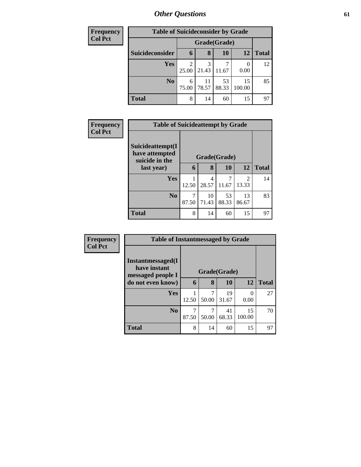| <b>Frequency</b> |                 | <b>Table of Suicideconsider by Grade</b> |             |             |              |              |  |  |
|------------------|-----------------|------------------------------------------|-------------|-------------|--------------|--------------|--|--|
| <b>Col Pct</b>   |                 | Grade(Grade)                             |             |             |              |              |  |  |
|                  | Suicideconsider | 6                                        | 8           | 10          | 12           | <b>Total</b> |  |  |
|                  | <b>Yes</b>      | 25.00                                    | 3<br>21.43  | 11.67       | 0.00         | 12           |  |  |
|                  | N <sub>0</sub>  | 6<br>75.00                               | 11<br>78.57 | 53<br>88.33 | 15<br>100.00 | 85           |  |  |
|                  | <b>Total</b>    | 8                                        | 14          | 60          | 15           | 97           |  |  |

| Frequency      |                                  | <b>Table of Suicideattempt by Grade</b> |             |             |                        |              |  |
|----------------|----------------------------------|-----------------------------------------|-------------|-------------|------------------------|--------------|--|
| <b>Col Pct</b> | Suicideattempt(I                 |                                         |             |             |                        |              |  |
|                | have attempted<br>suicide in the | Grade(Grade)                            |             |             |                        |              |  |
|                | last year)                       | 6                                       | 8           | <b>10</b>   | 12                     | <b>Total</b> |  |
|                | Yes                              | 12.50                                   | 4<br>28.57  | 11.67       | $\mathcal{D}$<br>13.33 | 14           |  |
|                | N <sub>0</sub>                   | 87.50                                   | 10<br>71.43 | 53<br>88.33 | 13<br>86.67            | 83           |  |
|                | <b>Total</b>                     | 8                                       | 14          | 60          | 15                     | 97           |  |

| Frequency<br><b>Col Pct</b> |                                                        | <b>Table of Instantmessaged by Grade</b> |              |             |              |              |  |  |
|-----------------------------|--------------------------------------------------------|------------------------------------------|--------------|-------------|--------------|--------------|--|--|
|                             | Instantmessaged(I<br>have instant<br>messaged people I |                                          | Grade(Grade) |             |              |              |  |  |
|                             | do not even know)                                      | 6                                        | 8            | <b>10</b>   | 12           | <b>Total</b> |  |  |
|                             | Yes                                                    | 12.50                                    | 50.00        | 19<br>31.67 | 0.00         | 27           |  |  |
|                             | N <sub>0</sub>                                         | 7<br>87.50                               | 7<br>50.00   | 41<br>68.33 | 15<br>100.00 | 70           |  |  |
|                             | Total                                                  | 8                                        | 14           | 60          | 15           | 97           |  |  |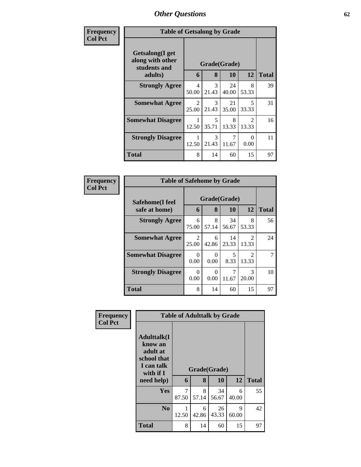| <b>Frequency</b> | <b>Table of Getsalong by Grade</b>                  |                         |                        |             |                                   |              |  |
|------------------|-----------------------------------------------------|-------------------------|------------------------|-------------|-----------------------------------|--------------|--|
| <b>Col Pct</b>   | Getsalong(I get<br>along with other<br>students and | Grade(Grade)            |                        |             |                                   |              |  |
|                  | adults)                                             | 6                       | 8                      | <b>10</b>   | 12                                | <b>Total</b> |  |
|                  | <b>Strongly Agree</b>                               | 4<br>50.00              | $\mathcal{R}$<br>21.43 | 24<br>40.00 | 8<br>53.33                        | 39           |  |
|                  | <b>Somewhat Agree</b>                               | $\mathfrak{D}$<br>25.00 | 3<br>21.43             | 21<br>35.00 | $\overline{\phantom{0}}$<br>33.33 | 31           |  |
|                  | <b>Somewhat Disagree</b>                            | 12.50                   | 5<br>35.71             | 8<br>13.33  | $\mathfrak{D}$<br>13.33           | 16           |  |
|                  | <b>Strongly Disagree</b>                            | 12.50                   | 3<br>21.43             | 11.67       | 0<br>0.00                         | 11           |  |
|                  | <b>Total</b>                                        | 8                       | 14                     | 60          | 15                                | 97           |  |

| Frequency      |                                  | <b>Table of Safehome by Grade</b> |                  |                   |                                      |    |  |  |  |  |
|----------------|----------------------------------|-----------------------------------|------------------|-------------------|--------------------------------------|----|--|--|--|--|
| <b>Col Pct</b> | Safehome(I feel<br>safe at home) | Grade(Grade)<br>6                 | <b>Total</b>     |                   |                                      |    |  |  |  |  |
|                | <b>Strongly Agree</b>            | 6<br>75.00                        | 8<br>8<br>57.14  | 10<br>34<br>56.67 | 12<br>8<br>53.33                     | 56 |  |  |  |  |
|                | <b>Somewhat Agree</b>            | $\mathfrak{D}$<br>25.00           | 6<br>42.86       | 14<br>23.33       | $\mathfrak{D}$<br>13.33              | 24 |  |  |  |  |
|                | <b>Somewhat Disagree</b>         | 0<br>0.00                         | 0<br>0.00        | 5<br>8.33         | $\mathcal{D}_{\mathcal{L}}$<br>13.33 |    |  |  |  |  |
|                | <b>Strongly Disagree</b>         | 0<br>0.00                         | $\Omega$<br>0.00 | 11.67             | 3<br>20.00                           | 10 |  |  |  |  |
|                | <b>Total</b>                     | 8                                 | 14               | 60                | 15                                   | 97 |  |  |  |  |

| Frequency      |                                                                                                     | <b>Table of Adulttalk by Grade</b> |            |                    |            |              |
|----------------|-----------------------------------------------------------------------------------------------------|------------------------------------|------------|--------------------|------------|--------------|
| <b>Col Pct</b> | <b>Adulttalk(I</b><br>know an<br>adult at<br>school that<br>I can talk<br>with if $I$<br>need help) | 6                                  | 8          | Grade(Grade)<br>10 | 12         | <b>Total</b> |
|                | <b>Yes</b>                                                                                          | 7<br>87.50                         | 8<br>57.14 | 34<br>56.67        | 6<br>40.00 | 55           |
|                | N <sub>0</sub>                                                                                      | 1<br>12.50                         | 6<br>42.86 | 26<br>43.33        | 9<br>60.00 | 42           |
|                | <b>Total</b>                                                                                        | 8                                  | 14         | 60                 | 15         | 97           |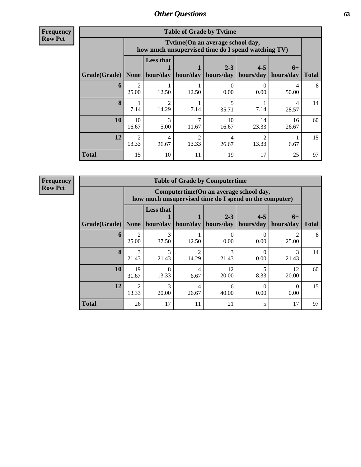**Frequency Row Pct**

| <b>Table of Grade by Tvtime</b> |             |                                                                                        |            |                           |                      |                   |              |  |  |
|---------------------------------|-------------|----------------------------------------------------------------------------------------|------------|---------------------------|----------------------|-------------------|--------------|--|--|
|                                 |             | Tvtime(On an average school day,<br>how much unsupervised time do I spend watching TV) |            |                           |                      |                   |              |  |  |
| Grade(Grade)                    | None        | <b>Less that</b><br>hour/day                                                           | hour/day   | $2 - 3$<br>hours/day      | $4 - 5$<br>hours/day | $6+$<br>hours/day | <b>Total</b> |  |  |
| 6                               | 25.00       | 12.50                                                                                  | 12.50      | $\mathbf{\Omega}$<br>0.00 | 0.00                 | 50.00             | 8            |  |  |
| 8                               | 7.14        | 2<br>14.29                                                                             | 7.14       | 35.71                     | 7.14                 | 4<br>28.57        | 14           |  |  |
| 10                              | 10<br>16.67 | 3<br>5.00                                                                              | ⇁<br>11.67 | 10<br>16.67               | 14<br>23.33          | 16<br>26.67       | 60           |  |  |
| 12                              | 2<br>13.33  | 4<br>26.67                                                                             | っ<br>13.33 | 4<br>26.67                | 13.33                | 6.67              | 15           |  |  |
| <b>Total</b>                    | 15          | 10                                                                                     | 11         | 19                        | 17                   | 25                | 97           |  |  |

**Frequency Row Pct**

| <b>Table of Grade by Computertime</b> |                         |                                                                                                  |                     |                      |                      |                   |              |  |  |
|---------------------------------------|-------------------------|--------------------------------------------------------------------------------------------------|---------------------|----------------------|----------------------|-------------------|--------------|--|--|
|                                       |                         | Computertime(On an average school day,<br>how much unsupervised time do I spend on the computer) |                     |                      |                      |                   |              |  |  |
| Grade(Grade)                          | <b>None</b>             | <b>Less that</b>                                                                                 | hour/day   hour/day | $2 - 3$<br>hours/day | $4 - 5$<br>hours/day | $6+$<br>hours/day | <b>Total</b> |  |  |
| 6                                     | $\mathfrak{D}$<br>25.00 | 3<br>37.50                                                                                       | 12.50               | 0<br>0.00            | 0.00                 | 25.00             | 8            |  |  |
| 8                                     | 3<br>21.43              | 3<br>21.43                                                                                       | っ<br>14.29          | 3<br>21.43           | 0.00                 | 3<br>21.43        | 14           |  |  |
| 10                                    | 19<br>31.67             | 8<br>13.33                                                                                       | 4<br>6.67           | 12<br>20.00          | 8.33                 | 12<br>20.00       | 60           |  |  |
| 12                                    | $\mathcal{D}$<br>13.33  | 3<br>20.00                                                                                       | 4<br>26.67          | 6<br>40.00           | 0.00                 | 0.00              | 15           |  |  |
| <b>Total</b>                          | 26                      | 17                                                                                               | 11                  | 21                   | 5                    | 17                | 97           |  |  |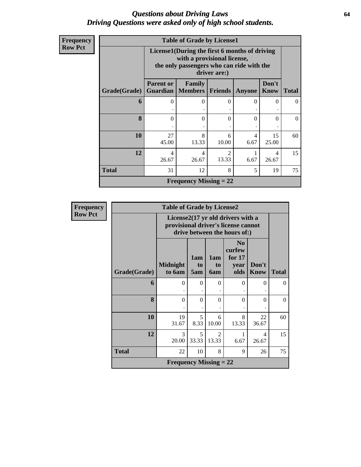### *Questions about Driving Laws* **64** *Driving Questions were asked only of high school students.*

| <b>Frequency</b> |  |
|------------------|--|
| <b>Row Pct</b>   |  |

| <b>Table of Grade by License1</b>        |                                                                                                                                           |                          |                |           |                      |              |  |  |  |
|------------------------------------------|-------------------------------------------------------------------------------------------------------------------------------------------|--------------------------|----------------|-----------|----------------------|--------------|--|--|--|
|                                          | License1(During the first 6 months of driving<br>with a provisional license,<br>the only passengers who can ride with the<br>driver are:) |                          |                |           |                      |              |  |  |  |
| Grade(Grade)                             | <b>Parent or</b><br>Guardian                                                                                                              | Family<br><b>Members</b> | <b>Friends</b> | Anyone    | Don't<br><b>Know</b> | <b>Total</b> |  |  |  |
| 6                                        | $\Omega$                                                                                                                                  | $\Omega$                 | $\Omega$       | $\Omega$  | 0                    | 0            |  |  |  |
| 8                                        | 0                                                                                                                                         | $\Omega$                 | $\theta$       | 0         | 0                    | 0            |  |  |  |
| 10                                       | 27<br>45.00                                                                                                                               | 8<br>13.33               | 6<br>10.00     | 4<br>6.67 | 15<br>25.00          | 60           |  |  |  |
| 12                                       | $\mathfrak{D}$<br>1<br>$\overline{\mathcal{A}}$<br>4<br>4<br>13.33<br>26.67<br>26.67<br>6.67<br>26.67                                     |                          |                |           |                      |              |  |  |  |
| <b>Total</b><br>8<br>5<br>31<br>12<br>19 |                                                                                                                                           |                          |                |           |                      |              |  |  |  |
|                                          | <b>Frequency Missing = 22</b>                                                                                                             |                          |                |           |                      |              |  |  |  |

| <b>Frequency</b> |              | <b>Table of Grade by License2</b> |                                                                                                          |                         |                                                    |               |              |  |  |
|------------------|--------------|-----------------------------------|----------------------------------------------------------------------------------------------------------|-------------------------|----------------------------------------------------|---------------|--------------|--|--|
| <b>Row Pct</b>   |              |                                   | License2(17 yr old drivers with a<br>provisional driver's license cannot<br>drive between the hours of:) |                         |                                                    |               |              |  |  |
|                  | Grade(Grade) | <b>Midnight</b><br>to 6am         | 1am<br>to<br>5am                                                                                         | 1am<br>to<br><b>6am</b> | N <sub>0</sub><br>curfew<br>for 17<br>year<br>olds | Don't<br>Know | <b>Total</b> |  |  |
|                  | 6            | $\Omega$                          | $\theta$                                                                                                 | $\Omega$                | $\Omega$                                           | $\Omega$      | $\Omega$     |  |  |
|                  | 8            | $\Omega$                          | $\Omega$                                                                                                 | $\Omega$                | $\Omega$                                           | $\Omega$      | $\Omega$     |  |  |
|                  | 10           | 19<br>31.67                       | 5<br>8.33                                                                                                | 6<br>10.00              | 8<br>13.33                                         | 22<br>36.67   | 60           |  |  |
|                  | 12           | 3<br>20.00                        | 5<br>33.33                                                                                               | $\mathfrak{D}$<br>13.33 | 1<br>6.67                                          | 4<br>26.67    | 15           |  |  |
|                  | <b>Total</b> | 22                                | 10                                                                                                       | 8                       | 9                                                  | 26            | 75           |  |  |
|                  |              | <b>Frequency Missing = 22</b>     |                                                                                                          |                         |                                                    |               |              |  |  |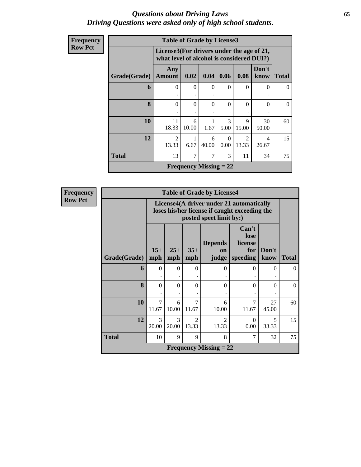### *Questions about Driving Laws* **65** *Driving Questions were asked only of high school students.*

| Frequency      |              | <b>Table of Grade by License3</b> |                                                                                        |                               |           |                        |               |                |
|----------------|--------------|-----------------------------------|----------------------------------------------------------------------------------------|-------------------------------|-----------|------------------------|---------------|----------------|
| <b>Row Pct</b> |              |                                   | License3(For drivers under the age of 21,<br>what level of alcohol is considered DUI?) |                               |           |                        |               |                |
|                | Grade(Grade) | Any<br><b>Amount</b>              | 0.02                                                                                   | 0.04                          | 0.06      | 0.08                   | Don't<br>know | <b>Total</b>   |
|                | 6            | $\theta$                          | $\Omega$                                                                               | $\theta$                      | $\Omega$  | $\Omega$               | 0             | $\theta$       |
|                | 8            | $\theta$                          | $\theta$                                                                               | $\theta$                      | $\theta$  | $\Omega$               | $\theta$      | $\overline{0}$ |
|                | 10           | 11<br>18.33                       | 6<br>10.00                                                                             | 1.67                          | 3<br>5.00 | 9<br>15.00             | 30<br>50.00   | 60             |
|                | 12           | $\mathfrak{D}$<br>13.33           | 6.67                                                                                   | 6<br>40.00                    | 0<br>0.00 | $\mathcal{D}$<br>13.33 | 4<br>26.67    | 15             |
|                | <b>Total</b> | 13                                | 7                                                                                      | 7                             | 3         | 11                     | 34            | 75             |
|                |              |                                   |                                                                                        | <b>Frequency Missing = 22</b> |           |                        |               |                |

**Frequency Row Pct**

| <b>Table of Grade by License4</b> |                         |                                                                                                                                               |                         |                        |                  |             |          |  |  |
|-----------------------------------|-------------------------|-----------------------------------------------------------------------------------------------------------------------------------------------|-------------------------|------------------------|------------------|-------------|----------|--|--|
|                                   |                         | License4(A driver under 21 automatically<br>loses his/her license if caught exceeding the<br>posted speet limit by:)                          |                         |                        |                  |             |          |  |  |
| Grade(Grade)                      | $15+$<br>mph            | Can't<br>lose<br><b>Depends</b><br>license<br>$35+$<br>$25+$<br>Don't<br>for<br><b>on</b><br>speeding<br>judge<br>Total<br>mph<br>mph<br>know |                         |                        |                  |             |          |  |  |
| 6                                 | 0                       | $\Omega$                                                                                                                                      | $\theta$                | 0                      | 0                | 0           | $\theta$ |  |  |
| 8                                 | $\theta$                | $\Omega$                                                                                                                                      | $\Omega$                | $\Omega$               | $\Omega$         | $\Omega$    | $\Omega$ |  |  |
| 10                                | $\overline{7}$<br>11.67 | 6<br>10.00                                                                                                                                    | $\overline{7}$<br>11.67 | 6<br>10.00             | 7<br>11.67       | 27<br>45.00 | 60       |  |  |
| 12                                | 3<br>20.00              | 3<br>20.00                                                                                                                                    | $\mathfrak{D}$<br>13.33 | $\mathcal{D}$<br>13.33 | $\Omega$<br>0.00 | 5<br>33.33  | 15       |  |  |
| <b>Total</b>                      | 10                      | 9                                                                                                                                             | 9                       | 8                      | 7                | 32          | 75       |  |  |
| <b>Frequency Missing = 22</b>     |                         |                                                                                                                                               |                         |                        |                  |             |          |  |  |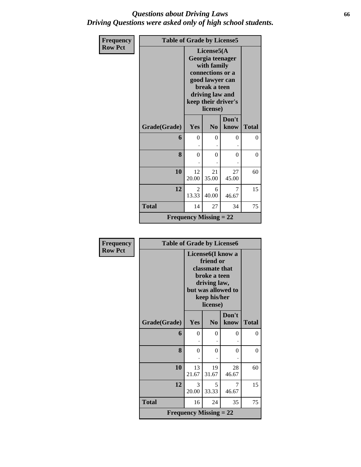### *Questions about Driving Laws* **66** *Driving Questions were asked only of high school students.*

| Frequency      | <b>Table of Grade by License5</b> |                               |                                                                                                                                                            |               |              |  |
|----------------|-----------------------------------|-------------------------------|------------------------------------------------------------------------------------------------------------------------------------------------------------|---------------|--------------|--|
| <b>Row Pct</b> |                                   |                               | License5(A<br>Georgia teenager<br>with family<br>connections or a<br>good lawyer can<br>break a teen<br>driving law and<br>keep their driver's<br>license) |               |              |  |
|                | Grade(Grade)                      | Yes                           | N <sub>0</sub>                                                                                                                                             | Don't<br>know | <b>Total</b> |  |
|                | 6                                 | $\theta$                      | $\theta$                                                                                                                                                   | 0             | $\theta$     |  |
|                | 8                                 | $\overline{0}$                | $\theta$                                                                                                                                                   | 0             | $\theta$     |  |
|                | 10                                | 12<br>20.00                   | 21<br>35.00                                                                                                                                                | 27<br>45.00   | 60           |  |
|                | 12                                | $\overline{2}$<br>13.33       | 6<br>40.00                                                                                                                                                 | 7<br>46.67    | 15           |  |
|                | <b>Total</b>                      | 14                            | 27                                                                                                                                                         | 34            | 75           |  |
|                |                                   | <b>Frequency Missing = 22</b> |                                                                                                                                                            |               |              |  |

| <b>Frequency</b> | <b>Table of Grade by License6</b> |                               |                                                                                                                                    |               |              |
|------------------|-----------------------------------|-------------------------------|------------------------------------------------------------------------------------------------------------------------------------|---------------|--------------|
| <b>Row Pct</b>   |                                   |                               | License6(I know a<br>friend or<br>classmate that<br>broke a teen<br>driving law,<br>but was allowed to<br>keep his/her<br>license) |               |              |
|                  | Grade(Grade)                      | Yes                           | N <sub>0</sub>                                                                                                                     | Don't<br>know | <b>Total</b> |
|                  | 6                                 | $\theta$                      | $\theta$                                                                                                                           | 0             | 0            |
|                  | 8                                 | $\Omega$                      | $\Omega$                                                                                                                           | 0             | $\theta$     |
|                  | 10                                | 13<br>21.67                   | 19<br>31.67                                                                                                                        | 28<br>46.67   | 60           |
|                  | 12                                | 3<br>20.00                    | $\overline{\phantom{0}}$<br>33.33                                                                                                  | 7<br>46.67    | 15           |
|                  | <b>Total</b>                      | 16                            | 24                                                                                                                                 | 35            | 75           |
|                  |                                   | <b>Frequency Missing = 22</b> |                                                                                                                                    |               |              |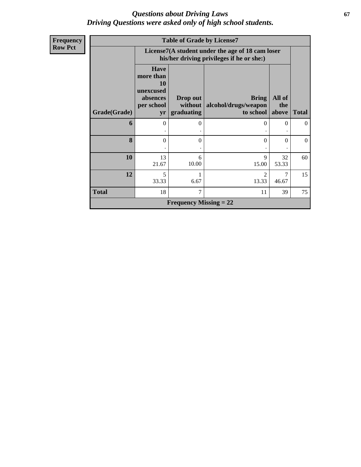### *Questions about Driving Laws* **67** *Driving Questions were asked only of high school students.*

| <b>Frequency</b> |              |                                                                             | <b>Table of Grade by License7</b> |                                                                                               |                        |                |
|------------------|--------------|-----------------------------------------------------------------------------|-----------------------------------|-----------------------------------------------------------------------------------------------|------------------------|----------------|
| <b>Row Pct</b>   |              |                                                                             |                                   | License7(A student under the age of 18 cam loser<br>his/her driving privileges if he or she:) |                        |                |
|                  | Grade(Grade) | <b>Have</b><br>more than<br>10<br>unexcused<br>absences<br>per school<br>yr | Drop out<br>without<br>graduating | <b>Bring</b><br>alcohol/drugs/weapon<br>to school                                             | All of<br>the<br>above | <b>Total</b>   |
|                  |              |                                                                             |                                   |                                                                                               |                        |                |
|                  | 6            | $\overline{0}$                                                              | $\Omega$                          | $\Omega$                                                                                      | $\Omega$               | $\overline{0}$ |
|                  | 8            | $\Omega$                                                                    | $\Omega$                          | $\Omega$                                                                                      | $\Omega$               | $\theta$       |
|                  | 10           | 13<br>21.67                                                                 | 6<br>10.00                        | 9<br>15.00                                                                                    | 32<br>53.33            | 60             |
|                  | 12           | 5<br>33.33                                                                  | 6.67                              | $\overline{2}$<br>13.33                                                                       | 46.67                  | 15             |
|                  | <b>Total</b> | 18                                                                          | 7                                 | 11                                                                                            | 39                     | 75             |
|                  |              |                                                                             | <b>Frequency Missing = 22</b>     |                                                                                               |                        |                |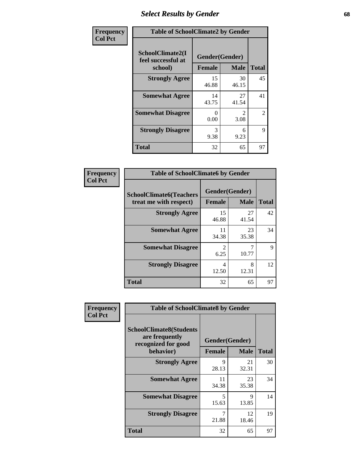# *Select Results by Gender* **68**

| Frequency      | <b>Table of SchoolClimate2 by Gender</b>          |                                 |                                     |                |  |  |  |
|----------------|---------------------------------------------------|---------------------------------|-------------------------------------|----------------|--|--|--|
| <b>Col Pct</b> | SchoolClimate2(I<br>feel successful at<br>school) | Gender(Gender)<br><b>Female</b> | <b>Male</b>                         | <b>Total</b>   |  |  |  |
|                | <b>Strongly Agree</b>                             | 15<br>46.88                     | 30<br>46.15                         | 45             |  |  |  |
|                | <b>Somewhat Agree</b>                             | 14<br>43.75                     | 27<br>41.54                         | 41             |  |  |  |
|                | <b>Somewhat Disagree</b>                          | $\Omega$<br>0.00                | $\mathcal{D}_{\mathcal{L}}$<br>3.08 | $\overline{2}$ |  |  |  |
|                | <b>Strongly Disagree</b>                          | 3<br>9.38                       | 6<br>9.23                           | 9              |  |  |  |
|                | <b>Total</b>                                      | 32                              | 65                                  | 97             |  |  |  |

| Frequency      | <b>Table of SchoolClimate6 by Gender</b>                 |                        |                               |              |  |  |  |
|----------------|----------------------------------------------------------|------------------------|-------------------------------|--------------|--|--|--|
| <b>Col Pct</b> | <b>SchoolClimate6(Teachers</b><br>treat me with respect) | <b>Female</b>          | Gender(Gender)<br><b>Male</b> | <b>Total</b> |  |  |  |
|                | <b>Strongly Agree</b>                                    | 15<br>46.88            | 27<br>41.54                   | 42           |  |  |  |
|                | <b>Somewhat Agree</b>                                    | 11<br>34.38            | 23<br>35.38                   | 34           |  |  |  |
|                | <b>Somewhat Disagree</b>                                 | $\mathfrak{D}$<br>6.25 | 10.77                         | 9            |  |  |  |
|                | <b>Strongly Disagree</b>                                 | 4<br>12.50             | 8<br>12.31                    | 12           |  |  |  |
|                | <b>Total</b>                                             | 32                     | 65                            | 97           |  |  |  |

| <b>Frequency</b> | <b>Table of SchoolClimate8 by Gender</b>                                             |               |                               |              |
|------------------|--------------------------------------------------------------------------------------|---------------|-------------------------------|--------------|
| <b>Col Pct</b>   | <b>SchoolClimate8(Students</b><br>are frequently<br>recognized for good<br>behavior) | <b>Female</b> | Gender(Gender)<br><b>Male</b> | <b>Total</b> |
|                  | <b>Strongly Agree</b>                                                                | 9<br>28.13    | 21<br>32.31                   | 30           |
|                  | <b>Somewhat Agree</b>                                                                | 11<br>34.38   | 23<br>35.38                   | 34           |
|                  | <b>Somewhat Disagree</b>                                                             | 5<br>15.63    | 9<br>13.85                    | 14           |
|                  | <b>Strongly Disagree</b>                                                             | 7<br>21.88    | 12<br>18.46                   | 19           |
|                  | Total                                                                                | 32            | 65                            | 97           |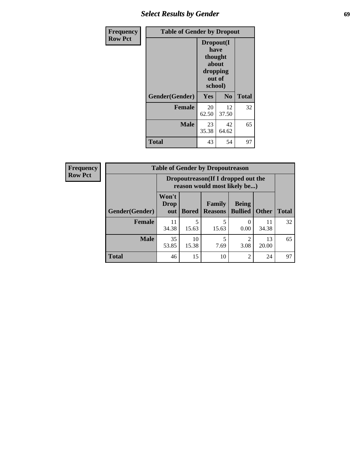## *Select Results by Gender* **69**

| Frequency      | <b>Table of Gender by Dropout</b> |                                                                        |                |              |
|----------------|-----------------------------------|------------------------------------------------------------------------|----------------|--------------|
| <b>Row Pct</b> |                                   | Dropout(I<br>have<br>thought<br>about<br>dropping<br>out of<br>school) |                |              |
|                | Gender(Gender)                    | Yes                                                                    | N <sub>0</sub> | <b>Total</b> |
|                | <b>Female</b>                     | 20<br>62.50                                                            | 12<br>37.50    | 32           |
|                | <b>Male</b>                       | 23<br>35.38                                                            | 42<br>64.62    | 65           |
|                | <b>Total</b>                      | 43                                                                     | 54             | 97           |

| <b>Frequency</b> | <b>Table of Gender by Dropoutreason</b> |                                                                     |              |                                 |                                |              |              |
|------------------|-----------------------------------------|---------------------------------------------------------------------|--------------|---------------------------------|--------------------------------|--------------|--------------|
| <b>Row Pct</b>   |                                         | Dropoutreason (If I dropped out the<br>reason would most likely be) |              |                                 |                                |              |              |
|                  | Gender(Gender)                          | Won't<br><b>Drop</b><br>out                                         | <b>Bored</b> | <b>Family</b><br><b>Reasons</b> | <b>Being</b><br><b>Bullied</b> | <b>Other</b> | <b>Total</b> |
|                  | <b>Female</b>                           | 11<br>34.38                                                         | 5<br>15.63   | 15.63                           | $\Omega$<br>0.00               | 11<br>34.38  | 32           |
|                  | <b>Male</b>                             | 35<br>53.85                                                         | 10<br>15.38  | 7.69                            | 3.08                           | 13<br>20.00  | 65           |
|                  | <b>Total</b>                            | 46                                                                  | 15           | 10                              | $\overline{c}$                 | 24           | 97           |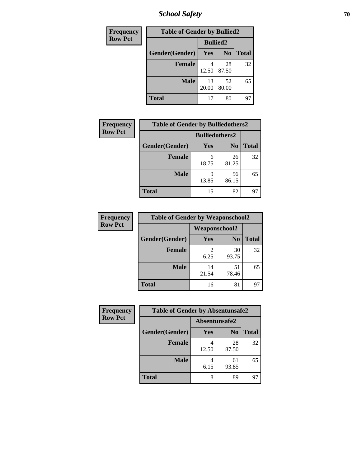*School Safety* **70**

| Frequency      | <b>Table of Gender by Bullied2</b> |                 |                |              |
|----------------|------------------------------------|-----------------|----------------|--------------|
| <b>Row Pct</b> |                                    | <b>Bullied2</b> |                |              |
|                | Gender(Gender)                     | Yes             | N <sub>0</sub> | <b>Total</b> |
|                | <b>Female</b>                      | 4<br>12.50      | 28<br>87.50    | 32           |
|                | <b>Male</b>                        | 13<br>20.00     | 52<br>80.00    | 65           |
|                | Total                              | 17              | 80             | 97           |

| <b>Frequency</b> | <b>Table of Gender by Bulliedothers2</b> |                       |             |              |
|------------------|------------------------------------------|-----------------------|-------------|--------------|
| <b>Row Pct</b>   |                                          | <b>Bulliedothers2</b> |             |              |
|                  | Gender(Gender)                           | <b>Yes</b>            | $\bf N_0$   | <b>Total</b> |
|                  | <b>Female</b>                            | 6<br>18.75            | 26<br>81.25 | 32           |
|                  | <b>Male</b>                              | Q<br>13.85            | 56<br>86.15 | 65           |
|                  | <b>Total</b>                             | 15                    | 82          | 97           |

| Frequency      | <b>Table of Gender by Weaponschool2</b> |                      |                |              |
|----------------|-----------------------------------------|----------------------|----------------|--------------|
| <b>Row Pct</b> |                                         | <b>Weaponschool2</b> |                |              |
|                | Gender(Gender)                          | Yes                  | N <sub>0</sub> | <b>Total</b> |
|                | <b>Female</b>                           | 6.25                 | 30<br>93.75    | 32           |
|                | <b>Male</b>                             | 14<br>21.54          | 51<br>78.46    | 65           |
|                | <b>Total</b>                            | 16                   | 81             | 97           |

| Frequency      | <b>Table of Gender by Absentunsafe2</b> |               |                |              |  |
|----------------|-----------------------------------------|---------------|----------------|--------------|--|
| <b>Row Pct</b> |                                         | Absentunsafe2 |                |              |  |
|                | Gender(Gender)                          | Yes           | N <sub>0</sub> | <b>Total</b> |  |
|                | <b>Female</b>                           | 12.50         | 28<br>87.50    | 32           |  |
|                | <b>Male</b>                             | 6.15          | 61<br>93.85    | 65           |  |
|                | <b>Total</b>                            | 8             | 89             | 97           |  |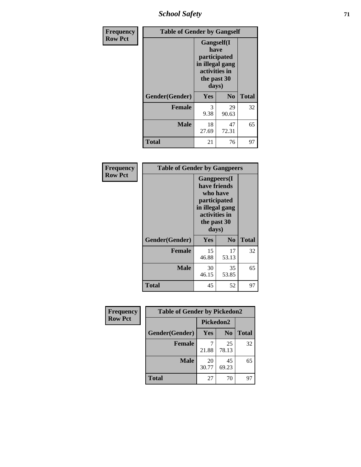*School Safety* **71**

| Frequency      |                | <b>Table of Gender by Gangself</b>                                                             |                |              |  |
|----------------|----------------|------------------------------------------------------------------------------------------------|----------------|--------------|--|
| <b>Row Pct</b> |                | Gangself(I<br>have<br>participated<br>in illegal gang<br>activities in<br>the past 30<br>days) |                |              |  |
|                | Gender(Gender) | Yes                                                                                            | N <sub>0</sub> | <b>Total</b> |  |
|                | <b>Female</b>  | 3<br>9.38                                                                                      | 29<br>90.63    | 32           |  |
|                | <b>Male</b>    | 18<br>27.69                                                                                    | 47<br>72.31    | 65           |  |
|                | <b>Total</b>   | 21                                                                                             | 76             | 97           |  |

| Frequency | <b>Table of Gender by Gangpeers</b> |             |                                                                                                                             |              |
|-----------|-------------------------------------|-------------|-----------------------------------------------------------------------------------------------------------------------------|--------------|
|           | <b>Row Pct</b>                      |             | <b>Gangpeers</b> (I<br>have friends<br>who have<br>participated<br>in illegal gang<br>activities in<br>the past 30<br>days) |              |
|           | Gender(Gender)                      | <b>Yes</b>  | N <sub>0</sub>                                                                                                              | <b>Total</b> |
|           | <b>Female</b>                       | 15<br>46.88 | 17<br>53.13                                                                                                                 | 32           |
|           | <b>Male</b>                         | 30<br>46.15 | 35<br>53.85                                                                                                                 | 65           |
|           | Total                               | 45          | 52                                                                                                                          | 97           |

| Frequency      | <b>Table of Gender by Pickedon2</b> |             |                |              |
|----------------|-------------------------------------|-------------|----------------|--------------|
| <b>Row Pct</b> |                                     | Pickedon2   |                |              |
|                | Gender(Gender)                      | <b>Yes</b>  | N <sub>o</sub> | <b>Total</b> |
|                | <b>Female</b>                       | 21.88       | 25<br>78.13    | 32           |
|                | <b>Male</b>                         | 20<br>30.77 | 45<br>69.23    | 65           |
|                | <b>Total</b>                        | 27          | 70             | 97           |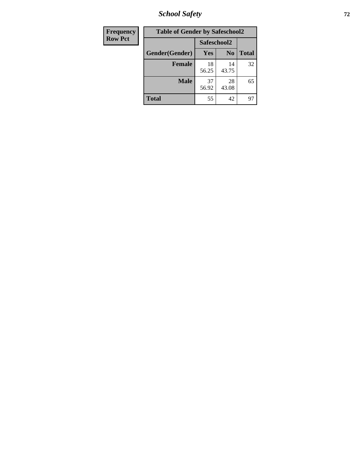*School Safety* **72**

| <b>Frequency</b> | <b>Table of Gender by Safeschool2</b> |             |                |              |  |
|------------------|---------------------------------------|-------------|----------------|--------------|--|
| <b>Row Pct</b>   |                                       | Safeschool2 |                |              |  |
|                  | Gender(Gender)                        | Yes         | N <sub>0</sub> | <b>Total</b> |  |
|                  | <b>Female</b>                         | 18<br>56.25 | 14<br>43.75    | 32           |  |
|                  | <b>Male</b>                           | 37<br>56.92 | 28<br>43.08    | 65           |  |
|                  | <b>Total</b>                          | 55          | 42             | 97           |  |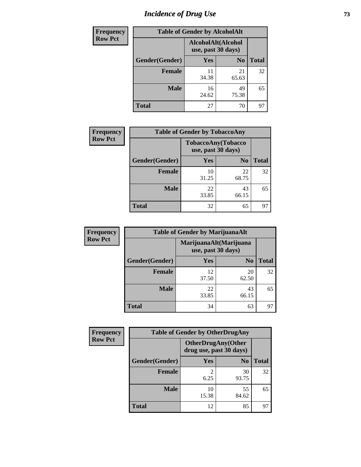# *Incidence of Drug Use* 73

| <b>Frequency</b> | <b>Table of Gender by AlcoholAlt</b> |                                          |                |              |  |
|------------------|--------------------------------------|------------------------------------------|----------------|--------------|--|
| <b>Row Pct</b>   |                                      | AlcoholAlt(Alcohol<br>use, past 30 days) |                |              |  |
|                  | Gender(Gender)                       | <b>Yes</b>                               | N <sub>0</sub> | <b>Total</b> |  |
|                  | <b>Female</b>                        | 11<br>34.38                              | 21<br>65.63    | 32           |  |
|                  | <b>Male</b>                          | 16<br>24.62                              | 49<br>75.38    | 65           |  |
|                  | <b>Total</b>                         | 27                                       | 70             | 97           |  |

| Frequency      | <b>Table of Gender by TobaccoAny</b> |                    |                    |              |  |
|----------------|--------------------------------------|--------------------|--------------------|--------------|--|
| <b>Row Pct</b> |                                      | use, past 30 days) | TobaccoAny(Tobacco |              |  |
|                | Gender(Gender)                       | Yes                | N <sub>0</sub>     | <b>Total</b> |  |
|                | <b>Female</b>                        | 10<br>31.25        | 22<br>68.75        | 32           |  |
|                | <b>Male</b>                          | 22<br>33.85        | 43<br>66.15        | 65           |  |
|                | <b>Total</b>                         | 32                 | 65                 | 97           |  |

| <b>Frequency</b> | <b>Table of Gender by MarijuanaAlt</b> |                                              |                |              |
|------------------|----------------------------------------|----------------------------------------------|----------------|--------------|
| <b>Row Pct</b>   |                                        | MarijuanaAlt(Marijuana<br>use, past 30 days) |                |              |
|                  | Gender(Gender)                         | <b>Yes</b>                                   | N <sub>0</sub> | <b>Total</b> |
|                  | <b>Female</b>                          | 12<br>37.50                                  | 20<br>62.50    | 32           |
|                  | <b>Male</b>                            | 22<br>33.85                                  | 43<br>66.15    | 65           |
|                  | <b>Total</b>                           | 34                                           | 63             | 97           |

| <b>Frequency</b> | <b>Table of Gender by OtherDrugAny</b> |                         |                           |              |
|------------------|----------------------------------------|-------------------------|---------------------------|--------------|
| <b>Row Pct</b>   |                                        | drug use, past 30 days) | <b>OtherDrugAny(Other</b> |              |
|                  | Gender(Gender)                         | <b>Yes</b>              | N <sub>0</sub>            | <b>Total</b> |
|                  | <b>Female</b>                          | 2<br>6.25               | 30<br>93.75               | 32           |
|                  | <b>Male</b>                            | 10<br>15.38             | 55<br>84.62               | 65           |
|                  | <b>Total</b>                           | 12                      | 85                        | 97           |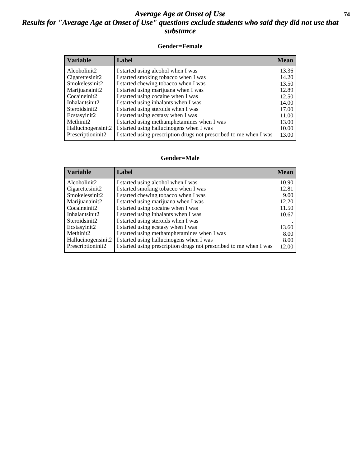## *Average Age at Onset of Use* **74** *Results for "Average Age at Onset of Use" questions exclude students who said they did not use that substance*

## **Gender=Female**

| <i><b>Variable</b></i> | <b>Label</b>                                                       | <b>Mean</b> |
|------------------------|--------------------------------------------------------------------|-------------|
| Alcoholinit2           | I started using alcohol when I was                                 | 13.36       |
| Cigarettesinit2        | I started smoking tobacco when I was                               | 14.20       |
| Smokelessinit2         | I started chewing tobacco when I was                               | 13.50       |
| Marijuanainit2         | I started using marijuana when I was                               | 12.89       |
| Cocaineinit2           | I started using cocaine when I was                                 | 12.50       |
| Inhalantsinit2         | I started using inhalants when I was                               | 14.00       |
| Steroidsinit2          | I started using steroids when I was                                | 17.00       |
| Ecstasyinit2           | I started using ecstasy when I was                                 | 11.00       |
| Methinit2              | I started using methamphetamines when I was                        | 13.00       |
| Hallucinogensinit2     | I started using hallucinogens when I was                           | 10.00       |
| Prescription in t2     | I started using prescription drugs not prescribed to me when I was | 13.00       |

### **Gender=Male**

| <b>Variable</b>                 | Label                                                              | <b>Mean</b> |
|---------------------------------|--------------------------------------------------------------------|-------------|
| Alcoholinit2                    | I started using alcohol when I was                                 | 10.90       |
| Cigarettesinit2                 | I started smoking tobacco when I was                               | 12.81       |
| Smokelessinit2                  | I started chewing tobacco when I was                               | 9.00        |
| Marijuanainit2                  | I started using marijuana when I was                               | 12.20       |
| Cocaineinit2                    | I started using cocaine when I was                                 | 11.50       |
| Inhalantsinit2                  | I started using inhalants when I was                               | 10.67       |
| Steroidsinit2                   | I started using steroids when I was                                |             |
| Ecstasyinit2                    | I started using ecstasy when I was                                 | 13.60       |
| Methinit2                       | I started using methamphetamines when I was                        | 8.00        |
| Hallucinogensinit2              | I started using hallucinogens when I was                           | 8.00        |
| Prescription in it <sub>2</sub> | I started using prescription drugs not prescribed to me when I was | 12.00       |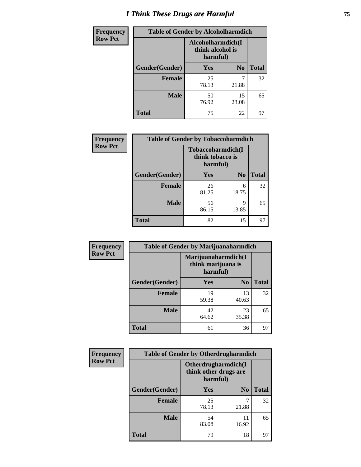# *I Think These Drugs are Harmful* **75**

| <b>Frequency</b> | <b>Table of Gender by Alcoholharmdich</b> |                                                   |                |              |
|------------------|-------------------------------------------|---------------------------------------------------|----------------|--------------|
| <b>Row Pct</b>   |                                           | Alcoholharmdich(I<br>think alcohol is<br>harmful) |                |              |
|                  | Gender(Gender)                            | <b>Yes</b>                                        | N <sub>0</sub> | <b>Total</b> |
|                  | <b>Female</b>                             | 25<br>78.13                                       | 21.88          | 32           |
|                  | <b>Male</b>                               | 50<br>76.92                                       | 15<br>23.08    | 65           |
|                  | <b>Total</b>                              | 75                                                | 22             | 97           |

| Frequency      | <b>Table of Gender by Tobaccoharmdich</b> |                  |                               |              |
|----------------|-------------------------------------------|------------------|-------------------------------|--------------|
| <b>Row Pct</b> |                                           | think tobacco is | Tobaccoharmdich(I<br>harmful) |              |
|                | Gender(Gender)                            | <b>Yes</b>       | N <sub>0</sub>                | <b>Total</b> |
|                | <b>Female</b>                             | 26<br>81.25      | 6<br>18.75                    | 32           |
|                | <b>Male</b>                               | 56<br>86.15      | 9<br>13.85                    | 65           |
|                | <b>Total</b>                              | 82               | 15                            | 97           |

| Frequency      | <b>Table of Gender by Marijuanaharmdich</b> |                                |                     |              |  |
|----------------|---------------------------------------------|--------------------------------|---------------------|--------------|--|
| <b>Row Pct</b> |                                             | think marijuana is<br>harmful) | Marijuanaharmdich(I |              |  |
|                | Gender(Gender)                              | <b>Yes</b>                     | N <sub>0</sub>      | <b>Total</b> |  |
|                | <b>Female</b>                               | 19<br>59.38                    | 13<br>40.63         | 32           |  |
|                | <b>Male</b>                                 | 42<br>64.62                    | 23<br>35.38         | 65           |  |
|                | <b>Total</b>                                | 61                             | 36                  | 97           |  |

| Frequency      | <b>Table of Gender by Otherdrugharmdich</b> |                                                          |                |              |
|----------------|---------------------------------------------|----------------------------------------------------------|----------------|--------------|
| <b>Row Pct</b> |                                             | Otherdrugharmdich(I<br>think other drugs are<br>harmful) |                |              |
|                | Gender(Gender)                              | <b>Yes</b>                                               | N <sub>0</sub> | <b>Total</b> |
|                | <b>Female</b>                               | 25<br>78.13                                              | 21.88          | 32           |
|                | <b>Male</b>                                 | 54<br>83.08                                              | 11<br>16.92    | 65           |
|                | <b>Total</b>                                | 79                                                       | 18             | 97           |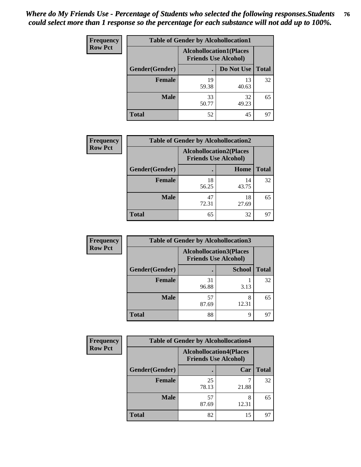| <b>Frequency</b> | <b>Table of Gender by Alcohollocation1</b> |                                                               |             |              |
|------------------|--------------------------------------------|---------------------------------------------------------------|-------------|--------------|
| <b>Row Pct</b>   |                                            | <b>Alcohollocation1(Places</b><br><b>Friends Use Alcohol)</b> |             |              |
|                  | Gender(Gender)                             |                                                               | Do Not Use  | <b>Total</b> |
|                  | <b>Female</b>                              | 19<br>59.38                                                   | 13<br>40.63 | 32           |
|                  | <b>Male</b>                                | 33<br>50.77                                                   | 32<br>49.23 | 65           |
|                  | <b>Total</b>                               | 52                                                            | 45          | 97           |

| <b>Frequency</b> | <b>Table of Gender by Alcohollocation2</b> |                                                               |             |              |
|------------------|--------------------------------------------|---------------------------------------------------------------|-------------|--------------|
| <b>Row Pct</b>   |                                            | <b>Alcohollocation2(Places</b><br><b>Friends Use Alcohol)</b> |             |              |
|                  | Gender(Gender)                             |                                                               | Home        | <b>Total</b> |
|                  | <b>Female</b>                              | 18<br>56.25                                                   | 14<br>43.75 | 32           |
|                  | <b>Male</b>                                | 47<br>72.31                                                   | 18<br>27.69 | 65           |
|                  | <b>Total</b>                               | 65                                                            | 32          | 97           |

| Frequency      | <b>Table of Gender by Alcohollocation3</b> |                                                               |               |              |
|----------------|--------------------------------------------|---------------------------------------------------------------|---------------|--------------|
| <b>Row Pct</b> |                                            | <b>Alcohollocation3(Places</b><br><b>Friends Use Alcohol)</b> |               |              |
|                | Gender(Gender)                             |                                                               | <b>School</b> | <b>Total</b> |
|                | <b>Female</b>                              | 31<br>96.88                                                   | 3.13          | 32           |
|                | <b>Male</b>                                | 57<br>87.69                                                   | 8<br>12.31    | 65           |
|                | <b>Total</b>                               | 88                                                            | 9             | 97           |

| <b>Frequency</b> | <b>Table of Gender by Alcohollocation4</b> |                             |                                |              |
|------------------|--------------------------------------------|-----------------------------|--------------------------------|--------------|
| <b>Row Pct</b>   |                                            | <b>Friends Use Alcohol)</b> | <b>Alcohollocation4(Places</b> |              |
|                  | Gender(Gender)                             |                             | Car                            | <b>Total</b> |
|                  | <b>Female</b>                              | 25<br>78.13                 | 21.88                          | 32           |
|                  | <b>Male</b>                                | 57<br>87.69                 | 8<br>12.31                     | 65           |
|                  | <b>Total</b>                               | 82                          | 15                             | 97           |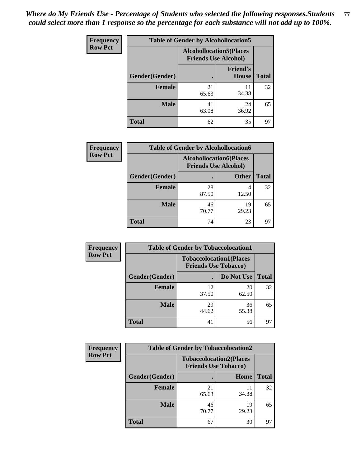| <b>Frequency</b> |                | <b>Table of Gender by Alcohollocation5</b>                     |                          |              |
|------------------|----------------|----------------------------------------------------------------|--------------------------|--------------|
| <b>Row Pct</b>   |                | <b>Alcohollocation5</b> (Places<br><b>Friends Use Alcohol)</b> |                          |              |
|                  | Gender(Gender) | $\bullet$                                                      | <b>Friend's</b><br>House | <b>Total</b> |
|                  | <b>Female</b>  | 21<br>65.63                                                    | 11<br>34.38              | 32           |
|                  | <b>Male</b>    | 41<br>63.08                                                    | 24<br>36.92              | 65           |
|                  | <b>Total</b>   | 62                                                             | 35                       | 97           |

| Frequency      | <b>Table of Gender by Alcohollocation6</b> |                                                               |              |              |
|----------------|--------------------------------------------|---------------------------------------------------------------|--------------|--------------|
| <b>Row Pct</b> |                                            | <b>Alcohollocation6(Places</b><br><b>Friends Use Alcohol)</b> |              |              |
|                | <b>Gender</b> (Gender)                     |                                                               | <b>Other</b> | <b>Total</b> |
|                | <b>Female</b>                              | 28<br>87.50                                                   | 4<br>12.50   | 32           |
|                | <b>Male</b>                                | 46<br>70.77                                                   | 19<br>29.23  | 65           |
|                | <b>Total</b>                               | 74                                                            | 23           | 97           |

| Frequency      |                | <b>Table of Gender by Tobaccolocation1</b>                    |             |              |
|----------------|----------------|---------------------------------------------------------------|-------------|--------------|
| <b>Row Pct</b> |                | <b>Tobaccolocation1(Places</b><br><b>Friends Use Tobacco)</b> |             |              |
|                | Gender(Gender) |                                                               | Do Not Use  | <b>Total</b> |
|                | Female         | 12<br>37.50                                                   | 20<br>62.50 | 32           |
|                | <b>Male</b>    | 29<br>44.62                                                   | 36<br>55.38 | 65           |
|                | <b>Total</b>   | 41                                                            | 56          | 97           |

| <b>Frequency</b> | <b>Table of Gender by Tobaccolocation2</b> |                             |                                |              |
|------------------|--------------------------------------------|-----------------------------|--------------------------------|--------------|
| <b>Row Pct</b>   |                                            | <b>Friends Use Tobacco)</b> | <b>Tobaccolocation2(Places</b> |              |
|                  | Gender(Gender)                             |                             | Home                           | <b>Total</b> |
|                  | Female                                     | 21<br>65.63                 | 11<br>34.38                    | 32           |
|                  | <b>Male</b>                                | 46<br>70.77                 | 19<br>29.23                    | 65           |
|                  | <b>Total</b>                               | 67                          | 30                             | 97           |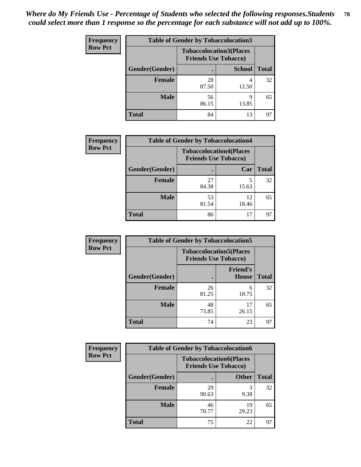| <b>Frequency</b> | <b>Table of Gender by Tobaccolocation3</b>                    |             |               |              |
|------------------|---------------------------------------------------------------|-------------|---------------|--------------|
| <b>Row Pct</b>   | <b>Tobaccolocation3(Places</b><br><b>Friends Use Tobacco)</b> |             |               |              |
|                  | Gender(Gender)                                                |             | <b>School</b> | <b>Total</b> |
|                  | <b>Female</b>                                                 | 28<br>87.50 | 12.50         | 32           |
|                  | <b>Male</b>                                                   | 56<br>86.15 | q<br>13.85    | 65           |
|                  | <b>Total</b>                                                  | 84          | 13            | 97           |

| <b>Frequency</b> | <b>Table of Gender by Tobaccolocation4</b> |                                                               |             |              |
|------------------|--------------------------------------------|---------------------------------------------------------------|-------------|--------------|
| <b>Row Pct</b>   |                                            | <b>Tobaccolocation4(Places</b><br><b>Friends Use Tobacco)</b> |             |              |
|                  | Gender(Gender)                             |                                                               | Car         | <b>Total</b> |
|                  | <b>Female</b>                              | 27<br>84.38                                                   | 15.63       | 32           |
|                  | <b>Male</b>                                | 53<br>81.54                                                   | 12<br>18.46 | 65           |
|                  | <b>Total</b>                               | 80                                                            | 17          | 97           |

| <b>Frequency</b> | <b>Table of Gender by Tobaccolocation5</b> |                                                               |                          |              |
|------------------|--------------------------------------------|---------------------------------------------------------------|--------------------------|--------------|
| <b>Row Pct</b>   |                                            | <b>Tobaccolocation5(Places</b><br><b>Friends Use Tobacco)</b> |                          |              |
|                  | Gender(Gender)                             |                                                               | <b>Friend's</b><br>House | <b>Total</b> |
|                  | Female                                     | 26<br>81.25                                                   | 6<br>18.75               | 32           |
|                  | <b>Male</b>                                | 48<br>73.85                                                   | 17<br>26.15              | 65           |
|                  | <b>Total</b>                               | 74                                                            | 23                       | 97           |

| <b>Frequency</b> |                | <b>Table of Gender by Tobaccolocation6</b> |                                |              |  |  |
|------------------|----------------|--------------------------------------------|--------------------------------|--------------|--|--|
| <b>Row Pct</b>   |                | <b>Friends Use Tobacco)</b>                | <b>Tobaccolocation6(Places</b> |              |  |  |
|                  | Gender(Gender) |                                            | <b>Other</b>                   | <b>Total</b> |  |  |
|                  | Female         | 29<br>90.63                                | 9.38                           | 32           |  |  |
|                  | <b>Male</b>    | 46<br>70.77                                | 19<br>29.23                    | 65           |  |  |
|                  | <b>Total</b>   | 75                                         | 22                             | 97           |  |  |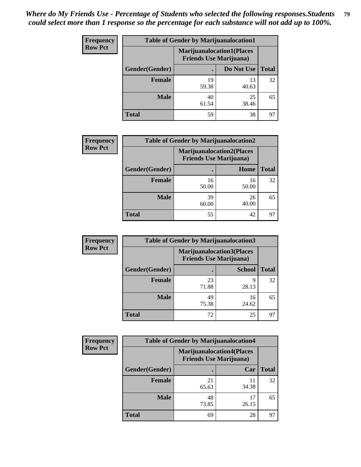| <b>Frequency</b> | <b>Table of Gender by Marijuanalocation1</b> |                                                                    |             |              |  |
|------------------|----------------------------------------------|--------------------------------------------------------------------|-------------|--------------|--|
| <b>Row Pct</b>   |                                              | <b>Marijuanalocation1(Places</b><br><b>Friends Use Marijuana</b> ) |             |              |  |
|                  | Gender(Gender)                               |                                                                    | Do Not Use  | <b>Total</b> |  |
|                  | <b>Female</b>                                | 19<br>59.38                                                        | 13<br>40.63 | 32           |  |
|                  | <b>Male</b>                                  | 40<br>61.54                                                        | 25<br>38.46 | 65           |  |
|                  | <b>Total</b>                                 | 59                                                                 | 38          | 97           |  |

| <b>Frequency</b> | <b>Table of Gender by Marijuanalocation2</b> |             |                                                                    |              |
|------------------|----------------------------------------------|-------------|--------------------------------------------------------------------|--------------|
| <b>Row Pct</b>   |                                              |             | <b>Marijuanalocation2(Places</b><br><b>Friends Use Marijuana</b> ) |              |
|                  | Gender(Gender)                               |             | Home                                                               | <b>Total</b> |
|                  | Female                                       | 16<br>50.00 | 16<br>50.00                                                        | 32           |
|                  | <b>Male</b>                                  | 39<br>60.00 | 26<br>40.00                                                        | 65           |
|                  | <b>Total</b>                                 | 55          | 42                                                                 | 97           |

| Frequency      |                | <b>Table of Gender by Marijuanalocation3</b> |                                  |              |
|----------------|----------------|----------------------------------------------|----------------------------------|--------------|
| <b>Row Pct</b> |                | <b>Friends Use Marijuana</b> )               | <b>Marijuanalocation3(Places</b> |              |
|                | Gender(Gender) |                                              | <b>School</b>                    | <b>Total</b> |
|                | Female         | 23<br>71.88                                  | 9<br>28.13                       | 32           |
|                | <b>Male</b>    | 49<br>75.38                                  | 16<br>24.62                      | 65           |
|                | <b>Total</b>   | 72                                           | 25                               | 97           |

| <b>Frequency</b> | <b>Table of Gender by Marijuanalocation4</b> |                                |                                  |              |
|------------------|----------------------------------------------|--------------------------------|----------------------------------|--------------|
| <b>Row Pct</b>   |                                              | <b>Friends Use Marijuana</b> ) | <b>Marijuanalocation4(Places</b> |              |
|                  | Gender(Gender)                               |                                | Car                              | <b>Total</b> |
|                  | <b>Female</b>                                | 21<br>65.63                    | 11<br>34.38                      | 32           |
|                  | <b>Male</b>                                  | 48<br>73.85                    | 17<br>26.15                      | 65           |
|                  | <b>Total</b>                                 | 69                             | 28                               | 97           |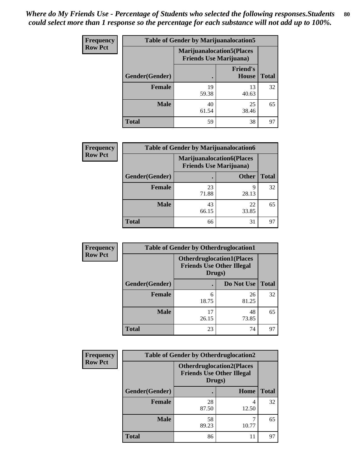| <b>Frequency</b> | <b>Table of Gender by Marijuanalocation5</b> |                                                                    |                                 |              |
|------------------|----------------------------------------------|--------------------------------------------------------------------|---------------------------------|--------------|
| <b>Row Pct</b>   |                                              | <b>Marijuanalocation5(Places</b><br><b>Friends Use Marijuana</b> ) |                                 |              |
|                  | Gender(Gender)                               |                                                                    | <b>Friend's</b><br><b>House</b> | <b>Total</b> |
|                  | <b>Female</b>                                | 19<br>59.38                                                        | 13<br>40.63                     | 32           |
|                  | <b>Male</b>                                  | 40<br>61.54                                                        | 25<br>38.46                     | 65           |
|                  | <b>Total</b>                                 | 59                                                                 | 38                              | 97           |

| <b>Frequency</b> | <b>Table of Gender by Marijuanalocation6</b> |                                |                                  |              |
|------------------|----------------------------------------------|--------------------------------|----------------------------------|--------------|
| <b>Row Pct</b>   |                                              | <b>Friends Use Marijuana</b> ) | <b>Marijuanalocation6(Places</b> |              |
|                  | <b>Gender</b> (Gender)                       |                                | <b>Other</b>                     | <b>Total</b> |
|                  | <b>Female</b>                                | 23<br>71.88                    | 9<br>28.13                       | 32           |
|                  | <b>Male</b>                                  | 43<br>66.15                    | 22<br>33.85                      | 65           |
|                  | <b>Total</b>                                 | 66                             | 31                               |              |

| Frequency      | <b>Table of Gender by Otherdruglocation1</b> |                                                                                |             |              |
|----------------|----------------------------------------------|--------------------------------------------------------------------------------|-------------|--------------|
| <b>Row Pct</b> |                                              | <b>Otherdruglocation1(Places</b><br><b>Friends Use Other Illegal</b><br>Drugs) |             |              |
|                | Gender(Gender)                               |                                                                                | Do Not Use  | <b>Total</b> |
|                | <b>Female</b>                                | 6<br>18.75                                                                     | 26<br>81.25 | 32           |
|                | <b>Male</b>                                  | 17<br>26.15                                                                    | 48<br>73.85 | 65           |
|                | <b>Total</b>                                 | 23                                                                             | 74          | 97           |

| Frequency      | <b>Table of Gender by Otherdruglocation2</b> |                                                                                |            |              |  |
|----------------|----------------------------------------------|--------------------------------------------------------------------------------|------------|--------------|--|
| <b>Row Pct</b> |                                              | <b>Otherdruglocation2(Places</b><br><b>Friends Use Other Illegal</b><br>Drugs) |            |              |  |
|                | Gender(Gender)                               |                                                                                | Home       | <b>Total</b> |  |
|                | <b>Female</b>                                | 28<br>87.50                                                                    | 4<br>12.50 | 32           |  |
|                | <b>Male</b>                                  | 58<br>89.23                                                                    | 10.77      | 65           |  |
|                | <b>Total</b>                                 | 86                                                                             | 11         | 97           |  |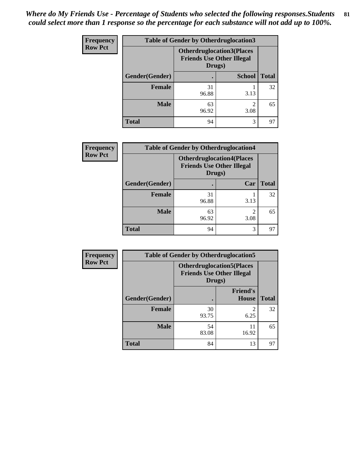| Frequency      | <b>Table of Gender by Otherdruglocation3</b> |             |                                                                      |              |
|----------------|----------------------------------------------|-------------|----------------------------------------------------------------------|--------------|
| <b>Row Pct</b> |                                              | Drugs)      | <b>Otherdruglocation3(Places</b><br><b>Friends Use Other Illegal</b> |              |
|                | Gender(Gender)                               |             | <b>School</b>                                                        | <b>Total</b> |
|                | <b>Female</b>                                | 31<br>96.88 | 3.13                                                                 | 32           |
|                | <b>Male</b>                                  | 63<br>96.92 | ∍<br>3.08                                                            | 65           |
|                | <b>Total</b>                                 | 94          | 3                                                                    | 97           |

| Frequency      | <b>Table of Gender by Otherdruglocation4</b> |             |                                                                                |              |
|----------------|----------------------------------------------|-------------|--------------------------------------------------------------------------------|--------------|
| <b>Row Pct</b> |                                              |             | <b>Otherdruglocation4(Places</b><br><b>Friends Use Other Illegal</b><br>Drugs) |              |
|                | Gender(Gender)                               |             | Car                                                                            | <b>Total</b> |
|                | <b>Female</b>                                | 31<br>96.88 | 3.13                                                                           | 32           |
|                | <b>Male</b>                                  | 63<br>96.92 | $\mathfrak{D}$<br>3.08                                                         | 65           |
|                | <b>Total</b>                                 | 94          | 3                                                                              | 97           |

| Frequency      | <b>Table of Gender by Otherdruglocation5</b>                                   |             |                                 |              |
|----------------|--------------------------------------------------------------------------------|-------------|---------------------------------|--------------|
| <b>Row Pct</b> | <b>Otherdruglocation5(Places</b><br><b>Friends Use Other Illegal</b><br>Drugs) |             |                                 |              |
|                | Gender(Gender)                                                                 |             | <b>Friend's</b><br><b>House</b> | <b>Total</b> |
|                | <b>Female</b>                                                                  | 30<br>93.75 | $\mathfrak{D}$<br>6.25          | 32           |
|                | <b>Male</b>                                                                    | 54<br>83.08 | 11<br>16.92                     | 65           |
|                | <b>Total</b>                                                                   | 84          | 13                              | 97           |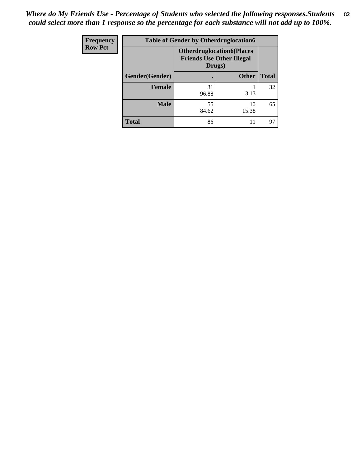| Frequency      | <b>Table of Gender by Otherdruglocation6</b> |             |                                                                      |              |
|----------------|----------------------------------------------|-------------|----------------------------------------------------------------------|--------------|
| <b>Row Pct</b> |                                              | Drugs)      | <b>Otherdruglocation6(Places</b><br><b>Friends Use Other Illegal</b> |              |
|                | Gender(Gender)                               |             | <b>Other</b>                                                         | <b>Total</b> |
|                | <b>Female</b>                                | 31<br>96.88 | 3.13                                                                 | 32           |
|                | <b>Male</b>                                  | 55<br>84.62 | 10<br>15.38                                                          | 65           |
|                | <b>Total</b>                                 | 86          | 11                                                                   | 97           |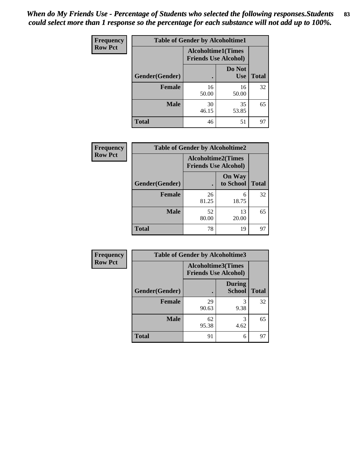| Frequency      | <b>Table of Gender by Alcoholtime1</b> |                                                          |                      |              |
|----------------|----------------------------------------|----------------------------------------------------------|----------------------|--------------|
| <b>Row Pct</b> |                                        | <b>Alcoholtime1(Times</b><br><b>Friends Use Alcohol)</b> |                      |              |
|                | Gender(Gender)                         | $\bullet$                                                | Do Not<br><b>Use</b> | <b>Total</b> |
|                | <b>Female</b>                          | 16<br>50.00                                              | 16<br>50.00          | 32           |
|                | <b>Male</b>                            | 30<br>46.15                                              | 35<br>53.85          | 65           |
|                | <b>Total</b>                           | 46                                                       | 51                   | 97           |

| Frequency      | <b>Table of Gender by Alcoholtime2</b> |                                                          |                            |              |
|----------------|----------------------------------------|----------------------------------------------------------|----------------------------|--------------|
| <b>Row Pct</b> |                                        | <b>Alcoholtime2(Times</b><br><b>Friends Use Alcohol)</b> |                            |              |
|                | Gender(Gender)                         |                                                          | <b>On Way</b><br>to School | <b>Total</b> |
|                | <b>Female</b>                          | 26<br>81.25                                              | 6<br>18.75                 | 32           |
|                | <b>Male</b>                            | 52<br>80.00                                              | 13<br>20.00                | 65           |
|                | <b>Total</b>                           | 78                                                       | 19                         | 97           |

| Frequency      | <b>Table of Gender by Alcoholtime3</b> |                                                          |                                |              |
|----------------|----------------------------------------|----------------------------------------------------------|--------------------------------|--------------|
| <b>Row Pct</b> |                                        | <b>Alcoholtime3(Times</b><br><b>Friends Use Alcohol)</b> |                                |              |
|                | Gender(Gender)                         |                                                          | <b>During</b><br><b>School</b> | <b>Total</b> |
|                | Female                                 | 29<br>90.63                                              | 3<br>9.38                      | 32           |
|                | <b>Male</b>                            | 62<br>95.38                                              | 3<br>4.62                      | 65           |
|                | <b>Total</b>                           | 91                                                       | 6                              | 97           |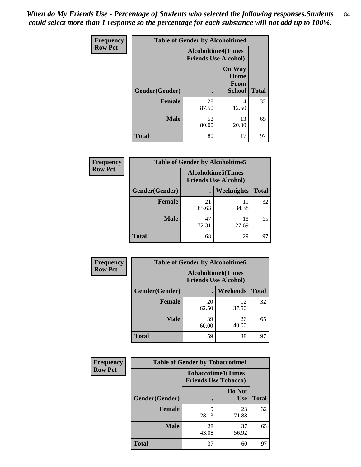*When do My Friends Use - Percentage of Students who selected the following responses.Students could select more than 1 response so the percentage for each substance will not add up to 100%.* **84**

| Frequency      | <b>Table of Gender by Alcoholtime4</b> |                                                          |                                                |              |
|----------------|----------------------------------------|----------------------------------------------------------|------------------------------------------------|--------------|
| <b>Row Pct</b> |                                        | <b>Alcoholtime4(Times</b><br><b>Friends Use Alcohol)</b> |                                                |              |
|                | Gender(Gender)                         | $\bullet$                                                | <b>On Way</b><br>Home<br>From<br><b>School</b> | <b>Total</b> |
|                | <b>Female</b>                          | 28<br>87.50                                              | 4<br>12.50                                     | 32           |
|                | <b>Male</b>                            | 52<br>80.00                                              | 13<br>20.00                                    | 65           |
|                | <b>Total</b>                           | 80                                                       | 17                                             | 97           |

| <b>Frequency</b> | <b>Table of Gender by Alcoholtime5</b> |                                                   |                   |              |
|------------------|----------------------------------------|---------------------------------------------------|-------------------|--------------|
| <b>Row Pct</b>   |                                        | Alcoholtime5(Times<br><b>Friends Use Alcohol)</b> |                   |              |
|                  | Gender(Gender)                         |                                                   | <b>Weeknights</b> | <b>Total</b> |
|                  | <b>Female</b>                          | 21<br>65.63                                       | 11<br>34.38       | 32           |
|                  | <b>Male</b>                            | 47<br>72.31                                       | 18<br>27.69       | 65           |
|                  | <b>Total</b>                           | 68                                                | 29                | 97           |

| <b>Frequency</b> | <b>Table of Gender by Alcoholtime6</b> |             |                                                          |              |
|------------------|----------------------------------------|-------------|----------------------------------------------------------|--------------|
| <b>Row Pct</b>   |                                        |             | <b>Alcoholtime6(Times</b><br><b>Friends Use Alcohol)</b> |              |
|                  | Gender(Gender)                         |             | Weekends                                                 | <b>Total</b> |
|                  | Female                                 | 20<br>62.50 | 12<br>37.50                                              | 32           |
|                  | <b>Male</b>                            | 39<br>60.00 | 26<br>40.00                                              | 65           |
|                  | <b>Total</b>                           | 59          | 38                                                       | 97           |

| Frequency      | <b>Table of Gender by Tobaccotime1</b> |                                                          |                      |              |
|----------------|----------------------------------------|----------------------------------------------------------|----------------------|--------------|
| <b>Row Pct</b> |                                        | <b>Tobaccotime1(Times</b><br><b>Friends Use Tobacco)</b> |                      |              |
|                | Gender(Gender)                         |                                                          | Do Not<br><b>Use</b> | <b>Total</b> |
|                | Female                                 | Q<br>28.13                                               | 23<br>71.88          | 32           |
|                | <b>Male</b>                            | 28<br>43.08                                              | 37<br>56.92          | 65           |
|                | <b>Total</b>                           | 37                                                       | 60                   | 97           |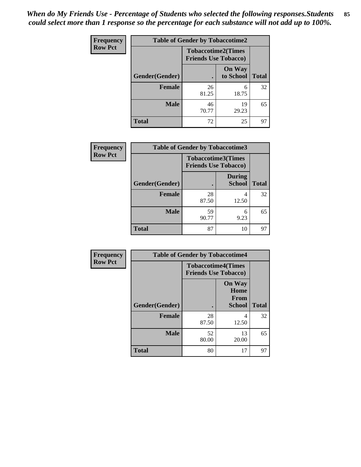| Frequency      | <b>Table of Gender by Tobaccotime2</b> |                                                          |                            |              |
|----------------|----------------------------------------|----------------------------------------------------------|----------------------------|--------------|
| <b>Row Pct</b> |                                        | <b>Tobaccotime2(Times</b><br><b>Friends Use Tobacco)</b> |                            |              |
|                | Gender(Gender)                         | $\bullet$                                                | <b>On Way</b><br>to School | <b>Total</b> |
|                | Female                                 | 26<br>81.25                                              | 6<br>18.75                 | 32           |
|                | <b>Male</b>                            | 46<br>70.77                                              | 19<br>29.23                | 65           |
|                | <b>Total</b>                           | 72                                                       | 25                         | 97           |

| Frequency      | <b>Table of Gender by Tobaccotime3</b> |                                                          |                                |              |
|----------------|----------------------------------------|----------------------------------------------------------|--------------------------------|--------------|
| <b>Row Pct</b> |                                        | <b>Tobaccotime3(Times</b><br><b>Friends Use Tobacco)</b> |                                |              |
|                | Gender(Gender)                         |                                                          | <b>During</b><br><b>School</b> | <b>Total</b> |
|                | Female                                 | 28<br>87.50                                              | 12.50                          | 32           |
|                | <b>Male</b>                            | 59<br>90.77                                              | 6<br>9.23                      | 65           |
|                | <b>Total</b>                           | 87                                                       | 10                             | 97           |

| Frequency      | <b>Table of Gender by Tobaccotime4</b> |                                                          |                                                       |              |
|----------------|----------------------------------------|----------------------------------------------------------|-------------------------------------------------------|--------------|
| <b>Row Pct</b> |                                        | <b>Tobaccotime4(Times</b><br><b>Friends Use Tobacco)</b> |                                                       |              |
|                | Gender(Gender)                         |                                                          | <b>On Way</b><br>Home<br><b>From</b><br><b>School</b> | <b>Total</b> |
|                | <b>Female</b>                          | 28<br>87.50                                              | 4<br>12.50                                            | 32           |
|                | <b>Male</b>                            | 52<br>80.00                                              | 13<br>20.00                                           | 65           |
|                | <b>Total</b>                           | 80                                                       | 17                                                    | 97           |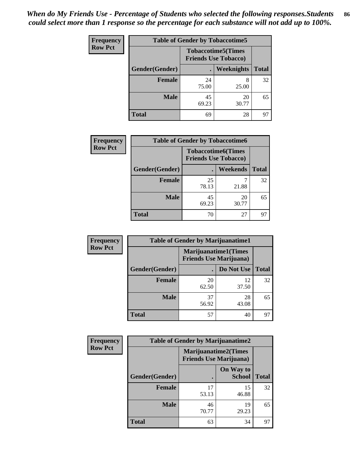| <b>Frequency</b> |                |             | <b>Table of Gender by Tobaccotime5</b>                    |              |
|------------------|----------------|-------------|-----------------------------------------------------------|--------------|
| <b>Row Pct</b>   |                |             | <b>Tobaccotime5</b> (Times<br><b>Friends Use Tobacco)</b> |              |
|                  | Gender(Gender) |             | <b>Weeknights</b>                                         | <b>Total</b> |
|                  | Female         | 24<br>75.00 | 8<br>25.00                                                | 32           |
|                  | <b>Male</b>    | 45<br>69.23 | 20<br>30.77                                               | 65           |
|                  | Total          | 69          | 28                                                        | 97           |

| <b>Frequency</b> | <b>Table of Gender by Tobaccotime6</b> |                                                          |             |              |
|------------------|----------------------------------------|----------------------------------------------------------|-------------|--------------|
| <b>Row Pct</b>   |                                        | <b>Tobaccotime6(Times</b><br><b>Friends Use Tobacco)</b> |             |              |
|                  | Gender(Gender)                         |                                                          | Weekends    | <b>Total</b> |
|                  | Female                                 | 25<br>78.13                                              | 21.88       | 32           |
|                  | <b>Male</b>                            | 45<br>69.23                                              | 20<br>30.77 | 65           |
|                  | <b>Total</b>                           | 70                                                       | 27          | 97           |

| Frequency      | <b>Table of Gender by Marijuanatime1</b> |                                |                             |              |
|----------------|------------------------------------------|--------------------------------|-----------------------------|--------------|
| <b>Row Pct</b> |                                          | <b>Friends Use Marijuana</b> ) | <b>Marijuanatime1(Times</b> |              |
|                | Gender(Gender)                           |                                | Do Not Use                  | <b>Total</b> |
|                | <b>Female</b>                            | 20<br>62.50                    | 12<br>37.50                 | 32           |
|                | <b>Male</b>                              | 37<br>56.92                    | 28<br>43.08                 | 65           |
|                | <b>Total</b>                             | 57                             | 40                          | 97           |

| <b>Frequency</b> | <b>Table of Gender by Marijuanatime2</b> |                                                               |                            |              |
|------------------|------------------------------------------|---------------------------------------------------------------|----------------------------|--------------|
| <b>Row Pct</b>   |                                          | <b>Marijuanatime2(Times</b><br><b>Friends Use Marijuana</b> ) |                            |              |
|                  | Gender(Gender)                           |                                                               | On Way to<br><b>School</b> | <b>Total</b> |
|                  | Female                                   | 17<br>53.13                                                   | 15<br>46.88                | 32           |
|                  | <b>Male</b>                              | 46<br>70.77                                                   | 19<br>29.23                | 65           |
|                  | <b>Total</b>                             | 63                                                            | 34                         | 97           |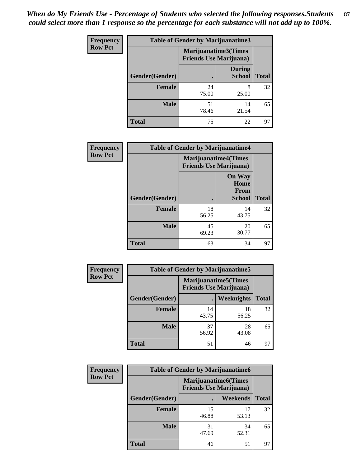| Frequency      | Table of Gender by Marijuanatime3 |                                |                                |              |
|----------------|-----------------------------------|--------------------------------|--------------------------------|--------------|
| <b>Row Pct</b> |                                   | <b>Friends Use Marijuana</b> ) | Marijuanatime3(Times           |              |
|                | Gender(Gender)                    |                                | <b>During</b><br><b>School</b> | <b>Total</b> |
|                | <b>Female</b>                     | 24<br>75.00                    | 8<br>25.00                     | 32           |
|                | <b>Male</b>                       | 51<br>78.46                    | 14<br>21.54                    | 65           |
|                | <b>Total</b>                      | 75                             | 22                             | 97           |

| Frequency      | <b>Table of Gender by Marijuanatime4</b> |                                                               |                                                       |              |
|----------------|------------------------------------------|---------------------------------------------------------------|-------------------------------------------------------|--------------|
| <b>Row Pct</b> |                                          | <b>Marijuanatime4(Times</b><br><b>Friends Use Marijuana</b> ) |                                                       |              |
|                | Gender(Gender)                           |                                                               | <b>On Way</b><br>Home<br><b>From</b><br><b>School</b> | <b>Total</b> |
|                | <b>Female</b>                            | 18<br>56.25                                                   | 14<br>43.75                                           | 32           |
|                | <b>Male</b>                              | 45<br>69.23                                                   | 20<br>30.77                                           | 65           |
|                | <b>Total</b>                             | 63                                                            | 34                                                    | 97           |

| Frequency      | <b>Table of Gender by Marijuanatime5</b> |             |                                                                |              |  |
|----------------|------------------------------------------|-------------|----------------------------------------------------------------|--------------|--|
| <b>Row Pct</b> |                                          |             | <b>Marijuanatime5</b> (Times<br><b>Friends Use Marijuana</b> ) |              |  |
|                | Gender(Gender)                           |             | Weeknights                                                     | <b>Total</b> |  |
|                | <b>Female</b>                            | 14<br>43.75 | 18<br>56.25                                                    | 32           |  |
|                | <b>Male</b>                              | 37<br>56.92 | 28<br>43.08                                                    | 65           |  |
|                | <b>Total</b>                             | 51          | 46                                                             | 97           |  |

| <b>Frequency</b> | <b>Table of Gender by Marijuanatime6</b> |                                                               |                 |              |  |
|------------------|------------------------------------------|---------------------------------------------------------------|-----------------|--------------|--|
| <b>Row Pct</b>   |                                          | <b>Marijuanatime6(Times</b><br><b>Friends Use Marijuana</b> ) |                 |              |  |
|                  | Gender(Gender)                           |                                                               | <b>Weekends</b> | <b>Total</b> |  |
|                  | <b>Female</b>                            | 15<br>46.88                                                   | 17<br>53.13     | 32           |  |
|                  | <b>Male</b>                              | 31<br>47.69                                                   | 34<br>52.31     | 65           |  |
|                  | <b>Total</b>                             | 46                                                            | 51              | 97           |  |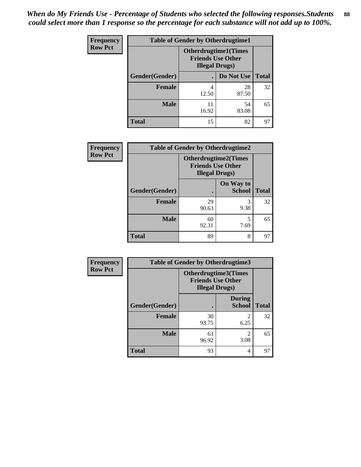| <b>Frequency</b> | <b>Table of Gender by Otherdrugtime1</b> |                                                    |                              |    |
|------------------|------------------------------------------|----------------------------------------------------|------------------------------|----|
| <b>Row Pct</b>   |                                          | <b>Friends Use Other</b><br><b>Illegal Drugs</b> ) | <b>Otherdrugtime1</b> (Times |    |
|                  | Gender(Gender)                           |                                                    | Do Not Use   Total           |    |
|                  | <b>Female</b>                            | 4<br>12.50                                         | 28<br>87.50                  | 32 |
|                  | <b>Male</b>                              | 11<br>16.92                                        | 54<br>83.08                  | 65 |
|                  | <b>Total</b>                             | 15                                                 | 82                           | 97 |

| Frequency      | <b>Table of Gender by Otherdrugtime2</b> |                                                                                   |                            |              |
|----------------|------------------------------------------|-----------------------------------------------------------------------------------|----------------------------|--------------|
| <b>Row Pct</b> |                                          | <b>Otherdrugtime2(Times</b><br><b>Friends Use Other</b><br><b>Illegal Drugs</b> ) |                            |              |
|                | Gender(Gender)                           |                                                                                   | On Way to<br><b>School</b> | <b>Total</b> |
|                | <b>Female</b>                            | 29<br>90.63                                                                       | 3<br>9.38                  | 32           |
|                | <b>Male</b>                              | 60<br>92.31                                                                       | 5<br>7.69                  | 65           |
|                | <b>Total</b>                             | 89                                                                                | 8                          | 97           |

| Frequency      |                | <b>Table of Gender by Otherdrugtime3</b> |                                                  |              |
|----------------|----------------|------------------------------------------|--------------------------------------------------|--------------|
| <b>Row Pct</b> |                | <b>Illegal Drugs</b> )                   | Otherdrugtime3(Times<br><b>Friends Use Other</b> |              |
|                | Gender(Gender) |                                          | <b>During</b><br><b>School</b>                   | <b>Total</b> |
|                | <b>Female</b>  | 30<br>93.75                              | $\overline{c}$<br>6.25                           | 32           |
|                | <b>Male</b>    | 63<br>96.92                              | 2<br>3.08                                        | 65           |
|                | <b>Total</b>   | 93                                       | 4                                                | 97           |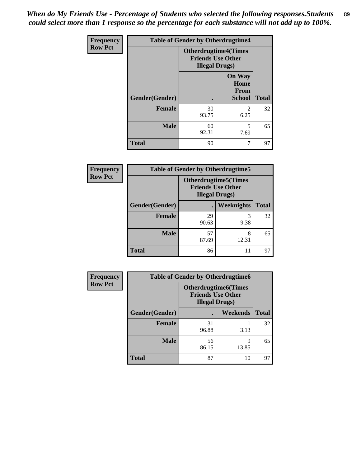*When do My Friends Use - Percentage of Students who selected the following responses.Students could select more than 1 response so the percentage for each substance will not add up to 100%.* **89**

| Frequency      | <b>Table of Gender by Otherdrugtime4</b> |                        |                                                         |              |
|----------------|------------------------------------------|------------------------|---------------------------------------------------------|--------------|
| <b>Row Pct</b> |                                          | <b>Illegal Drugs</b> ) | <b>Otherdrugtime4(Times</b><br><b>Friends Use Other</b> |              |
|                | Gender(Gender)                           |                        | <b>On Way</b><br>Home<br>From<br><b>School</b>          | <b>Total</b> |
|                | <b>Female</b>                            | 30<br>93.75            | $\mathfrak{D}$<br>6.25                                  | 32           |
|                | <b>Male</b>                              | 60<br>92.31            | 5<br>7.69                                               | 65           |
|                | <b>Total</b>                             | 90                     |                                                         | 97           |

| <b>Frequency</b> | <b>Table of Gender by Otherdrugtime5</b> |             |                                                                                    |              |
|------------------|------------------------------------------|-------------|------------------------------------------------------------------------------------|--------------|
| <b>Row Pct</b>   |                                          |             | <b>Otherdrugtime5</b> (Times<br><b>Friends Use Other</b><br><b>Illegal Drugs</b> ) |              |
|                  | Gender(Gender)                           |             | Weeknights                                                                         | <b>Total</b> |
|                  | <b>Female</b>                            | 29<br>90.63 | 9.38                                                                               | 32           |
|                  | <b>Male</b>                              | 57<br>87.69 | 8<br>12.31                                                                         | 65           |
|                  | <b>Total</b>                             | 86          | 11                                                                                 | 97           |

| <b>Frequency</b> | <b>Table of Gender by Otherdrugtime6</b> |                                                                                   |            |              |
|------------------|------------------------------------------|-----------------------------------------------------------------------------------|------------|--------------|
| <b>Row Pct</b>   |                                          | <b>Otherdrugtime6(Times</b><br><b>Friends Use Other</b><br><b>Illegal Drugs</b> ) |            |              |
|                  | Gender(Gender)                           |                                                                                   | Weekends   | <b>Total</b> |
|                  | <b>Female</b>                            | 31<br>96.88                                                                       | 3.13       | 32           |
|                  | <b>Male</b>                              | 56<br>86.15                                                                       | Q<br>13.85 | 65           |
|                  | <b>Total</b>                             | 87                                                                                | 10         | 97           |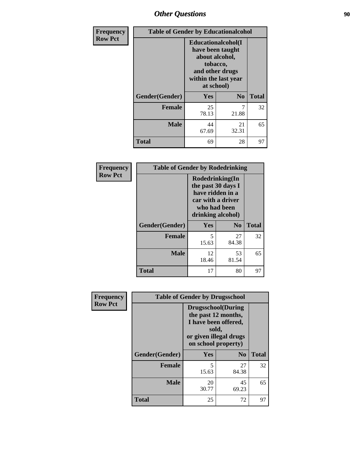# *Other Questions* **90**

| <b>Frequency</b> | <b>Table of Gender by Educationalcohol</b> |                                                                                                                                       |                |              |
|------------------|--------------------------------------------|---------------------------------------------------------------------------------------------------------------------------------------|----------------|--------------|
| <b>Row Pct</b>   |                                            | <b>Educationalcohol</b> (I<br>have been taught<br>about alcohol,<br>tobacco,<br>and other drugs<br>within the last year<br>at school) |                |              |
|                  | Gender(Gender)                             | <b>Yes</b>                                                                                                                            | N <sub>0</sub> | <b>Total</b> |
|                  | <b>Female</b>                              | 25<br>78.13                                                                                                                           | 7<br>21.88     | 32           |
|                  | <b>Male</b>                                | 44<br>67.69                                                                                                                           | 21<br>32.31    | 65           |
|                  | <b>Total</b>                               | 69                                                                                                                                    | 28             | 97           |

| Frequency<br><b>Row Pct</b> | <b>Table of Gender by Rodedrinking</b> |                                                                                                                     |                |              |
|-----------------------------|----------------------------------------|---------------------------------------------------------------------------------------------------------------------|----------------|--------------|
|                             |                                        | Rodedrinking(In<br>the past 30 days I<br>have ridden in a<br>car with a driver<br>who had been<br>drinking alcohol) |                |              |
|                             | Gender(Gender)                         | Yes                                                                                                                 | N <sub>0</sub> | <b>Total</b> |
|                             | <b>Female</b>                          | 5<br>15.63                                                                                                          | 27<br>84.38    | 32           |
|                             | <b>Male</b>                            | 12<br>18.46                                                                                                         | 53<br>81.54    | 65           |
|                             | <b>Total</b>                           | 17                                                                                                                  | 80             | 97           |

| Frequency      | <b>Table of Gender by Drugsschool</b> |                                                                                                                                     |                |              |  |
|----------------|---------------------------------------|-------------------------------------------------------------------------------------------------------------------------------------|----------------|--------------|--|
| <b>Row Pct</b> |                                       | <b>Drugsschool</b> (During<br>the past 12 months,<br>I have been offered,<br>sold,<br>or given illegal drugs<br>on school property) |                |              |  |
|                | Gender(Gender)                        | Yes                                                                                                                                 | N <sub>0</sub> | <b>Total</b> |  |
|                | <b>Female</b>                         | 5<br>15.63                                                                                                                          | 27<br>84.38    | 32           |  |
|                | <b>Male</b>                           | 20<br>30.77                                                                                                                         | 45<br>69.23    | 65           |  |
|                | <b>Total</b>                          | 25                                                                                                                                  | 72             | 97           |  |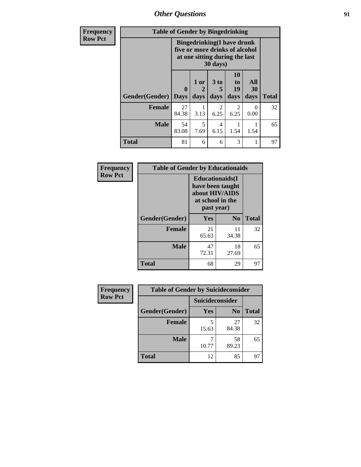*Other Questions* **91** 

| Frequency      | <b>Table of Gender by Bingedrinking</b> |                                                                                                                            |              |                        |                        |                           |              |
|----------------|-----------------------------------------|----------------------------------------------------------------------------------------------------------------------------|--------------|------------------------|------------------------|---------------------------|--------------|
| <b>Row Pct</b> |                                         | <b>Bingedrinking(I have drunk</b><br>five or more drinks of alcohol<br>at one sitting during the last<br>$30 \text{ days}$ |              |                        |                        |                           |              |
|                | Gender(Gender)                          | $\mathbf{0}$<br><b>Days</b>                                                                                                | 1 or<br>days | 3 to<br>5<br>days      | 10<br>to<br>19<br>days | All<br>30<br>days         | <b>Total</b> |
|                | Female                                  | 27<br>84.38                                                                                                                | 3.13         | 2<br>6.25              | 2<br>6.25              | $\mathbf{\Omega}$<br>0.00 | 32           |
|                | <b>Male</b>                             | 54<br>83.08                                                                                                                | 5<br>7.69    | $\overline{4}$<br>6.15 | 1.54                   | 1.54                      | 65           |
|                | <b>Total</b>                            | 81                                                                                                                         | 6            | 6                      | 3                      |                           | 97           |

| Frequency      | <b>Table of Gender by Educationaids</b> |                                                                                                 |             |              |  |
|----------------|-----------------------------------------|-------------------------------------------------------------------------------------------------|-------------|--------------|--|
| <b>Row Pct</b> |                                         | <b>Educationaids</b> (I<br>have been taught<br>about HIV/AIDS<br>at school in the<br>past year) |             |              |  |
|                | Gender(Gender)                          | Yes                                                                                             | $\bf N_0$   | <b>Total</b> |  |
|                | <b>Female</b>                           | 21<br>65.63                                                                                     | 11<br>34.38 | 32           |  |
|                | <b>Male</b>                             | 47<br>72.31                                                                                     | 18<br>27.69 | 65           |  |
|                | <b>Total</b>                            | 68                                                                                              | 29          | 97           |  |

| Frequency      | <b>Table of Gender by Suicideconsider</b> |                 |                |              |
|----------------|-------------------------------------------|-----------------|----------------|--------------|
| <b>Row Pct</b> |                                           | Suicideconsider |                |              |
|                | Gender(Gender)                            | Yes             | N <sub>0</sub> | <b>Total</b> |
|                | <b>Female</b>                             | 15.63           | 27<br>84.38    | 32           |
|                | <b>Male</b>                               | 10.77           | 58<br>89.23    | 65           |
|                | <b>Total</b>                              | 12              | 85             | 97           |